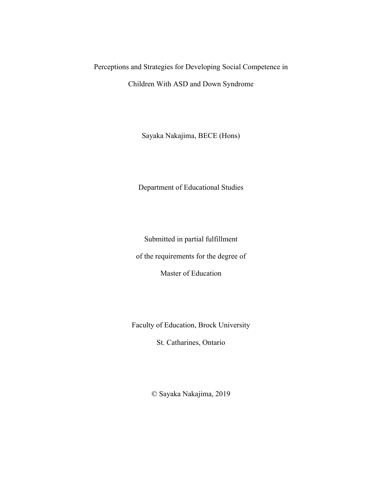# Perceptions and Strategies for Developing Social Competence in Children With ASD and Down Syndrome

Sayaka Nakajima, BECE (Hons)

Department of Educational Studies

Submitted in partial fulfillment

of the requirements for the degree of

Master of Education

Faculty of Education, Brock University

St. Catharines, Ontario

© Sayaka Nakajima, 2019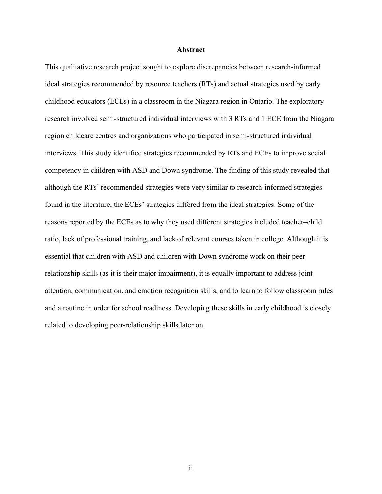#### **Abstract**

This qualitative research project sought to explore discrepancies between research-informed ideal strategies recommended by resource teachers (RTs) and actual strategies used by early childhood educators (ECEs) in a classroom in the Niagara region in Ontario. The exploratory research involved semi-structured individual interviews with 3 RTs and 1 ECE from the Niagara region childcare centres and organizations who participated in semi-structured individual interviews. This study identified strategies recommended by RTs and ECEs to improve social competency in children with ASD and Down syndrome. The finding of this study revealed that although the RTs' recommended strategies were very similar to research-informed strategies found in the literature, the ECEs' strategies differed from the ideal strategies. Some of the reasons reported by the ECEs as to why they used different strategies included teacher–child ratio, lack of professional training, and lack of relevant courses taken in college. Although it is essential that children with ASD and children with Down syndrome work on their peerrelationship skills (as it is their major impairment), it is equally important to address joint attention, communication, and emotion recognition skills, and to learn to follow classroom rules and a routine in order for school readiness. Developing these skills in early childhood is closely related to developing peer-relationship skills later on.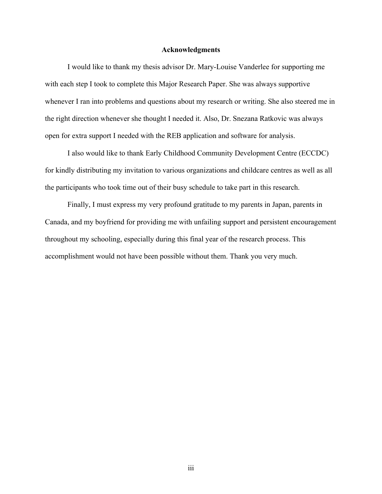#### **Acknowledgments**

I would like to thank my thesis advisor Dr. Mary-Louise Vanderlee for supporting me with each step I took to complete this Major Research Paper. She was always supportive whenever I ran into problems and questions about my research or writing. She also steered me in the right direction whenever she thought I needed it. Also, Dr. Snezana Ratkovic was always open for extra support I needed with the REB application and software for analysis.

I also would like to thank Early Childhood Community Development Centre (ECCDC) for kindly distributing my invitation to various organizations and childcare centres as well as all the participants who took time out of their busy schedule to take part in this research.

Finally, I must express my very profound gratitude to my parents in Japan, parents in Canada, and my boyfriend for providing me with unfailing support and persistent encouragement throughout my schooling, especially during this final year of the research process. This accomplishment would not have been possible without them. Thank you very much.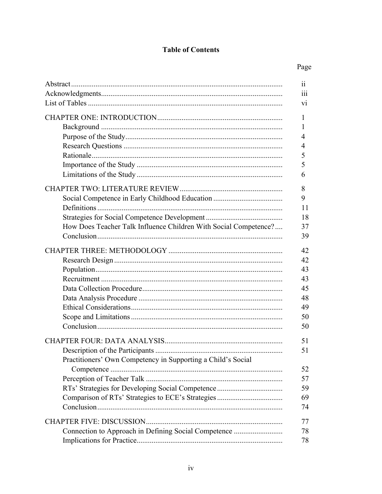## **Table of Contents**

## Page

| 11                                                                     |
|------------------------------------------------------------------------|
| 111                                                                    |
| V1                                                                     |
| 1<br>1                                                                 |
| 4                                                                      |
| 4<br>5                                                                 |
| 5                                                                      |
| 6                                                                      |
|                                                                        |
| 8                                                                      |
| 9                                                                      |
| 11                                                                     |
| 18                                                                     |
| How Does Teacher Talk Influence Children With Social Competence?<br>37 |
| 39                                                                     |
| 42                                                                     |
| 42                                                                     |
| 43                                                                     |
| 43                                                                     |
| 45                                                                     |
| 48                                                                     |
| 49                                                                     |
| 50                                                                     |
| 50                                                                     |
| 51                                                                     |
| 51                                                                     |
| Practitioners' Own Competency in Supporting a Child's Social<br>52     |
| 57                                                                     |
| RTs' Strategies for Developing Social Competence<br>59                 |
| 69                                                                     |
| 74                                                                     |
|                                                                        |
| 77                                                                     |
| Connection to Approach in Defining Social Competence<br>78             |
| 78                                                                     |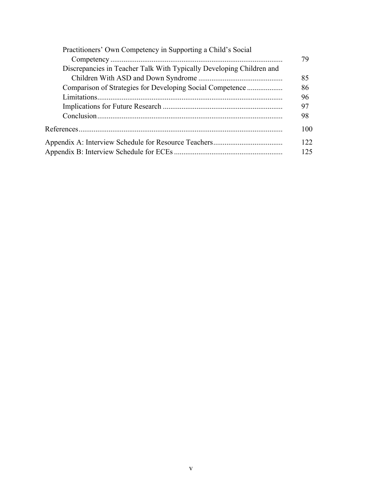|                                                                      | 79  |
|----------------------------------------------------------------------|-----|
|                                                                      |     |
| Discrepancies in Teacher Talk With Typically Developing Children and |     |
|                                                                      | 85  |
|                                                                      | 86  |
|                                                                      | 96  |
| 97                                                                   |     |
|                                                                      | 98  |
|                                                                      | 100 |
|                                                                      | 122 |
|                                                                      | 125 |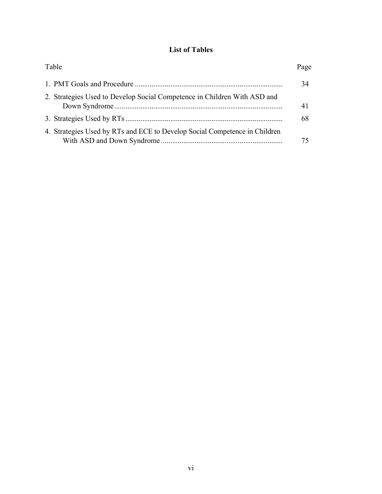## **List of Tables**

| Table                                                                      | Page |
|----------------------------------------------------------------------------|------|
|                                                                            | 34   |
| 2. Strategies Used to Develop Social Competence in Children With ASD and   | 41   |
|                                                                            | 68   |
| 4. Strategies Used by RTs and ECE to Develop Social Competence in Children |      |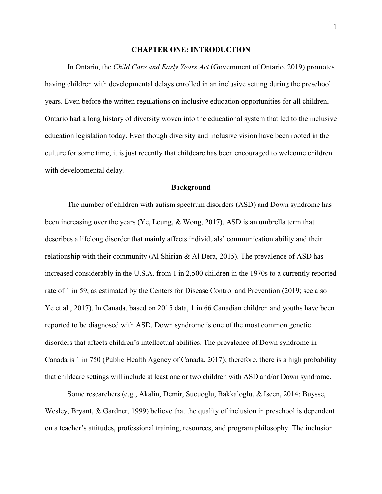#### **CHAPTER ONE: INTRODUCTION**

In Ontario, the *Child Care and Early Years Act* (Government of Ontario, 2019) promotes having children with developmental delays enrolled in an inclusive setting during the preschool years. Even before the written regulations on inclusive education opportunities for all children, Ontario had a long history of diversity woven into the educational system that led to the inclusive education legislation today. Even though diversity and inclusive vision have been rooted in the culture for some time, it is just recently that childcare has been encouraged to welcome children with developmental delay.

#### **Background**

The number of children with autism spectrum disorders (ASD) and Down syndrome has been increasing over the years (Ye, Leung, & Wong, 2017). ASD is an umbrella term that describes a lifelong disorder that mainly affects individuals' communication ability and their relationship with their community (Al Shirian  $\&$  Al Dera, 2015). The prevalence of ASD has increased considerably in the U.S.A. from 1 in 2,500 children in the 1970s to a currently reported rate of 1 in 59, as estimated by the Centers for Disease Control and Prevention (2019; see also Ye et al., 2017). In Canada, based on 2015 data, 1 in 66 Canadian children and youths have been reported to be diagnosed with ASD. Down syndrome is one of the most common genetic disorders that affects children's intellectual abilities. The prevalence of Down syndrome in Canada is 1 in 750 (Public Health Agency of Canada, 2017); therefore, there is a high probability that childcare settings will include at least one or two children with ASD and/or Down syndrome.

Some researchers (e.g., Akalin, Demir, Sucuoglu, Bakkaloglu, & Iscen, 2014; Buysse, Wesley, Bryant, & Gardner, 1999) believe that the quality of inclusion in preschool is dependent on a teacher's attitudes, professional training, resources, and program philosophy. The inclusion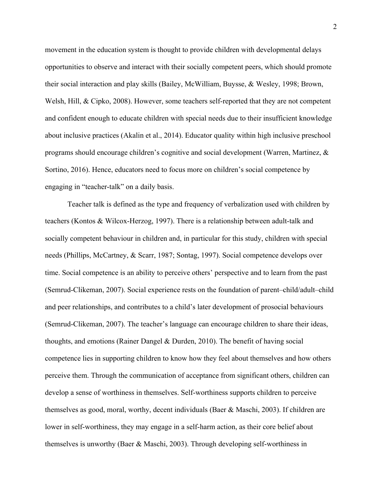movement in the education system is thought to provide children with developmental delays opportunities to observe and interact with their socially competent peers, which should promote their social interaction and play skills (Bailey, McWilliam, Buysse, & Wesley, 1998; Brown, Welsh, Hill, & Cipko, 2008). However, some teachers self-reported that they are not competent and confident enough to educate children with special needs due to their insufficient knowledge about inclusive practices (Akalin et al., 2014). Educator quality within high inclusive preschool programs should encourage children's cognitive and social development (Warren, Martinez, & Sortino, 2016). Hence, educators need to focus more on children's social competence by engaging in "teacher-talk" on a daily basis.

Teacher talk is defined as the type and frequency of verbalization used with children by teachers (Kontos & Wilcox-Herzog, 1997). There is a relationship between adult-talk and socially competent behaviour in children and, in particular for this study, children with special needs (Phillips, McCartney, & Scarr, 1987; Sontag, 1997). Social competence develops over time. Social competence is an ability to perceive others' perspective and to learn from the past (Semrud-Clikeman, 2007). Social experience rests on the foundation of parent–child/adult–child and peer relationships, and contributes to a child's later development of prosocial behaviours (Semrud-Clikeman, 2007). The teacher's language can encourage children to share their ideas, thoughts, and emotions (Rainer Dangel & Durden, 2010). The benefit of having social competence lies in supporting children to know how they feel about themselves and how others perceive them. Through the communication of acceptance from significant others, children can develop a sense of worthiness in themselves. Self-worthiness supports children to perceive themselves as good, moral, worthy, decent individuals (Baer & Maschi, 2003). If children are lower in self-worthiness, they may engage in a self-harm action, as their core belief about themselves is unworthy (Baer & Maschi, 2003). Through developing self-worthiness in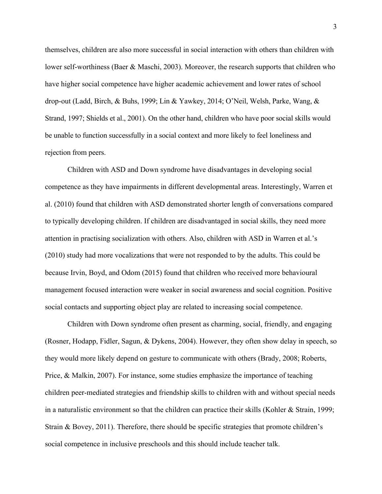themselves, children are also more successful in social interaction with others than children with lower self-worthiness (Baer & Maschi, 2003). Moreover, the research supports that children who have higher social competence have higher academic achievement and lower rates of school drop-out (Ladd, Birch, & Buhs, 1999; Lin & Yawkey, 2014; O'Neil, Welsh, Parke, Wang, & Strand, 1997; Shields et al., 2001). On the other hand, children who have poor social skills would be unable to function successfully in a social context and more likely to feel loneliness and rejection from peers.

Children with ASD and Down syndrome have disadvantages in developing social competence as they have impairments in different developmental areas. Interestingly, Warren et al. (2010) found that children with ASD demonstrated shorter length of conversations compared to typically developing children. If children are disadvantaged in social skills, they need more attention in practising socialization with others. Also, children with ASD in Warren et al.'s (2010) study had more vocalizations that were not responded to by the adults. This could be because Irvin, Boyd, and Odom (2015) found that children who received more behavioural management focused interaction were weaker in social awareness and social cognition. Positive social contacts and supporting object play are related to increasing social competence.

Children with Down syndrome often present as charming, social, friendly, and engaging (Rosner, Hodapp, Fidler, Sagun, & Dykens, 2004). However, they often show delay in speech, so they would more likely depend on gesture to communicate with others (Brady, 2008; Roberts, Price, & Malkin, 2007). For instance, some studies emphasize the importance of teaching children peer-mediated strategies and friendship skills to children with and without special needs in a naturalistic environment so that the children can practice their skills (Kohler & Strain, 1999; Strain & Bovey, 2011). Therefore, there should be specific strategies that promote children's social competence in inclusive preschools and this should include teacher talk.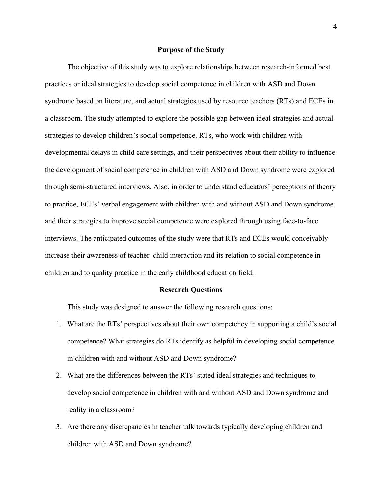#### **Purpose of the Study**

The objective of this study was to explore relationships between research-informed best practices or ideal strategies to develop social competence in children with ASD and Down syndrome based on literature, and actual strategies used by resource teachers (RTs) and ECEs in a classroom. The study attempted to explore the possible gap between ideal strategies and actual strategies to develop children's social competence. RTs, who work with children with developmental delays in child care settings, and their perspectives about their ability to influence the development of social competence in children with ASD and Down syndrome were explored through semi-structured interviews. Also, in order to understand educators' perceptions of theory to practice, ECEs' verbal engagement with children with and without ASD and Down syndrome and their strategies to improve social competence were explored through using face-to-face interviews. The anticipated outcomes of the study were that RTs and ECEs would conceivably increase their awareness of teacher–child interaction and its relation to social competence in children and to quality practice in the early childhood education field.

#### **Research Questions**

This study was designed to answer the following research questions:

- 1. What are the RTs' perspectives about their own competency in supporting a child's social competence? What strategies do RTs identify as helpful in developing social competence in children with and without ASD and Down syndrome?
- 2. What are the differences between the RTs' stated ideal strategies and techniques to develop social competence in children with and without ASD and Down syndrome and reality in a classroom?
- 3. Are there any discrepancies in teacher talk towards typically developing children and children with ASD and Down syndrome?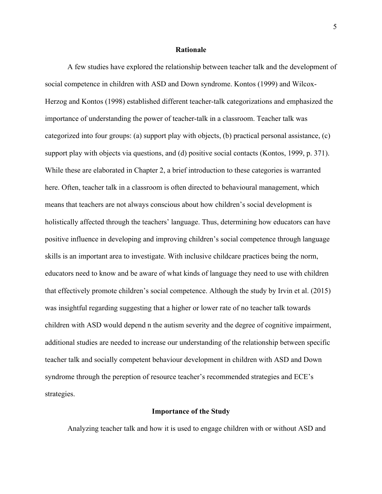#### **Rationale**

A few studies have explored the relationship between teacher talk and the development of social competence in children with ASD and Down syndrome. Kontos (1999) and Wilcox-Herzog and Kontos (1998) established different teacher-talk categorizations and emphasized the importance of understanding the power of teacher-talk in a classroom. Teacher talk was categorized into four groups: (a) support play with objects, (b) practical personal assistance, (c) support play with objects via questions, and (d) positive social contacts (Kontos, 1999, p. 371). While these are elaborated in Chapter 2, a brief introduction to these categories is warranted here. Often, teacher talk in a classroom is often directed to behavioural management, which means that teachers are not always conscious about how children's social development is holistically affected through the teachers' language. Thus, determining how educators can have positive influence in developing and improving children's social competence through language skills is an important area to investigate. With inclusive childcare practices being the norm, educators need to know and be aware of what kinds of language they need to use with children that effectively promote children's social competence. Although the study by Irvin et al. (2015) was insightful regarding suggesting that a higher or lower rate of no teacher talk towards children with ASD would depend n the autism severity and the degree of cognitive impairment, additional studies are needed to increase our understanding of the relationship between specific teacher talk and socially competent behaviour development in children with ASD and Down syndrome through the pereption of resource teacher's recommended strategies and ECE's strategies.

#### **Importance of the Study**

Analyzing teacher talk and how it is used to engage children with or without ASD and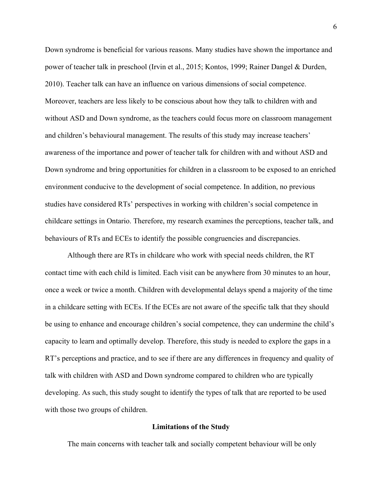Down syndrome is beneficial for various reasons. Many studies have shown the importance and power of teacher talk in preschool (Irvin et al., 2015; Kontos, 1999; Rainer Dangel & Durden, 2010). Teacher talk can have an influence on various dimensions of social competence. Moreover, teachers are less likely to be conscious about how they talk to children with and without ASD and Down syndrome, as the teachers could focus more on classroom management and children's behavioural management. The results of this study may increase teachers' awareness of the importance and power of teacher talk for children with and without ASD and Down syndrome and bring opportunities for children in a classroom to be exposed to an enriched environment conducive to the development of social competence. In addition, no previous studies have considered RTs' perspectives in working with children's social competence in childcare settings in Ontario. Therefore, my research examines the perceptions, teacher talk, and behaviours of RTs and ECEs to identify the possible congruencies and discrepancies.

Although there are RTs in childcare who work with special needs children, the RT contact time with each child is limited. Each visit can be anywhere from 30 minutes to an hour, once a week or twice a month. Children with developmental delays spend a majority of the time in a childcare setting with ECEs. If the ECEs are not aware of the specific talk that they should be using to enhance and encourage children's social competence, they can undermine the child's capacity to learn and optimally develop. Therefore, this study is needed to explore the gaps in a RT's perceptions and practice, and to see if there are any differences in frequency and quality of talk with children with ASD and Down syndrome compared to children who are typically developing. As such, this study sought to identify the types of talk that are reported to be used with those two groups of children.

#### **Limitations of the Study**

The main concerns with teacher talk and socially competent behaviour will be only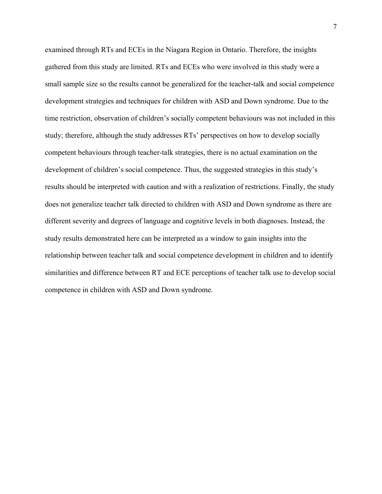examined through RTs and ECEs in the Niagara Region in Ontario. Therefore, the insights gathered from this study are limited. RTs and ECEs who were involved in this study were a small sample size so the results cannot be generalized for the teacher-talk and social competence development strategies and techniques for children with ASD and Down syndrome. Due to the time restriction, observation of children's socially competent behaviours was not included in this study; therefore, although the study addresses RTs' perspectives on how to develop socially competent behaviours through teacher-talk strategies, there is no actual examination on the development of children's social competence. Thus, the suggested strategies in this study's results should be interpreted with caution and with a realization of restrictions. Finally, the study does not generalize teacher talk directed to children with ASD and Down syndrome as there are different severity and degrees of language and cognitive levels in both diagnoses. Instead, the study results demonstrated here can be interpreted as a window to gain insights into the relationship between teacher talk and social competence development in children and to identify similarities and difference between RT and ECE perceptions of teacher talk use to develop social competence in children with ASD and Down syndrome.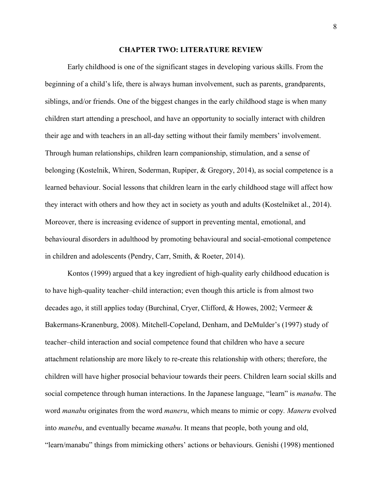#### **CHAPTER TWO: LITERATURE REVIEW**

Early childhood is one of the significant stages in developing various skills. From the beginning of a child's life, there is always human involvement, such as parents, grandparents, siblings, and/or friends. One of the biggest changes in the early childhood stage is when many children start attending a preschool, and have an opportunity to socially interact with children their age and with teachers in an all-day setting without their family members' involvement. Through human relationships, children learn companionship, stimulation, and a sense of belonging (Kostelnik, Whiren, Soderman, Rupiper, & Gregory, 2014), as social competence is a learned behaviour. Social lessons that children learn in the early childhood stage will affect how they interact with others and how they act in society as youth and adults (Kostelniket al., 2014). Moreover, there is increasing evidence of support in preventing mental, emotional, and behavioural disorders in adulthood by promoting behavioural and social-emotional competence in children and adolescents (Pendry, Carr, Smith, & Roeter, 2014).

Kontos (1999) argued that a key ingredient of high-quality early childhood education is to have high-quality teacher–child interaction; even though this article is from almost two decades ago, it still applies today (Burchinal, Cryer, Clifford, & Howes, 2002; Vermeer & Bakermans-Kranenburg, 2008). Mitchell-Copeland, Denham, and DeMulder's (1997) study of teacher–child interaction and social competence found that children who have a secure attachment relationship are more likely to re-create this relationship with others; therefore, the children will have higher prosocial behaviour towards their peers. Children learn social skills and social competence through human interactions. In the Japanese language, "learn" is *manabu*. The word *manabu* originates from the word *maneru*, which means to mimic or copy*. Maneru* evolved into *manebu*, and eventually became *manabu*. It means that people, both young and old, "learn/manabu" things from mimicking others' actions or behaviours. Genishi (1998) mentioned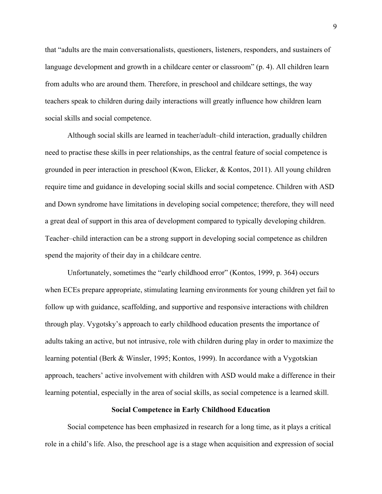that "adults are the main conversationalists, questioners, listeners, responders, and sustainers of language development and growth in a childcare center or classroom" (p. 4). All children learn from adults who are around them. Therefore, in preschool and childcare settings, the way teachers speak to children during daily interactions will greatly influence how children learn social skills and social competence.

Although social skills are learned in teacher/adult–child interaction, gradually children need to practise these skills in peer relationships, as the central feature of social competence is grounded in peer interaction in preschool (Kwon, Elicker, & Kontos, 2011). All young children require time and guidance in developing social skills and social competence. Children with ASD and Down syndrome have limitations in developing social competence; therefore, they will need a great deal of support in this area of development compared to typically developing children. Teacher–child interaction can be a strong support in developing social competence as children spend the majority of their day in a childcare centre.

Unfortunately, sometimes the "early childhood error" (Kontos, 1999, p. 364) occurs when ECEs prepare appropriate, stimulating learning environments for young children yet fail to follow up with guidance, scaffolding, and supportive and responsive interactions with children through play. Vygotsky's approach to early childhood education presents the importance of adults taking an active, but not intrusive, role with children during play in order to maximize the learning potential (Berk & Winsler, 1995; Kontos, 1999). In accordance with a Vygotskian approach, teachers' active involvement with children with ASD would make a difference in their learning potential, especially in the area of social skills, as social competence is a learned skill.

#### **Social Competence in Early Childhood Education**

Social competence has been emphasized in research for a long time, as it plays a critical role in a child's life. Also, the preschool age is a stage when acquisition and expression of social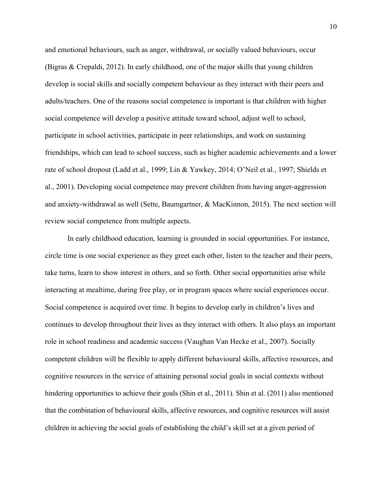and emotional behaviours, such as anger, withdrawal, or socially valued behaviours, occur (Bigras & Crepaldi, 2012). In early childhood, one of the major skills that young children develop is social skills and socially competent behaviour as they interact with their peers and adults/teachers. One of the reasons social competence is important is that children with higher social competence will develop a positive attitude toward school, adjust well to school, participate in school activities, participate in peer relationships, and work on sustaining friendships, which can lead to school success, such as higher academic achievements and a lower rate of school dropout (Ladd et al., 1999; Lin & Yawkey, 2014; O'Neil et al., 1997; Shields et al., 2001). Developing social competence may prevent children from having anger-aggression and anxiety-withdrawal as well (Sette, Baumgartner, & MacKinnon, 2015). The next section will review social competence from multiple aspects.

In early childhood education, learning is grounded in social opportunities. For instance, circle time is one social experience as they greet each other, listen to the teacher and their peers, take turns, learn to show interest in others, and so forth. Other social opportunities arise while interacting at mealtime, during free play, or in program spaces where social experiences occur. Social competence is acquired over time. It begins to develop early in children's lives and continues to develop throughout their lives as they interact with others. It also plays an important role in school readiness and academic success (Vaughan Van Hecke et al., 2007). Socially competent children will be flexible to apply different behavioural skills, affective resources, and cognitive resources in the service of attaining personal social goals in social contexts without hindering opportunities to achieve their goals (Shin et al., 2011). Shin et al. (2011) also mentioned that the combination of behavioural skills, affective resources, and cognitive resources will assist children in achieving the social goals of establishing the child's skill set at a given period of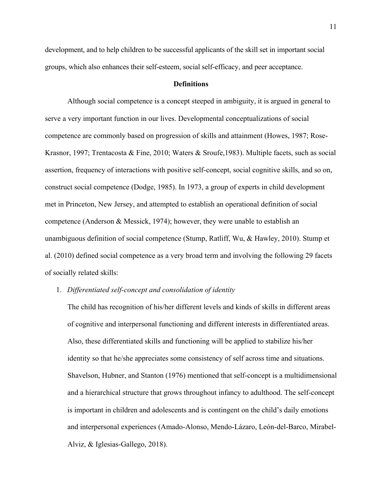development, and to help children to be successful applicants of the skill set in important social groups, which also enhances their self-esteem, social self-efficacy, and peer acceptance.

#### **Definitions**

Although social competence is a concept steeped in ambiguity, it is argued in general to serve a very important function in our lives. Developmental conceptualizations of social competence are commonly based on progression of skills and attainment (Howes, 1987; Rose-Krasnor, 1997; Trentacosta & Fine, 2010; Waters & Sroufe,1983). Multiple facets, such as social assertion, frequency of interactions with positive self-concept, social cognitive skills, and so on, construct social competence (Dodge, 1985). In 1973, a group of experts in child development met in Princeton, New Jersey, and attempted to establish an operational definition of social competence (Anderson & Messick, 1974); however, they were unable to establish an unambiguous definition of social competence (Stump, Ratliff, Wu, & Hawley, 2010). Stump et al. (2010) defined social competence as a very broad term and involving the following 29 facets of socially related skills:

#### 1. *Differentiated self-concept and consolidation of identity*

The child has recognition of his/her different levels and kinds of skills in different areas of cognitive and interpersonal functioning and different interests in differentiated areas. Also, these differentiated skills and functioning will be applied to stabilize his/her identity so that he/she appreciates some consistency of self across time and situations. Shavelson, Hubner, and Stanton (1976) mentioned that self-concept is a multidimensional and a hierarchical structure that grows throughout infancy to adulthood. The self-concept is important in children and adolescents and is contingent on the child's daily emotions and interpersonal experiences (Amado-Alonso, Mendo-Lázaro, León-del-Barco, Mirabel-Alviz, & Iglesias-Gallego, 2018).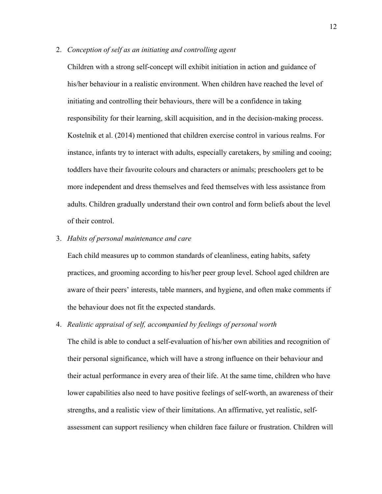2. *Conception of self as an initiating and controlling agent*

Children with a strong self-concept will exhibit initiation in action and guidance of his/her behaviour in a realistic environment. When children have reached the level of initiating and controlling their behaviours, there will be a confidence in taking responsibility for their learning, skill acquisition, and in the decision-making process. Kostelnik et al. (2014) mentioned that children exercise control in various realms. For instance, infants try to interact with adults, especially caretakers, by smiling and cooing; toddlers have their favourite colours and characters or animals; preschoolers get to be more independent and dress themselves and feed themselves with less assistance from adults. Children gradually understand their own control and form beliefs about the level of their control.

3. *Habits of personal maintenance and care*

Each child measures up to common standards of cleanliness, eating habits, safety practices, and grooming according to his/her peer group level. School aged children are aware of their peers' interests, table manners, and hygiene, and often make comments if the behaviour does not fit the expected standards.

#### 4. *Realistic appraisal of self, accompanied by feelings of personal worth*

The child is able to conduct a self-evaluation of his/her own abilities and recognition of their personal significance, which will have a strong influence on their behaviour and their actual performance in every area of their life. At the same time, children who have lower capabilities also need to have positive feelings of self-worth, an awareness of their strengths, and a realistic view of their limitations. An affirmative, yet realistic, selfassessment can support resiliency when children face failure or frustration. Children will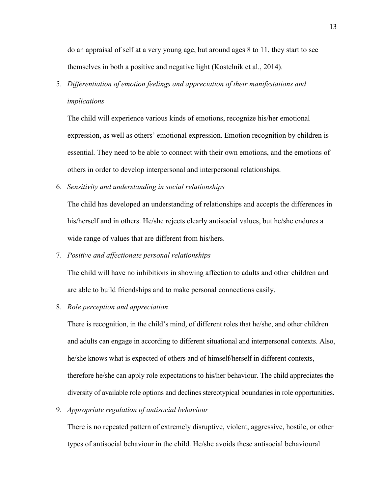do an appraisal of self at a very young age, but around ages 8 to 11, they start to see themselves in both a positive and negative light (Kostelnik et al., 2014).

5. *Differentiation of emotion feelings and appreciation of their manifestations and implications*

The child will experience various kinds of emotions, recognize his/her emotional expression, as well as others' emotional expression. Emotion recognition by children is essential. They need to be able to connect with their own emotions, and the emotions of others in order to develop interpersonal and interpersonal relationships.

6. *Sensitivity and understanding in social relationships*

The child has developed an understanding of relationships and accepts the differences in his/herself and in others. He/she rejects clearly antisocial values, but he/she endures a wide range of values that are different from his/hers.

7. *Positive and affectionate personal relationships*

The child will have no inhibitions in showing affection to adults and other children and are able to build friendships and to make personal connections easily.

8. *Role perception and appreciation*

There is recognition, in the child's mind, of different roles that he/she, and other children and adults can engage in according to different situational and interpersonal contexts. Also, he/she knows what is expected of others and of himself/herself in different contexts, therefore he/she can apply role expectations to his/her behaviour. The child appreciates the diversity of available role options and declines stereotypical boundaries in role opportunities.

9. *Appropriate regulation of antisocial behaviour*

There is no repeated pattern of extremely disruptive, violent, aggressive, hostile, or other types of antisocial behaviour in the child. He/she avoids these antisocial behavioural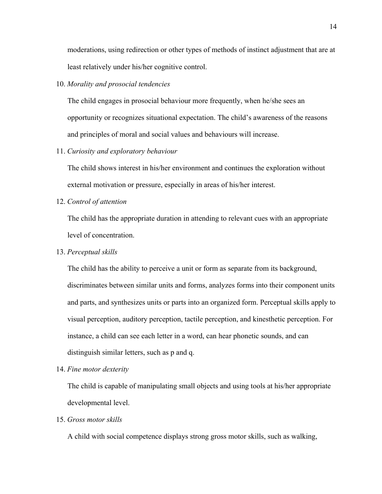moderations, using redirection or other types of methods of instinct adjustment that are at least relatively under his/her cognitive control.

#### 10. *Morality and prosocial tendencies*

The child engages in prosocial behaviour more frequently, when he/she sees an opportunity or recognizes situational expectation. The child's awareness of the reasons and principles of moral and social values and behaviours will increase.

#### 11. *Curiosity and exploratory behaviour*

The child shows interest in his/her environment and continues the exploration without external motivation or pressure, especially in areas of his/her interest.

12. *Control of attention*

The child has the appropriate duration in attending to relevant cues with an appropriate level of concentration.

#### 13. *Perceptual skills*

The child has the ability to perceive a unit or form as separate from its background, discriminates between similar units and forms, analyzes forms into their component units and parts, and synthesizes units or parts into an organized form. Perceptual skills apply to visual perception, auditory perception, tactile perception, and kinesthetic perception. For instance, a child can see each letter in a word, can hear phonetic sounds, and can distinguish similar letters, such as p and q.

14. *Fine motor dexterity*

The child is capable of manipulating small objects and using tools at his/her appropriate developmental level.

#### 15. *Gross motor skills*

A child with social competence displays strong gross motor skills, such as walking,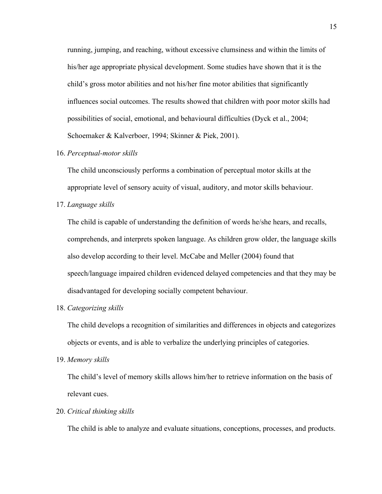running, jumping, and reaching, without excessive clumsiness and within the limits of his/her age appropriate physical development. Some studies have shown that it is the child's gross motor abilities and not his/her fine motor abilities that significantly influences social outcomes. The results showed that children with poor motor skills had possibilities of social, emotional, and behavioural difficulties (Dyck et al., 2004; Schoemaker & Kalverboer, 1994; Skinner & Piek, 2001).

#### 16. *Perceptual-motor skills*

The child unconsciously performs a combination of perceptual motor skills at the appropriate level of sensory acuity of visual, auditory, and motor skills behaviour.

17. *Language skills* 

The child is capable of understanding the definition of words he/she hears, and recalls, comprehends, and interprets spoken language. As children grow older, the language skills also develop according to their level. McCabe and Meller (2004) found that speech/language impaired children evidenced delayed competencies and that they may be disadvantaged for developing socially competent behaviour.

18. *Categorizing skills*

The child develops a recognition of similarities and differences in objects and categorizes objects or events, and is able to verbalize the underlying principles of categories.

19. *Memory skills* 

The child's level of memory skills allows him/her to retrieve information on the basis of relevant cues.

20. *Critical thinking skills* 

The child is able to analyze and evaluate situations, conceptions, processes, and products.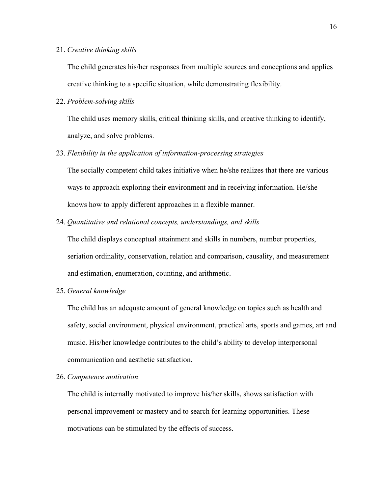#### 21. *Creative thinking skills*

The child generates his/her responses from multiple sources and conceptions and applies creative thinking to a specific situation, while demonstrating flexibility.

22. *Problem-solving skills* 

The child uses memory skills, critical thinking skills, and creative thinking to identify, analyze, and solve problems.

23. *Flexibility in the application of information-processing strategies* 

The socially competent child takes initiative when he/she realizes that there are various ways to approach exploring their environment and in receiving information. He/she knows how to apply different approaches in a flexible manner.

24. *Quantitative and relational concepts, understandings, and skills* 

The child displays conceptual attainment and skills in numbers, number properties, seriation ordinality, conservation, relation and comparison, causality, and measurement and estimation, enumeration, counting, and arithmetic.

25. *General knowledge*

The child has an adequate amount of general knowledge on topics such as health and safety, social environment, physical environment, practical arts, sports and games, art and music. His/her knowledge contributes to the child's ability to develop interpersonal communication and aesthetic satisfaction.

#### 26. *Competence motivation*

The child is internally motivated to improve his/her skills, shows satisfaction with personal improvement or mastery and to search for learning opportunities. These motivations can be stimulated by the effects of success.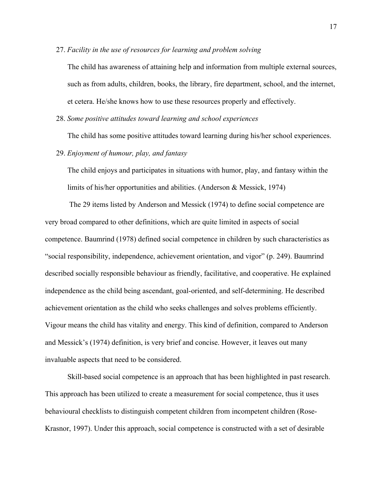27. *Facility in the use of resources for learning and problem solving*

The child has awareness of attaining help and information from multiple external sources, such as from adults, children, books, the library, fire department, school, and the internet, et cetera. He/she knows how to use these resources properly and effectively.

28. *Some positive attitudes toward learning and school experiences*

The child has some positive attitudes toward learning during his/her school experiences.

29. *Enjoyment of humour, play, and fantasy*

The child enjoys and participates in situations with humor, play, and fantasy within the limits of his/her opportunities and abilities. (Anderson & Messick, 1974)

The 29 items listed by Anderson and Messick (1974) to define social competence are very broad compared to other definitions, which are quite limited in aspects of social competence. Baumrind (1978) defined social competence in children by such characteristics as "social responsibility, independence, achievement orientation, and vigor" (p. 249). Baumrind described socially responsible behaviour as friendly, facilitative, and cooperative. He explained independence as the child being ascendant, goal-oriented, and self-determining. He described achievement orientation as the child who seeks challenges and solves problems efficiently. Vigour means the child has vitality and energy. This kind of definition, compared to Anderson and Messick's (1974) definition, is very brief and concise. However, it leaves out many invaluable aspects that need to be considered.

Skill-based social competence is an approach that has been highlighted in past research. This approach has been utilized to create a measurement for social competence, thus it uses behavioural checklists to distinguish competent children from incompetent children (Rose-Krasnor, 1997). Under this approach, social competence is constructed with a set of desirable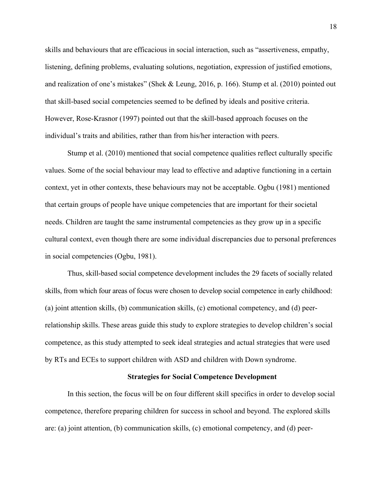skills and behaviours that are efficacious in social interaction, such as "assertiveness, empathy, listening, defining problems, evaluating solutions, negotiation, expression of justified emotions, and realization of one's mistakes" (Shek & Leung, 2016, p. 166). Stump et al. (2010) pointed out that skill-based social competencies seemed to be defined by ideals and positive criteria. However, Rose-Krasnor (1997) pointed out that the skill-based approach focuses on the individual's traits and abilities, rather than from his/her interaction with peers.

Stump et al. (2010) mentioned that social competence qualities reflect culturally specific values. Some of the social behaviour may lead to effective and adaptive functioning in a certain context, yet in other contexts, these behaviours may not be acceptable. Ogbu (1981) mentioned that certain groups of people have unique competencies that are important for their societal needs. Children are taught the same instrumental competencies as they grow up in a specific cultural context, even though there are some individual discrepancies due to personal preferences in social competencies (Ogbu, 1981).

Thus, skill-based social competence development includes the 29 facets of socially related skills, from which four areas of focus were chosen to develop social competence in early childhood: (a) joint attention skills, (b) communication skills, (c) emotional competency, and (d) peerrelationship skills. These areas guide this study to explore strategies to develop children's social competence, as this study attempted to seek ideal strategies and actual strategies that were used by RTs and ECEs to support children with ASD and children with Down syndrome.

#### **Strategies for Social Competence Development**

In this section, the focus will be on four different skill specifics in order to develop social competence, therefore preparing children for success in school and beyond. The explored skills are: (a) joint attention, (b) communication skills, (c) emotional competency, and (d) peer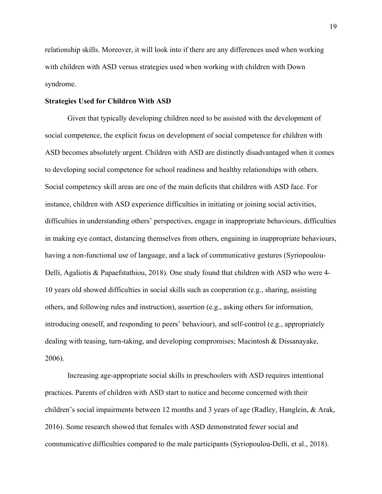relationship skills. Moreover, it will look into if there are any differences used when working with children with ASD versus strategies used when working with children with Down syndrome.

#### **Strategies Used for Children With ASD**

Given that typically developing children need to be assisted with the development of social competence, the explicit focus on development of social competence for children with ASD becomes absolutely urgent. Children with ASD are distinctly disadvantaged when it comes to developing social competence for school readiness and healthy relationships with others. Social competency skill areas are one of the main deficits that children with ASD face. For instance, children with ASD experience difficulties in initiating or joining social activities, difficulties in understanding others' perspectives, engage in inappropriate behaviours, difficulties in making eye contact, distancing themselves from others, engaining in inappropriate behaviours, having a non-functional use of language, and a lack of communicative gestures (Syriopoulou-Delli, Agaliotis & Papaefstathiou, 2018). One study found that children with ASD who were 4- 10 years old showed difficulties in social skills such as cooperation (e.g., sharing, assisting others, and following rules and instruction), assertion (e.g., asking others for information, introducing oneself, and responding to peers' behaviour), and self-control (e.g., appropriately dealing with teasing, turn-taking, and developing compromises; Macintosh  $\&$  Dissanayake, 2006).

Increasing age-appropriate social skills in preschoolers with ASD requires intentional practices. Parents of children with ASD start to notice and become concerned with their children's social impairments between 12 months and 3 years of age (Radley, Hanglein, & Arak, 2016). Some research showed that females with ASD demonstrated fewer social and communicative difficulties compared to the male participants (Syriopoulou-Delli, et al., 2018).

19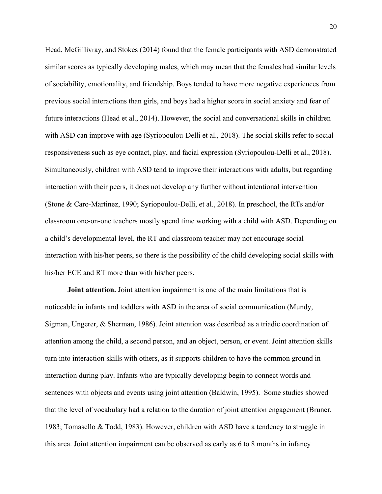Head, McGillivray, and Stokes (2014) found that the female participants with ASD demonstrated similar scores as typically developing males, which may mean that the females had similar levels of sociability, emotionality, and friendship. Boys tended to have more negative experiences from previous social interactions than girls, and boys had a higher score in social anxiety and fear of future interactions (Head et al., 2014). However, the social and conversational skills in children with ASD can improve with age (Syriopoulou-Delli et al., 2018). The social skills refer to social responsiveness such as eye contact, play, and facial expression (Syriopoulou-Delli et al., 2018). Simultaneously, children with ASD tend to improve their interactions with adults, but regarding interaction with their peers, it does not develop any further without intentional intervention (Stone & Caro-Martinez, 1990; Syriopoulou-Delli, et al., 2018). In preschool, the RTs and/or classroom one-on-one teachers mostly spend time working with a child with ASD. Depending on a child's developmental level, the RT and classroom teacher may not encourage social interaction with his/her peers, so there is the possibility of the child developing social skills with his/her ECE and RT more than with his/her peers.

**Joint attention.** Joint attention impairment is one of the main limitations that is noticeable in infants and toddlers with ASD in the area of social communication (Mundy, Sigman, Ungerer, & Sherman, 1986). Joint attention was described as a triadic coordination of attention among the child, a second person, and an object, person, or event. Joint attention skills turn into interaction skills with others, as it supports children to have the common ground in interaction during play. Infants who are typically developing begin to connect words and sentences with objects and events using joint attention (Baldwin, 1995). Some studies showed that the level of vocabulary had a relation to the duration of joint attention engagement (Bruner, 1983; Tomasello & Todd, 1983). However, children with ASD have a tendency to struggle in this area. Joint attention impairment can be observed as early as 6 to 8 months in infancy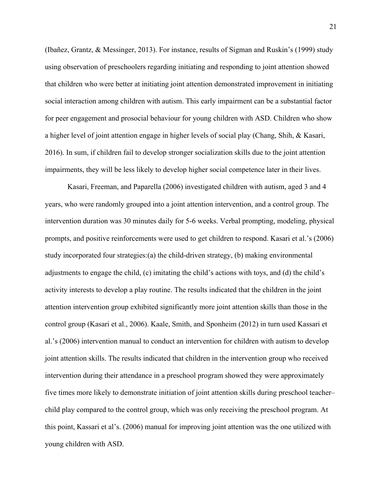(Ibañez, Grantz, & Messinger, 2013). For instance, results of Sigman and Ruskin's (1999) study using observation of preschoolers regarding initiating and responding to joint attention showed that children who were better at initiating joint attention demonstrated improvement in initiating social interaction among children with autism. This early impairment can be a substantial factor for peer engagement and prosocial behaviour for young children with ASD. Children who show a higher level of joint attention engage in higher levels of social play (Chang, Shih, & Kasari, 2016). In sum, if children fail to develop stronger socialization skills due to the joint attention impairments, they will be less likely to develop higher social competence later in their lives.

Kasari, Freeman, and Paparella (2006) investigated children with autism, aged 3 and 4 years, who were randomly grouped into a joint attention intervention, and a control group. The intervention duration was 30 minutes daily for 5-6 weeks. Verbal prompting, modeling, physical prompts, and positive reinforcements were used to get children to respond. Kasari et al.'s (2006) study incorporated four strategies:(a) the child-driven strategy, (b) making environmental adjustments to engage the child, (c) imitating the child's actions with toys, and (d) the child's activity interests to develop a play routine. The results indicated that the children in the joint attention intervention group exhibited significantly more joint attention skills than those in the control group (Kasari et al., 2006). Kaale, Smith, and Sponheim (2012) in turn used Kassari et al.'s (2006) intervention manual to conduct an intervention for children with autism to develop joint attention skills. The results indicated that children in the intervention group who received intervention during their attendance in a preschool program showed they were approximately five times more likely to demonstrate initiation of joint attention skills during preschool teacher– child play compared to the control group, which was only receiving the preschool program. At this point, Kassari et al's. (2006) manual for improving joint attention was the one utilized with young children with ASD.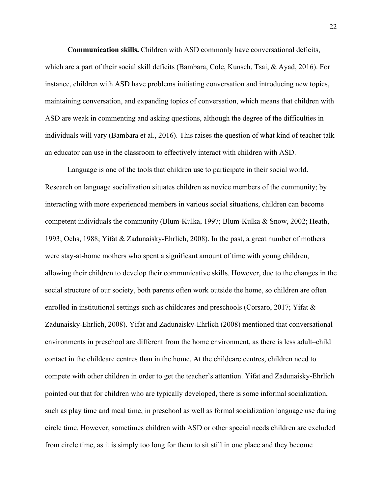**Communication skills.** Children with ASD commonly have conversational deficits, which are a part of their social skill deficits (Bambara, Cole, Kunsch, Tsai, & Ayad, 2016). For instance, children with ASD have problems initiating conversation and introducing new topics, maintaining conversation, and expanding topics of conversation, which means that children with ASD are weak in commenting and asking questions, although the degree of the difficulties in individuals will vary (Bambara et al., 2016). This raises the question of what kind of teacher talk an educator can use in the classroom to effectively interact with children with ASD.

Language is one of the tools that children use to participate in their social world. Research on language socialization situates children as novice members of the community; by interacting with more experienced members in various social situations, children can become competent individuals the community (Blum-Kulka, 1997; Blum-Kulka & Snow, 2002; Heath, 1993; Ochs, 1988; Yifat & Zadunaisky-Ehrlich, 2008). In the past, a great number of mothers were stay-at-home mothers who spent a significant amount of time with young children, allowing their children to develop their communicative skills. However, due to the changes in the social structure of our society, both parents often work outside the home, so children are often enrolled in institutional settings such as childcares and preschools (Corsaro, 2017; Yifat & Zadunaisky-Ehrlich, 2008). Yifat and Zadunaisky-Ehrlich (2008) mentioned that conversational environments in preschool are different from the home environment, as there is less adult–child contact in the childcare centres than in the home. At the childcare centres, children need to compete with other children in order to get the teacher's attention. Yifat and Zadunaisky-Ehrlich pointed out that for children who are typically developed, there is some informal socialization, such as play time and meal time, in preschool as well as formal socialization language use during circle time. However, sometimes children with ASD or other special needs children are excluded from circle time, as it is simply too long for them to sit still in one place and they become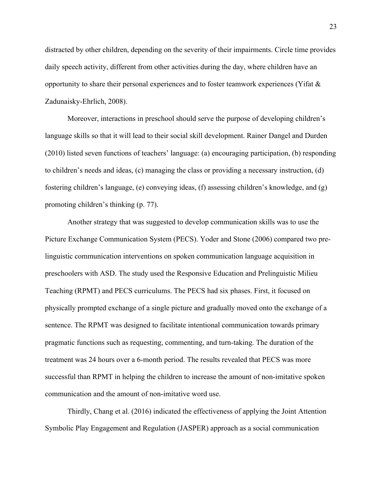distracted by other children, depending on the severity of their impairments. Circle time provides daily speech activity, different from other activities during the day, where children have an opportunity to share their personal experiences and to foster teamwork experiences (Yifat  $\&$ Zadunaisky-Ehrlich, 2008).

Moreover, interactions in preschool should serve the purpose of developing children's language skills so that it will lead to their social skill development. Rainer Dangel and Durden (2010) listed seven functions of teachers' language: (a) encouraging participation, (b) responding to children's needs and ideas, (c) managing the class or providing a necessary instruction, (d) fostering children's language, (e) conveying ideas, (f) assessing children's knowledge, and (g) promoting children's thinking (p. 77).

Another strategy that was suggested to develop communication skills was to use the Picture Exchange Communication System (PECS). Yoder and Stone (2006) compared two prelinguistic communication interventions on spoken communication language acquisition in preschoolers with ASD. The study used the Responsive Education and Prelinguistic Milieu Teaching (RPMT) and PECS curriculums. The PECS had six phases. First, it focused on physically prompted exchange of a single picture and gradually moved onto the exchange of a sentence. The RPMT was designed to facilitate intentional communication towards primary pragmatic functions such as requesting, commenting, and turn-taking. The duration of the treatment was 24 hours over a 6-month period. The results revealed that PECS was more successful than RPMT in helping the children to increase the amount of non-imitative spoken communication and the amount of non-imitative word use.

Thirdly, Chang et al. (2016) indicated the effectiveness of applying the Joint Attention Symbolic Play Engagement and Regulation (JASPER) approach as a social communication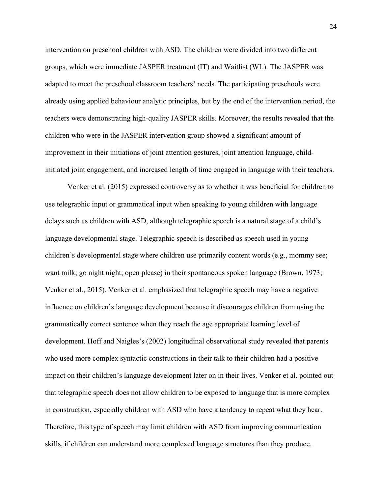intervention on preschool children with ASD. The children were divided into two different groups, which were immediate JASPER treatment (IT) and Waitlist (WL). The JASPER was adapted to meet the preschool classroom teachers' needs. The participating preschools were already using applied behaviour analytic principles, but by the end of the intervention period, the teachers were demonstrating high-quality JASPER skills. Moreover, the results revealed that the children who were in the JASPER intervention group showed a significant amount of improvement in their initiations of joint attention gestures, joint attention language, childinitiated joint engagement, and increased length of time engaged in language with their teachers.

Venker et al. (2015) expressed controversy as to whether it was beneficial for children to use telegraphic input or grammatical input when speaking to young children with language delays such as children with ASD, although telegraphic speech is a natural stage of a child's language developmental stage. Telegraphic speech is described as speech used in young children's developmental stage where children use primarily content words (e.g., mommy see; want milk; go night night; open please) in their spontaneous spoken language (Brown, 1973; Venker et al., 2015). Venker et al. emphasized that telegraphic speech may have a negative influence on children's language development because it discourages children from using the grammatically correct sentence when they reach the age appropriate learning level of development. Hoff and Naigles's (2002) longitudinal observational study revealed that parents who used more complex syntactic constructions in their talk to their children had a positive impact on their children's language development later on in their lives. Venker et al. pointed out that telegraphic speech does not allow children to be exposed to language that is more complex in construction, especially children with ASD who have a tendency to repeat what they hear. Therefore, this type of speech may limit children with ASD from improving communication skills, if children can understand more complexed language structures than they produce.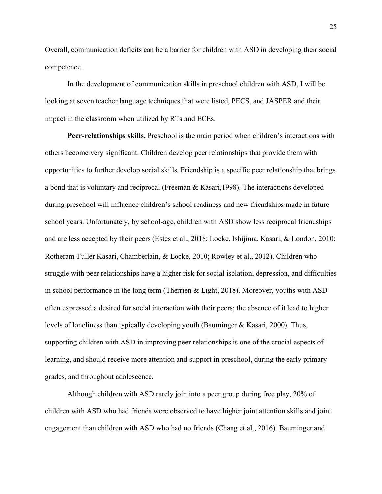Overall, communication deficits can be a barrier for children with ASD in developing their social competence.

In the development of communication skills in preschool children with ASD, I will be looking at seven teacher language techniques that were listed, PECS, and JASPER and their impact in the classroom when utilized by RTs and ECEs.

**Peer-relationships skills.** Preschool is the main period when children's interactions with others become very significant. Children develop peer relationships that provide them with opportunities to further develop social skills. Friendship is a specific peer relationship that brings a bond that is voluntary and reciprocal (Freeman & Kasari,1998). The interactions developed during preschool will influence children's school readiness and new friendships made in future school years. Unfortunately, by school-age, children with ASD show less reciprocal friendships and are less accepted by their peers (Estes et al., 2018; Locke, Ishijima, Kasari, & London, 2010; Rotheram-Fuller Kasari, Chamberlain, & Locke, 2010; Rowley et al., 2012). Children who struggle with peer relationships have a higher risk for social isolation, depression, and difficulties in school performance in the long term (Therrien & Light, 2018). Moreover, youths with ASD often expressed a desired for social interaction with their peers; the absence of it lead to higher levels of loneliness than typically developing youth (Bauminger & Kasari, 2000). Thus, supporting children with ASD in improving peer relationships is one of the crucial aspects of learning, and should receive more attention and support in preschool, during the early primary grades, and throughout adolescence.

Although children with ASD rarely join into a peer group during free play, 20% of children with ASD who had friends were observed to have higher joint attention skills and joint engagement than children with ASD who had no friends (Chang et al., 2016). Bauminger and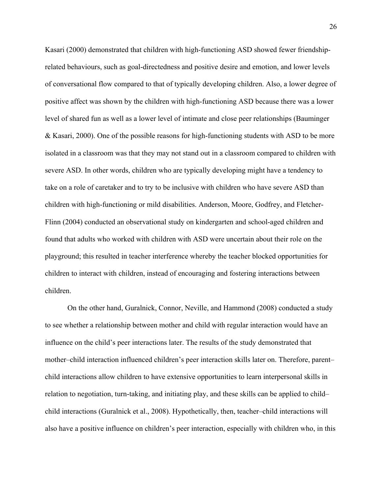Kasari (2000) demonstrated that children with high-functioning ASD showed fewer friendshiprelated behaviours, such as goal-directedness and positive desire and emotion, and lower levels of conversational flow compared to that of typically developing children. Also, a lower degree of positive affect was shown by the children with high-functioning ASD because there was a lower level of shared fun as well as a lower level of intimate and close peer relationships (Bauminger & Kasari, 2000). One of the possible reasons for high-functioning students with ASD to be more isolated in a classroom was that they may not stand out in a classroom compared to children with severe ASD. In other words, children who are typically developing might have a tendency to take on a role of caretaker and to try to be inclusive with children who have severe ASD than children with high-functioning or mild disabilities. Anderson, Moore, Godfrey, and Fletcher-Flinn (2004) conducted an observational study on kindergarten and school-aged children and found that adults who worked with children with ASD were uncertain about their role on the playground; this resulted in teacher interference whereby the teacher blocked opportunities for children to interact with children, instead of encouraging and fostering interactions between children.

On the other hand, Guralnick, Connor, Neville, and Hammond (2008) conducted a study to see whether a relationship between mother and child with regular interaction would have an influence on the child's peer interactions later. The results of the study demonstrated that mother–child interaction influenced children's peer interaction skills later on. Therefore, parent– child interactions allow children to have extensive opportunities to learn interpersonal skills in relation to negotiation, turn-taking, and initiating play, and these skills can be applied to child– child interactions (Guralnick et al., 2008). Hypothetically, then, teacher–child interactions will also have a positive influence on children's peer interaction, especially with children who, in this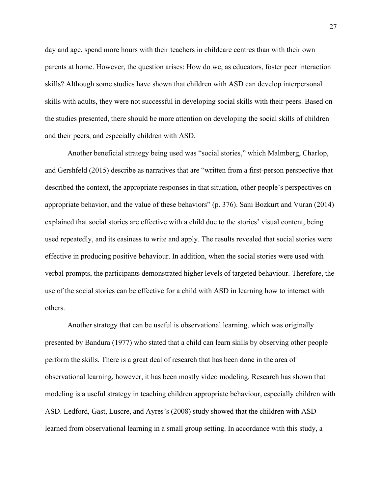day and age, spend more hours with their teachers in childcare centres than with their own parents at home. However, the question arises: How do we, as educators, foster peer interaction skills? Although some studies have shown that children with ASD can develop interpersonal skills with adults, they were not successful in developing social skills with their peers. Based on the studies presented, there should be more attention on developing the social skills of children and their peers, and especially children with ASD.

Another beneficial strategy being used was "social stories," which Malmberg, Charlop, and Gershfeld (2015) describe as narratives that are "written from a first-person perspective that described the context, the appropriate responses in that situation, other people's perspectives on appropriate behavior, and the value of these behaviors" (p. 376). Sani Bozkurt and Vuran (2014) explained that social stories are effective with a child due to the stories' visual content, being used repeatedly, and its easiness to write and apply. The results revealed that social stories were effective in producing positive behaviour. In addition, when the social stories were used with verbal prompts, the participants demonstrated higher levels of targeted behaviour. Therefore, the use of the social stories can be effective for a child with ASD in learning how to interact with others.

Another strategy that can be useful is observational learning, which was originally presented by Bandura (1977) who stated that a child can learn skills by observing other people perform the skills. There is a great deal of research that has been done in the area of observational learning, however, it has been mostly video modeling. Research has shown that modeling is a useful strategy in teaching children appropriate behaviour, especially children with ASD. Ledford, Gast, Luscre, and Ayres's (2008) study showed that the children with ASD learned from observational learning in a small group setting. In accordance with this study, a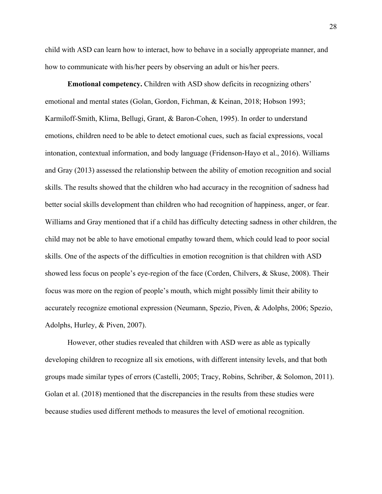child with ASD can learn how to interact, how to behave in a socially appropriate manner, and how to communicate with his/her peers by observing an adult or his/her peers.

**Emotional competency.** Children with ASD show deficits in recognizing others' emotional and mental states (Golan, Gordon, Fichman, & Keinan, 2018; Hobson 1993; Karmiloff-Smith, Klima, Bellugi, Grant, & Baron-Cohen, 1995). In order to understand emotions, children need to be able to detect emotional cues, such as facial expressions, vocal intonation, contextual information, and body language (Fridenson-Hayo et al., 2016). Williams and Gray (2013) assessed the relationship between the ability of emotion recognition and social skills. The results showed that the children who had accuracy in the recognition of sadness had better social skills development than children who had recognition of happiness, anger, or fear. Williams and Gray mentioned that if a child has difficulty detecting sadness in other children, the child may not be able to have emotional empathy toward them, which could lead to poor social skills. One of the aspects of the difficulties in emotion recognition is that children with ASD showed less focus on people's eye-region of the face (Corden, Chilvers, & Skuse, 2008). Their focus was more on the region of people's mouth, which might possibly limit their ability to accurately recognize emotional expression (Neumann, Spezio, Piven, & Adolphs, 2006; Spezio, Adolphs, Hurley, & Piven, 2007).

However, other studies revealed that children with ASD were as able as typically developing children to recognize all six emotions, with different intensity levels, and that both groups made similar types of errors (Castelli, 2005; Tracy, Robins, Schriber, & Solomon, 2011). Golan et al. (2018) mentioned that the discrepancies in the results from these studies were because studies used different methods to measures the level of emotional recognition.

28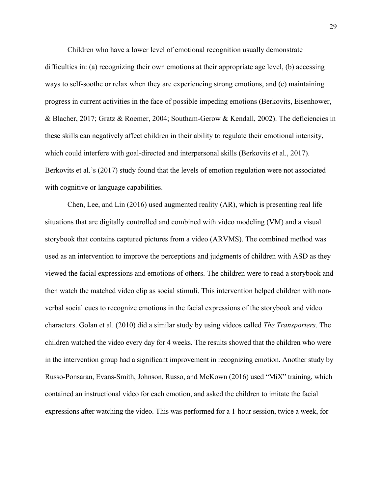Children who have a lower level of emotional recognition usually demonstrate difficulties in: (a) recognizing their own emotions at their appropriate age level, (b) accessing ways to self-soothe or relax when they are experiencing strong emotions, and (c) maintaining progress in current activities in the face of possible impeding emotions (Berkovits, Eisenhower, & Blacher, 2017; Gratz & Roemer, 2004; Southam-Gerow & Kendall, 2002). The deficiencies in these skills can negatively affect children in their ability to regulate their emotional intensity, which could interfere with goal-directed and interpersonal skills (Berkovits et al., 2017). Berkovits et al.'s (2017) study found that the levels of emotion regulation were not associated with cognitive or language capabilities.

Chen, Lee, and Lin (2016) used augmented reality (AR), which is presenting real life situations that are digitally controlled and combined with video modeling (VM) and a visual storybook that contains captured pictures from a video (ARVMS). The combined method was used as an intervention to improve the perceptions and judgments of children with ASD as they viewed the facial expressions and emotions of others. The children were to read a storybook and then watch the matched video clip as social stimuli. This intervention helped children with nonverbal social cues to recognize emotions in the facial expressions of the storybook and video characters. Golan et al. (2010) did a similar study by using videos called *The Transporters*. The children watched the video every day for 4 weeks. The results showed that the children who were in the intervention group had a significant improvement in recognizing emotion. Another study by Russo-Ponsaran, Evans-Smith, Johnson, Russo, and McKown (2016) used "MiX" training, which contained an instructional video for each emotion, and asked the children to imitate the facial expressions after watching the video. This was performed for a 1-hour session, twice a week, for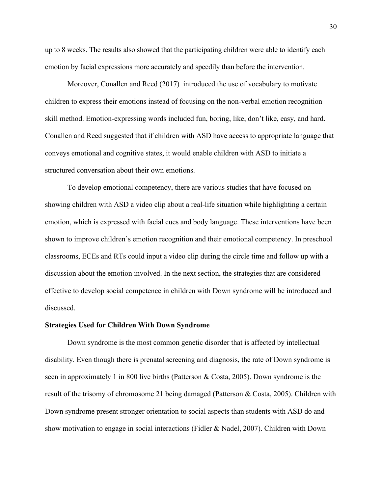up to 8 weeks. The results also showed that the participating children were able to identify each emotion by facial expressions more accurately and speedily than before the intervention.

Moreover, Conallen and Reed (2017) introduced the use of vocabulary to motivate children to express their emotions instead of focusing on the non-verbal emotion recognition skill method. Emotion-expressing words included fun, boring, like, don't like, easy, and hard. Conallen and Reed suggested that if children with ASD have access to appropriate language that conveys emotional and cognitive states, it would enable children with ASD to initiate a structured conversation about their own emotions.

To develop emotional competency, there are various studies that have focused on showing children with ASD a video clip about a real-life situation while highlighting a certain emotion, which is expressed with facial cues and body language. These interventions have been shown to improve children's emotion recognition and their emotional competency. In preschool classrooms, ECEs and RTs could input a video clip during the circle time and follow up with a discussion about the emotion involved. In the next section, the strategies that are considered effective to develop social competence in children with Down syndrome will be introduced and discussed.

#### **Strategies Used for Children With Down Syndrome**

Down syndrome is the most common genetic disorder that is affected by intellectual disability. Even though there is prenatal screening and diagnosis, the rate of Down syndrome is seen in approximately 1 in 800 live births (Patterson & Costa, 2005). Down syndrome is the result of the trisomy of chromosome 21 being damaged (Patterson & Costa, 2005). Children with Down syndrome present stronger orientation to social aspects than students with ASD do and show motivation to engage in social interactions (Fidler & Nadel, 2007). Children with Down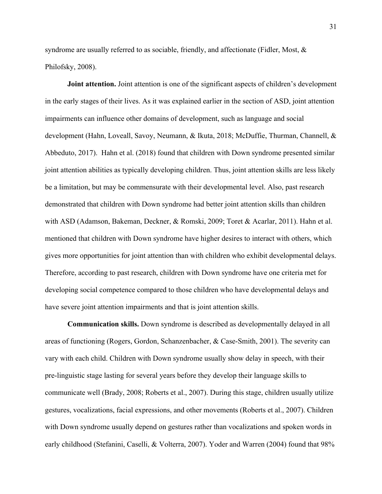syndrome are usually referred to as sociable, friendly, and affectionate (Fidler, Most, & Philofsky, 2008).

**Joint attention.** Joint attention is one of the significant aspects of children's development in the early stages of their lives. As it was explained earlier in the section of ASD, joint attention impairments can influence other domains of development, such as language and social development (Hahn, Loveall, Savoy, Neumann, & Ikuta, 2018; McDuffie, Thurman, Channell, & Abbeduto, 2017). Hahn et al. (2018) found that children with Down syndrome presented similar joint attention abilities as typically developing children. Thus, joint attention skills are less likely be a limitation, but may be commensurate with their developmental level. Also, past research demonstrated that children with Down syndrome had better joint attention skills than children with ASD (Adamson, Bakeman, Deckner, & Romski, 2009; Toret & Acarlar, 2011). Hahn et al. mentioned that children with Down syndrome have higher desires to interact with others, which gives more opportunities for joint attention than with children who exhibit developmental delays. Therefore, according to past research, children with Down syndrome have one criteria met for developing social competence compared to those children who have developmental delays and have severe joint attention impairments and that is joint attention skills.

**Communication skills.** Down syndrome is described as developmentally delayed in all areas of functioning (Rogers, Gordon, Schanzenbacher, & Case-Smith, 2001). The severity can vary with each child. Children with Down syndrome usually show delay in speech, with their pre-linguistic stage lasting for several years before they develop their language skills to communicate well (Brady, 2008; Roberts et al., 2007). During this stage, children usually utilize gestures, vocalizations, facial expressions, and other movements (Roberts et al., 2007). Children with Down syndrome usually depend on gestures rather than vocalizations and spoken words in early childhood (Stefanini, Caselli, & Volterra, 2007). Yoder and Warren (2004) found that 98%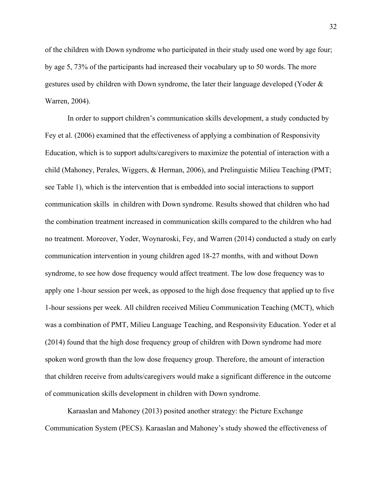of the children with Down syndrome who participated in their study used one word by age four; by age 5, 73% of the participants had increased their vocabulary up to 50 words. The more gestures used by children with Down syndrome, the later their language developed (Yoder & Warren, 2004).

In order to support children's communication skills development, a study conducted by Fey et al. (2006) examined that the effectiveness of applying a combination of Responsivity Education, which is to support adults/caregivers to maximize the potential of interaction with a child (Mahoney, Perales, Wiggers, & Herman, 2006), and Prelinguistic Milieu Teaching (PMT; see Table 1), which is the intervention that is embedded into social interactions to support communication skills in children with Down syndrome. Results showed that children who had the combination treatment increased in communication skills compared to the children who had no treatment. Moreover, Yoder, Woynaroski, Fey, and Warren (2014) conducted a study on early communication intervention in young children aged 18-27 months, with and without Down syndrome, to see how dose frequency would affect treatment. The low dose frequency was to apply one 1-hour session per week, as opposed to the high dose frequency that applied up to five 1-hour sessions per week. All children received Milieu Communication Teaching (MCT), which was a combination of PMT, Milieu Language Teaching, and Responsivity Education. Yoder et al (2014) found that the high dose frequency group of children with Down syndrome had more spoken word growth than the low dose frequency group. Therefore, the amount of interaction that children receive from adults/caregivers would make a significant difference in the outcome of communication skills development in children with Down syndrome.

Karaaslan and Mahoney (2013) posited another strategy: the Picture Exchange Communication System (PECS). Karaaslan and Mahoney's study showed the effectiveness of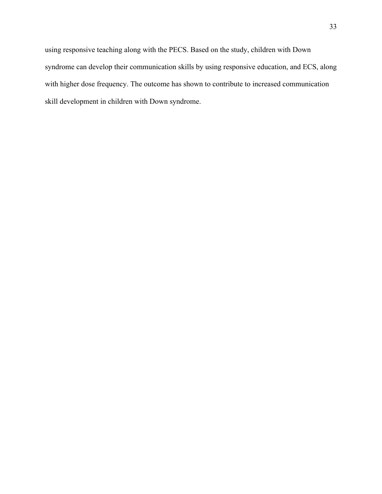using responsive teaching along with the PECS. Based on the study, children with Down syndrome can develop their communication skills by using responsive education, and ECS, along with higher dose frequency. The outcome has shown to contribute to increased communication skill development in children with Down syndrome.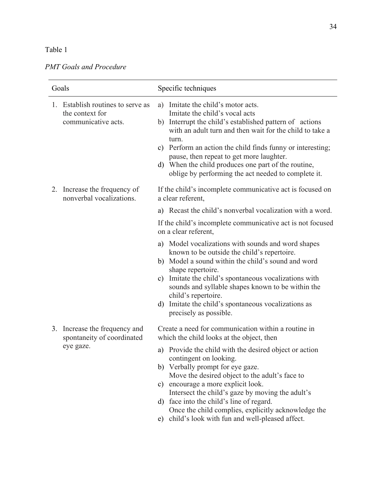## Table 1

## *PMT Goals and Procedure*

| Goals |                                                                             | Specific techniques                                                                                                                                                                                                                                                                                                                                                                                                                                                                                                          |  |  |  |  |
|-------|-----------------------------------------------------------------------------|------------------------------------------------------------------------------------------------------------------------------------------------------------------------------------------------------------------------------------------------------------------------------------------------------------------------------------------------------------------------------------------------------------------------------------------------------------------------------------------------------------------------------|--|--|--|--|
|       | 1. Establish routines to serve as<br>the context for<br>communicative acts. | Imitate the child's motor acts.<br>a)<br>Imitate the child's vocal acts<br>Interrupt the child's established pattern of actions<br>b)<br>with an adult turn and then wait for the child to take a<br>turn.<br>c) Perform an action the child finds funny or interesting;<br>pause, then repeat to get more laughter.<br>d) When the child produces one part of the routine,<br>oblige by performing the act needed to complete it.                                                                                           |  |  |  |  |
|       | 2. Increase the frequency of<br>nonverbal vocalizations.                    | If the child's incomplete communicative act is focused on<br>a clear referent,                                                                                                                                                                                                                                                                                                                                                                                                                                               |  |  |  |  |
|       |                                                                             | a) Recast the child's nonverbal vocalization with a word.                                                                                                                                                                                                                                                                                                                                                                                                                                                                    |  |  |  |  |
|       |                                                                             | If the child's incomplete communicative act is not focused<br>on a clear referent,                                                                                                                                                                                                                                                                                                                                                                                                                                           |  |  |  |  |
|       |                                                                             | a) Model vocalizations with sounds and word shapes<br>known to be outside the child's repertoire.<br>b) Model a sound within the child's sound and word<br>shape repertoire.<br>Imitate the child's spontaneous vocalizations with<br>C)<br>sounds and syllable shapes known to be within the<br>child's repertoire.<br>Imitate the child's spontaneous vocalizations as<br>d)<br>precisely as possible.                                                                                                                     |  |  |  |  |
| 3.    | Increase the frequency and<br>spontaneity of coordinated<br>eye gaze.       | Create a need for communication within a routine in<br>which the child looks at the object, then<br>a) Provide the child with the desired object or action<br>contingent on looking.<br>b) Verbally prompt for eye gaze.<br>Move the desired object to the adult's face to<br>c) encourage a more explicit look.<br>Intersect the child's gaze by moving the adult's<br>d) face into the child's line of regard.<br>Once the child complies, explicitly acknowledge the<br>e) child's look with fun and well-pleased affect. |  |  |  |  |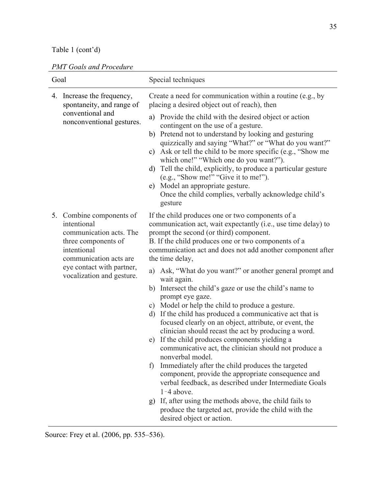# Table 1 (cont'd)

| <b>PMT Goals and Procedure</b> |
|--------------------------------|
|--------------------------------|

| The God's and Froceau c<br>Goal |                                                                                                                                                                                              | Special techniques                                                                                                                                                                                                                                                                                                                                                                                                                                                                                                                                                                                                                                                                                                                                                                                                                                                                                                                                                                                                                                                                                                                                                                         |  |  |  |  |  |
|---------------------------------|----------------------------------------------------------------------------------------------------------------------------------------------------------------------------------------------|--------------------------------------------------------------------------------------------------------------------------------------------------------------------------------------------------------------------------------------------------------------------------------------------------------------------------------------------------------------------------------------------------------------------------------------------------------------------------------------------------------------------------------------------------------------------------------------------------------------------------------------------------------------------------------------------------------------------------------------------------------------------------------------------------------------------------------------------------------------------------------------------------------------------------------------------------------------------------------------------------------------------------------------------------------------------------------------------------------------------------------------------------------------------------------------------|--|--|--|--|--|
| 4.                              | Increase the frequency,<br>spontaneity, and range of<br>conventional and<br>nonconventional gestures.                                                                                        | Create a need for communication within a routine (e.g., by<br>placing a desired object out of reach), then<br>Provide the child with the desired object or action<br>a)<br>contingent on the use of a gesture.<br>Pretend not to understand by looking and gesturing<br>b)<br>quizzically and saying "What?" or "What do you want?"<br>Ask or tell the child to be more specific (e.g., "Show me<br>c)<br>which one!" "Which one do you want?").<br>Tell the child, explicitly, to produce a particular gesture<br>d)<br>(e.g., "Show me!" "Give it to me!").<br>Model an appropriate gesture.<br>e)<br>Once the child complies, verbally acknowledge child's<br>gesture                                                                                                                                                                                                                                                                                                                                                                                                                                                                                                                   |  |  |  |  |  |
|                                 | 5. Combine components of<br>intentional<br>communication acts. The<br>three components of<br>intentional<br>communication acts are<br>eye contact with partner,<br>vocalization and gesture. | If the child produces one or two components of a<br>communication act, wait expectantly (i.e., use time delay) to<br>prompt the second (or third) component.<br>B. If the child produces one or two components of a<br>communication act and does not add another component after<br>the time delay,<br>Ask, "What do you want?" or another general prompt and<br>a)<br>wait again.<br>Intersect the child's gaze or use the child's name to<br>b)<br>prompt eye gaze.<br>c) Model or help the child to produce a gesture.<br>d) If the child has produced a communicative act that is<br>focused clearly on an object, attribute, or event, the<br>clinician should recast the act by producing a word.<br>If the child produces components yielding a<br>e)<br>communicative act, the clinician should not produce a<br>nonverbal model.<br>Immediately after the child produces the targeted<br>f<br>component, provide the appropriate consequence and<br>verbal feedback, as described under Intermediate Goals<br>$1 - 4$ above.<br>If, after using the methods above, the child fails to<br>g)<br>produce the targeted act, provide the child with the<br>desired object or action. |  |  |  |  |  |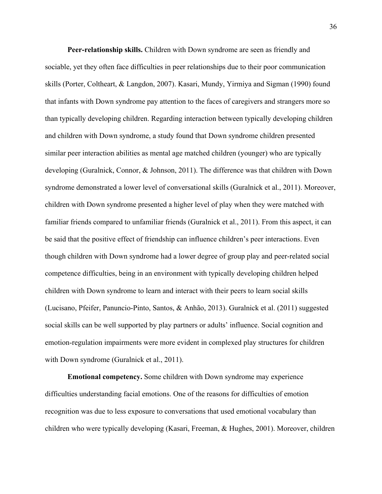**Peer-relationship skills.** Children with Down syndrome are seen as friendly and sociable, yet they often face difficulties in peer relationships due to their poor communication skills (Porter, Coltheart, & Langdon, 2007). Kasari, Mundy, Yirmiya and Sigman (1990) found that infants with Down syndrome pay attention to the faces of caregivers and strangers more so than typically developing children. Regarding interaction between typically developing children and children with Down syndrome, a study found that Down syndrome children presented similar peer interaction abilities as mental age matched children (younger) who are typically developing (Guralnick, Connor, & Johnson, 2011). The difference was that children with Down syndrome demonstrated a lower level of conversational skills (Guralnick et al., 2011). Moreover, children with Down syndrome presented a higher level of play when they were matched with familiar friends compared to unfamiliar friends (Guralnick et al., 2011). From this aspect, it can be said that the positive effect of friendship can influence children's peer interactions. Even though children with Down syndrome had a lower degree of group play and peer-related social competence difficulties, being in an environment with typically developing children helped children with Down syndrome to learn and interact with their peers to learn social skills (Lucisano, Pfeifer, Panuncio-Pinto, Santos, & Anhão, 2013). Guralnick et al. (2011) suggested social skills can be well supported by play partners or adults' influence. Social cognition and emotion-regulation impairments were more evident in complexed play structures for children with Down syndrome (Guralnick et al., 2011).

**Emotional competency.** Some children with Down syndrome may experience difficulties understanding facial emotions. One of the reasons for difficulties of emotion recognition was due to less exposure to conversations that used emotional vocabulary than children who were typically developing (Kasari, Freeman, & Hughes, 2001). Moreover, children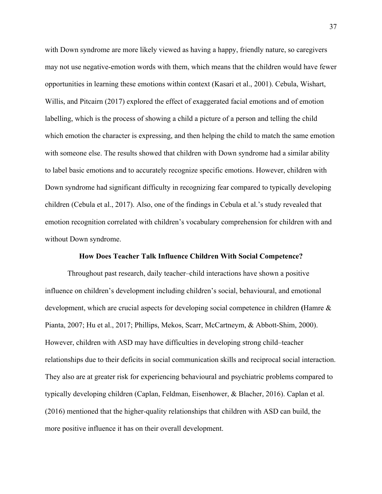with Down syndrome are more likely viewed as having a happy, friendly nature, so caregivers may not use negative-emotion words with them, which means that the children would have fewer opportunities in learning these emotions within context (Kasari et al., 2001). Cebula, Wishart, Willis, and Pitcairn (2017) explored the effect of exaggerated facial emotions and of emotion labelling, which is the process of showing a child a picture of a person and telling the child which emotion the character is expressing, and then helping the child to match the same emotion with someone else. The results showed that children with Down syndrome had a similar ability to label basic emotions and to accurately recognize specific emotions. However, children with Down syndrome had significant difficulty in recognizing fear compared to typically developing children (Cebula et al., 2017). Also, one of the findings in Cebula et al.'s study revealed that emotion recognition correlated with children's vocabulary comprehension for children with and without Down syndrome.

## **How Does Teacher Talk Influence Children With Social Competence?**

Throughout past research, daily teacher–child interactions have shown a positive influence on children's development including children's social, behavioural, and emotional development, which are crucial aspects for developing social competence in children **(**Hamre & Pianta, 2007; Hu et al., 2017; Phillips, Mekos, Scarr, McCartneym, & Abbott-Shim, 2000). However, children with ASD may have difficulties in developing strong child–teacher relationships due to their deficits in social communication skills and reciprocal social interaction. They also are at greater risk for experiencing behavioural and psychiatric problems compared to typically developing children (Caplan, Feldman, Eisenhower, & Blacher, 2016). Caplan et al. (2016) mentioned that the higher-quality relationships that children with ASD can build, the more positive influence it has on their overall development.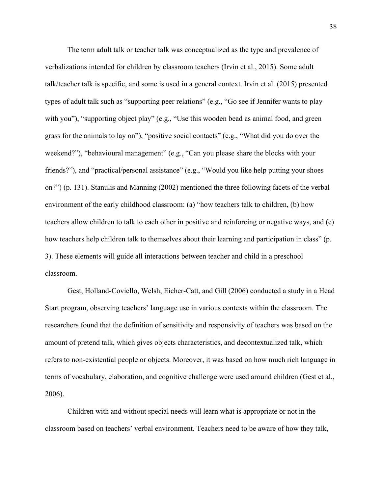The term adult talk or teacher talk was conceptualized as the type and prevalence of verbalizations intended for children by classroom teachers (Irvin et al., 2015). Some adult talk/teacher talk is specific, and some is used in a general context. Irvin et al. (2015) presented types of adult talk such as "supporting peer relations" (e.g., "Go see if Jennifer wants to play with you"), "supporting object play" (e.g., "Use this wooden bead as animal food, and green grass for the animals to lay on"), "positive social contacts" (e.g., "What did you do over the weekend?"), "behavioural management" (e.g., "Can you please share the blocks with your friends?"), and "practical/personal assistance" (e.g., "Would you like help putting your shoes on?") (p. 131). Stanulis and Manning (2002) mentioned the three following facets of the verbal environment of the early childhood classroom: (a) "how teachers talk to children, (b) how teachers allow children to talk to each other in positive and reinforcing or negative ways, and (c) how teachers help children talk to themselves about their learning and participation in class" (p. 3). These elements will guide all interactions between teacher and child in a preschool classroom.

Gest, Holland-Coviello, Welsh, Eicher-Catt, and Gill (2006) conducted a study in a Head Start program, observing teachers' language use in various contexts within the classroom. The researchers found that the definition of sensitivity and responsivity of teachers was based on the amount of pretend talk, which gives objects characteristics, and decontextualized talk, which refers to non-existential people or objects. Moreover, it was based on how much rich language in terms of vocabulary, elaboration, and cognitive challenge were used around children (Gest et al., 2006).

Children with and without special needs will learn what is appropriate or not in the classroom based on teachers' verbal environment. Teachers need to be aware of how they talk,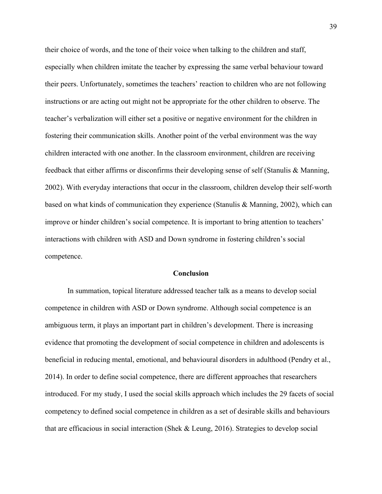their choice of words, and the tone of their voice when talking to the children and staff, especially when children imitate the teacher by expressing the same verbal behaviour toward their peers. Unfortunately, sometimes the teachers' reaction to children who are not following instructions or are acting out might not be appropriate for the other children to observe. The teacher's verbalization will either set a positive or negative environment for the children in fostering their communication skills. Another point of the verbal environment was the way children interacted with one another. In the classroom environment, children are receiving feedback that either affirms or disconfirms their developing sense of self (Stanulis & Manning, 2002). With everyday interactions that occur in the classroom, children develop their self-worth based on what kinds of communication they experience (Stanulis & Manning, 2002), which can improve or hinder children's social competence. It is important to bring attention to teachers' interactions with children with ASD and Down syndrome in fostering children's social competence.

## **Conclusion**

In summation, topical literature addressed teacher talk as a means to develop social competence in children with ASD or Down syndrome. Although social competence is an ambiguous term, it plays an important part in children's development. There is increasing evidence that promoting the development of social competence in children and adolescents is beneficial in reducing mental, emotional, and behavioural disorders in adulthood (Pendry et al., 2014). In order to define social competence, there are different approaches that researchers introduced. For my study, I used the social skills approach which includes the 29 facets of social competency to defined social competence in children as a set of desirable skills and behaviours that are efficacious in social interaction (Shek & Leung, 2016). Strategies to develop social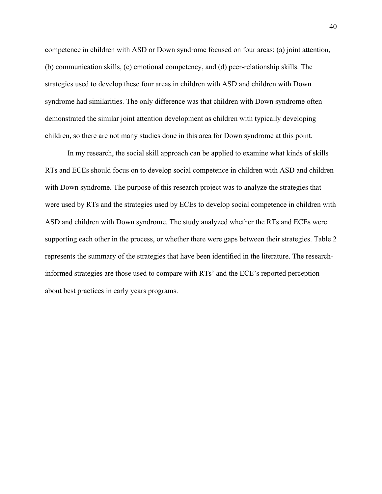competence in children with ASD or Down syndrome focused on four areas: (a) joint attention, (b) communication skills, (c) emotional competency, and (d) peer-relationship skills. The strategies used to develop these four areas in children with ASD and children with Down syndrome had similarities. The only difference was that children with Down syndrome often demonstrated the similar joint attention development as children with typically developing children, so there are not many studies done in this area for Down syndrome at this point.

In my research, the social skill approach can be applied to examine what kinds of skills RTs and ECEs should focus on to develop social competence in children with ASD and children with Down syndrome. The purpose of this research project was to analyze the strategies that were used by RTs and the strategies used by ECEs to develop social competence in children with ASD and children with Down syndrome. The study analyzed whether the RTs and ECEs were supporting each other in the process, or whether there were gaps between their strategies. Table 2 represents the summary of the strategies that have been identified in the literature. The researchinformed strategies are those used to compare with RTs' and the ECE's reported perception about best practices in early years programs.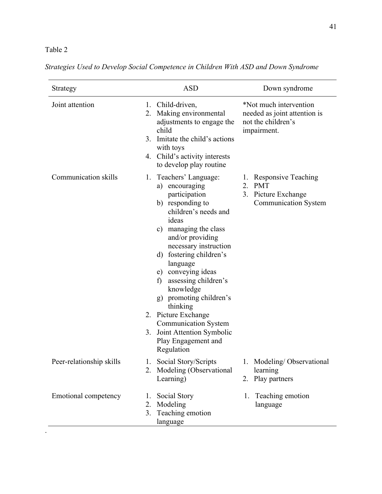# Table 2

| Strategy                    | <b>ASD</b>                                                                                                                                                                                                                                                                                                                                                                                                                                                                        | Down syndrome                                                                               |  |  |  |  |
|-----------------------------|-----------------------------------------------------------------------------------------------------------------------------------------------------------------------------------------------------------------------------------------------------------------------------------------------------------------------------------------------------------------------------------------------------------------------------------------------------------------------------------|---------------------------------------------------------------------------------------------|--|--|--|--|
| Joint attention             | 1. Child-driven,<br>Making environmental<br>2.<br>adjustments to engage the<br>child<br>Imitate the child's actions<br>3 <sub>1</sub><br>with toys<br>4. Child's activity interests<br>to develop play routine                                                                                                                                                                                                                                                                    | *Not much intervention<br>needed as joint attention is<br>not the children's<br>impairment. |  |  |  |  |
| Communication skills        | Teachers' Language:<br>1.<br>a) encouraging<br>participation<br>b) responding to<br>children's needs and<br>ideas<br>managing the class<br>$\mathbf{c})$<br>and/or providing<br>necessary instruction<br>d) fostering children's<br>language<br>e) conveying ideas<br>assessing children's<br>f)<br>knowledge<br>g) promoting children's<br>thinking<br>2. Picture Exchange<br><b>Communication System</b><br>Joint Attention Symbolic<br>3.<br>Play Engagement and<br>Regulation | 1. Responsive Teaching<br>2. PMT<br>3. Picture Exchange<br><b>Communication System</b>      |  |  |  |  |
| Peer-relationship skills    | 1. Social Story/Scripts<br>2. Modeling (Observational<br>Learning)                                                                                                                                                                                                                                                                                                                                                                                                                | 1. Modeling/Observational<br>learning<br>2. Play partners                                   |  |  |  |  |
| <b>Emotional competency</b> | Social Story<br>$1_{-}$<br>Modeling<br>2.<br>3. Teaching emotion<br>language                                                                                                                                                                                                                                                                                                                                                                                                      | 1. Teaching emotion<br>language                                                             |  |  |  |  |

|  |  | Strategies Used to Develop Social Competence in Children With ASD and Down Syndrome |  |  |  |  |
|--|--|-------------------------------------------------------------------------------------|--|--|--|--|
|  |  |                                                                                     |  |  |  |  |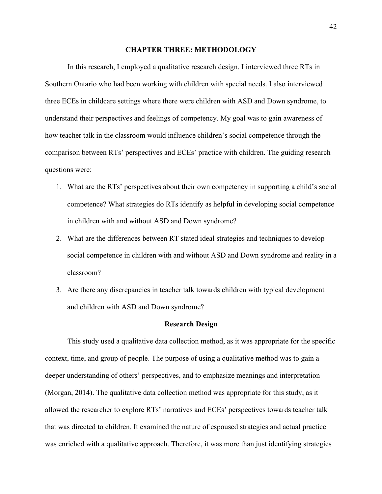#### **CHAPTER THREE: METHODOLOGY**

In this research, I employed a qualitative research design. I interviewed three RTs in Southern Ontario who had been working with children with special needs. I also interviewed three ECEs in childcare settings where there were children with ASD and Down syndrome, to understand their perspectives and feelings of competency. My goal was to gain awareness of how teacher talk in the classroom would influence children's social competence through the comparison between RTs' perspectives and ECEs' practice with children. The guiding research questions were:

- 1. What are the RTs' perspectives about their own competency in supporting a child's social competence? What strategies do RTs identify as helpful in developing social competence in children with and without ASD and Down syndrome?
- 2. What are the differences between RT stated ideal strategies and techniques to develop social competence in children with and without ASD and Down syndrome and reality in a classroom?
- 3. Are there any discrepancies in teacher talk towards children with typical development and children with ASD and Down syndrome?

## **Research Design**

This study used a qualitative data collection method, as it was appropriate for the specific context, time, and group of people. The purpose of using a qualitative method was to gain a deeper understanding of others' perspectives, and to emphasize meanings and interpretation (Morgan, 2014). The qualitative data collection method was appropriate for this study, as it allowed the researcher to explore RTs' narratives and ECEs' perspectives towards teacher talk that was directed to children. It examined the nature of espoused strategies and actual practice was enriched with a qualitative approach. Therefore, it was more than just identifying strategies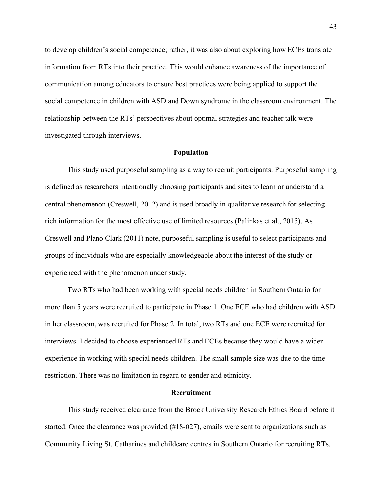to develop children's social competence; rather, it was also about exploring how ECEs translate information from RTs into their practice. This would enhance awareness of the importance of communication among educators to ensure best practices were being applied to support the social competence in children with ASD and Down syndrome in the classroom environment. The relationship between the RTs' perspectives about optimal strategies and teacher talk were investigated through interviews.

## **Population**

This study used purposeful sampling as a way to recruit participants. Purposeful sampling is defined as researchers intentionally choosing participants and sites to learn or understand a central phenomenon (Creswell, 2012) and is used broadly in qualitative research for selecting rich information for the most effective use of limited resources (Palinkas et al., 2015). As Creswell and Plano Clark (2011) note, purposeful sampling is useful to select participants and groups of individuals who are especially knowledgeable about the interest of the study or experienced with the phenomenon under study.

Two RTs who had been working with special needs children in Southern Ontario for more than 5 years were recruited to participate in Phase 1. One ECE who had children with ASD in her classroom, was recruited for Phase 2. In total, two RTs and one ECE were recruited for interviews. I decided to choose experienced RTs and ECEs because they would have a wider experience in working with special needs children. The small sample size was due to the time restriction. There was no limitation in regard to gender and ethnicity.

## **Recruitment**

This study received clearance from the Brock University Research Ethics Board before it started. Once the clearance was provided (#18-027), emails were sent to organizations such as Community Living St. Catharines and childcare centres in Southern Ontario for recruiting RTs.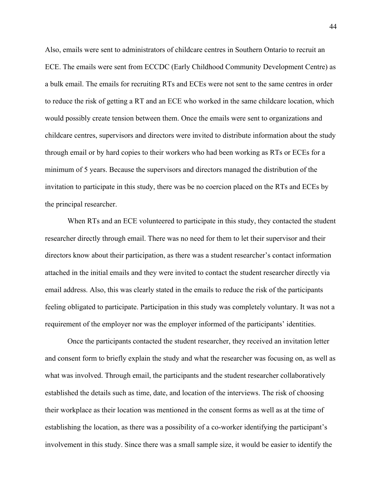Also, emails were sent to administrators of childcare centres in Southern Ontario to recruit an ECE. The emails were sent from ECCDC (Early Childhood Community Development Centre) as a bulk email. The emails for recruiting RTs and ECEs were not sent to the same centres in order to reduce the risk of getting a RT and an ECE who worked in the same childcare location, which would possibly create tension between them. Once the emails were sent to organizations and childcare centres, supervisors and directors were invited to distribute information about the study through email or by hard copies to their workers who had been working as RTs or ECEs for a minimum of 5 years. Because the supervisors and directors managed the distribution of the invitation to participate in this study, there was be no coercion placed on the RTs and ECEs by the principal researcher.

When RTs and an ECE volunteered to participate in this study, they contacted the student researcher directly through email. There was no need for them to let their supervisor and their directors know about their participation, as there was a student researcher's contact information attached in the initial emails and they were invited to contact the student researcher directly via email address. Also, this was clearly stated in the emails to reduce the risk of the participants feeling obligated to participate. Participation in this study was completely voluntary. It was not a requirement of the employer nor was the employer informed of the participants' identities.

Once the participants contacted the student researcher, they received an invitation letter and consent form to briefly explain the study and what the researcher was focusing on, as well as what was involved. Through email, the participants and the student researcher collaboratively established the details such as time, date, and location of the interviews. The risk of choosing their workplace as their location was mentioned in the consent forms as well as at the time of establishing the location, as there was a possibility of a co-worker identifying the participant's involvement in this study. Since there was a small sample size, it would be easier to identify the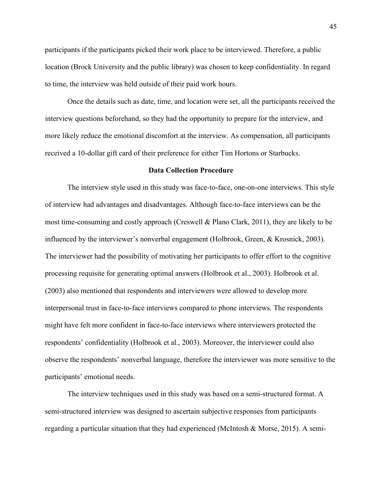participants if the participants picked their work place to be interviewed. Therefore, a public location (Brock University and the public library) was chosen to keep confidentiality. In regard to time, the interview was held outside of their paid work hours.

Once the details such as date, time, and location were set, all the participants received the interview questions beforehand, so they had the opportunity to prepare for the interview, and more likely reduce the emotional discomfort at the interview. As compensation, all participants received a 10-dollar gift card of their preference for either Tim Hortons or Starbucks.

#### **Data Collection Procedure**

The interview style used in this study was face-to-face, one-on-one interviews. This style of interview had advantages and disadvantages. Although face-to-face interviews can be the most time-consuming and costly approach (Creswell & Plano Clark, 2011), they are likely to be influenced by the interviewer's nonverbal engagement (Holbrook, Green, & Krosnick, 2003). The interviewer had the possibility of motivating her participants to offer effort to the cognitive processing requisite for generating optimal answers (Holbrook et al., 2003). Holbrook et al. (2003) also mentioned that respondents and interviewers were allowed to develop more interpersonal trust in face-to-face interviews compared to phone interviews. The respondents might have felt more confident in face-to-face interviews where interviewers protected the respondents' confidentiality (Holbrook et al., 2003). Moreover, the interviewer could also observe the respondents' nonverbal language, therefore the interviewer was more sensitive to the participants' emotional needs.

The interview techniques used in this study was based on a semi-structured format. A semi-structured interview was designed to ascertain subjective responses from participants regarding a particular situation that they had experienced (McIntosh & Morse, 2015). A semi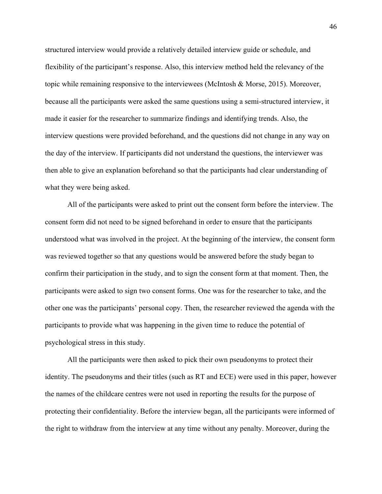structured interview would provide a relatively detailed interview guide or schedule, and flexibility of the participant's response. Also, this interview method held the relevancy of the topic while remaining responsive to the interviewees (McIntosh & Morse, 2015). Moreover, because all the participants were asked the same questions using a semi-structured interview, it made it easier for the researcher to summarize findings and identifying trends. Also, the interview questions were provided beforehand, and the questions did not change in any way on the day of the interview. If participants did not understand the questions, the interviewer was then able to give an explanation beforehand so that the participants had clear understanding of what they were being asked.

All of the participants were asked to print out the consent form before the interview. The consent form did not need to be signed beforehand in order to ensure that the participants understood what was involved in the project. At the beginning of the interview, the consent form was reviewed together so that any questions would be answered before the study began to confirm their participation in the study, and to sign the consent form at that moment. Then, the participants were asked to sign two consent forms. One was for the researcher to take, and the other one was the participants' personal copy. Then, the researcher reviewed the agenda with the participants to provide what was happening in the given time to reduce the potential of psychological stress in this study.

All the participants were then asked to pick their own pseudonyms to protect their identity. The pseudonyms and their titles (such as RT and ECE) were used in this paper, however the names of the childcare centres were not used in reporting the results for the purpose of protecting their confidentiality. Before the interview began, all the participants were informed of the right to withdraw from the interview at any time without any penalty. Moreover, during the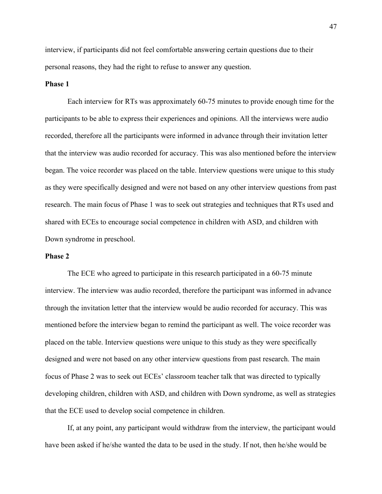interview, if participants did not feel comfortable answering certain questions due to their personal reasons, they had the right to refuse to answer any question.

## **Phase 1**

Each interview for RTs was approximately 60-75 minutes to provide enough time for the participants to be able to express their experiences and opinions. All the interviews were audio recorded, therefore all the participants were informed in advance through their invitation letter that the interview was audio recorded for accuracy. This was also mentioned before the interview began. The voice recorder was placed on the table. Interview questions were unique to this study as they were specifically designed and were not based on any other interview questions from past research. The main focus of Phase 1 was to seek out strategies and techniques that RTs used and shared with ECEs to encourage social competence in children with ASD, and children with Down syndrome in preschool.

## **Phase 2**

The ECE who agreed to participate in this research participated in a 60-75 minute interview. The interview was audio recorded, therefore the participant was informed in advance through the invitation letter that the interview would be audio recorded for accuracy. This was mentioned before the interview began to remind the participant as well. The voice recorder was placed on the table. Interview questions were unique to this study as they were specifically designed and were not based on any other interview questions from past research. The main focus of Phase 2 was to seek out ECEs' classroom teacher talk that was directed to typically developing children, children with ASD, and children with Down syndrome, as well as strategies that the ECE used to develop social competence in children.

If, at any point, any participant would withdraw from the interview, the participant would have been asked if he/she wanted the data to be used in the study. If not, then he/she would be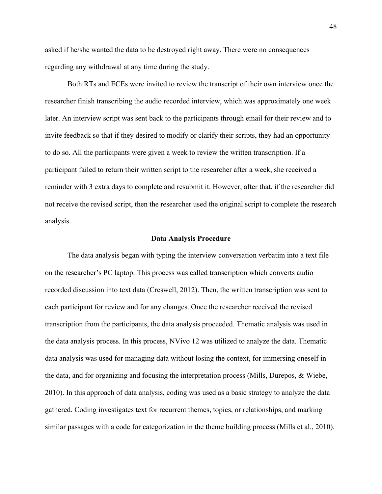asked if he/she wanted the data to be destroyed right away. There were no consequences regarding any withdrawal at any time during the study.

Both RTs and ECEs were invited to review the transcript of their own interview once the researcher finish transcribing the audio recorded interview, which was approximately one week later. An interview script was sent back to the participants through email for their review and to invite feedback so that if they desired to modify or clarify their scripts, they had an opportunity to do so. All the participants were given a week to review the written transcription. If a participant failed to return their written script to the researcher after a week, she received a reminder with 3 extra days to complete and resubmit it. However, after that, if the researcher did not receive the revised script, then the researcher used the original script to complete the research analysis.

## **Data Analysis Procedure**

The data analysis began with typing the interview conversation verbatim into a text file on the researcher's PC laptop. This process was called transcription which converts audio recorded discussion into text data (Creswell, 2012). Then, the written transcription was sent to each participant for review and for any changes. Once the researcher received the revised transcription from the participants, the data analysis proceeded. Thematic analysis was used in the data analysis process. In this process, NVivo 12 was utilized to analyze the data. Thematic data analysis was used for managing data without losing the context, for immersing oneself in the data, and for organizing and focusing the interpretation process (Mills, Durepos, & Wiebe, 2010). In this approach of data analysis, coding was used as a basic strategy to analyze the data gathered. Coding investigates text for recurrent themes, topics, or relationships, and marking similar passages with a code for categorization in the theme building process (Mills et al., 2010).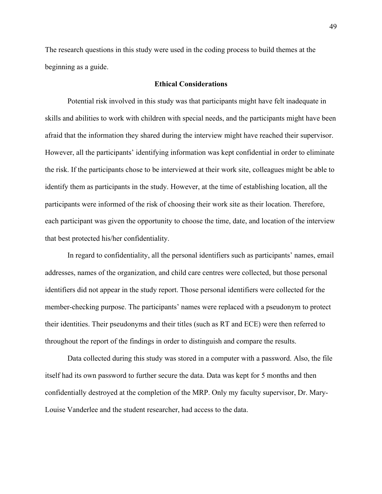The research questions in this study were used in the coding process to build themes at the beginning as a guide.

## **Ethical Considerations**

Potential risk involved in this study was that participants might have felt inadequate in skills and abilities to work with children with special needs, and the participants might have been afraid that the information they shared during the interview might have reached their supervisor. However, all the participants' identifying information was kept confidential in order to eliminate the risk. If the participants chose to be interviewed at their work site, colleagues might be able to identify them as participants in the study. However, at the time of establishing location, all the participants were informed of the risk of choosing their work site as their location. Therefore, each participant was given the opportunity to choose the time, date, and location of the interview that best protected his/her confidentiality.

In regard to confidentiality, all the personal identifiers such as participants' names, email addresses, names of the organization, and child care centres were collected, but those personal identifiers did not appear in the study report. Those personal identifiers were collected for the member-checking purpose. The participants' names were replaced with a pseudonym to protect their identities. Their pseudonyms and their titles (such as RT and ECE) were then referred to throughout the report of the findings in order to distinguish and compare the results.

Data collected during this study was stored in a computer with a password. Also, the file itself had its own password to further secure the data. Data was kept for 5 months and then confidentially destroyed at the completion of the MRP. Only my faculty supervisor, Dr. Mary-Louise Vanderlee and the student researcher, had access to the data.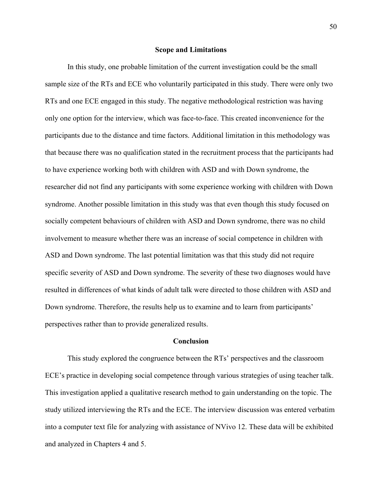#### **Scope and Limitations**

In this study, one probable limitation of the current investigation could be the small sample size of the RTs and ECE who voluntarily participated in this study. There were only two RTs and one ECE engaged in this study. The negative methodological restriction was having only one option for the interview, which was face-to-face. This created inconvenience for the participants due to the distance and time factors. Additional limitation in this methodology was that because there was no qualification stated in the recruitment process that the participants had to have experience working both with children with ASD and with Down syndrome, the researcher did not find any participants with some experience working with children with Down syndrome. Another possible limitation in this study was that even though this study focused on socially competent behaviours of children with ASD and Down syndrome, there was no child involvement to measure whether there was an increase of social competence in children with ASD and Down syndrome. The last potential limitation was that this study did not require specific severity of ASD and Down syndrome. The severity of these two diagnoses would have resulted in differences of what kinds of adult talk were directed to those children with ASD and Down syndrome. Therefore, the results help us to examine and to learn from participants' perspectives rather than to provide generalized results.

## **Conclusion**

This study explored the congruence between the RTs' perspectives and the classroom ECE's practice in developing social competence through various strategies of using teacher talk. This investigation applied a qualitative research method to gain understanding on the topic. The study utilized interviewing the RTs and the ECE. The interview discussion was entered verbatim into a computer text file for analyzing with assistance of NVivo 12. These data will be exhibited and analyzed in Chapters 4 and 5.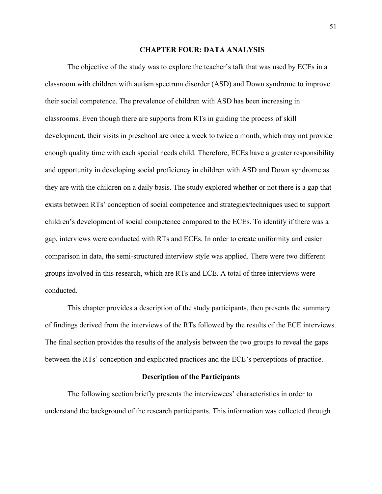## **CHAPTER FOUR: DATA ANALYSIS**

The objective of the study was to explore the teacher's talk that was used by ECEs in a classroom with children with autism spectrum disorder (ASD) and Down syndrome to improve their social competence. The prevalence of children with ASD has been increasing in classrooms. Even though there are supports from RTs in guiding the process of skill development, their visits in preschool are once a week to twice a month, which may not provide enough quality time with each special needs child. Therefore, ECEs have a greater responsibility and opportunity in developing social proficiency in children with ASD and Down syndrome as they are with the children on a daily basis. The study explored whether or not there is a gap that exists between RTs' conception of social competence and strategies/techniques used to support children's development of social competence compared to the ECEs. To identify if there was a gap, interviews were conducted with RTs and ECEs. In order to create uniformity and easier comparison in data, the semi-structured interview style was applied. There were two different groups involved in this research, which are RTs and ECE. A total of three interviews were conducted.

This chapter provides a description of the study participants, then presents the summary of findings derived from the interviews of the RTs followed by the results of the ECE interviews. The final section provides the results of the analysis between the two groups to reveal the gaps between the RTs' conception and explicated practices and the ECE's perceptions of practice.

#### **Description of the Participants**

The following section briefly presents the interviewees' characteristics in order to understand the background of the research participants. This information was collected through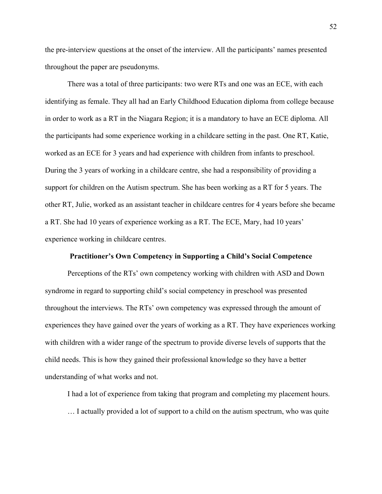the pre-interview questions at the onset of the interview. All the participants' names presented throughout the paper are pseudonyms.

There was a total of three participants: two were RTs and one was an ECE, with each identifying as female. They all had an Early Childhood Education diploma from college because in order to work as a RT in the Niagara Region; it is a mandatory to have an ECE diploma. All the participants had some experience working in a childcare setting in the past. One RT, Katie, worked as an ECE for 3 years and had experience with children from infants to preschool. During the 3 years of working in a childcare centre, she had a responsibility of providing a support for children on the Autism spectrum. She has been working as a RT for 5 years. The other RT, Julie, worked as an assistant teacher in childcare centres for 4 years before she became a RT. She had 10 years of experience working as a RT. The ECE, Mary, had 10 years' experience working in childcare centres.

#### **Practitioner's Own Competency in Supporting a Child's Social Competence**

Perceptions of the RTs' own competency working with children with ASD and Down syndrome in regard to supporting child's social competency in preschool was presented throughout the interviews. The RTs' own competency was expressed through the amount of experiences they have gained over the years of working as a RT. They have experiences working with children with a wider range of the spectrum to provide diverse levels of supports that the child needs. This is how they gained their professional knowledge so they have a better understanding of what works and not.

I had a lot of experience from taking that program and completing my placement hours.

… I actually provided a lot of support to a child on the autism spectrum, who was quite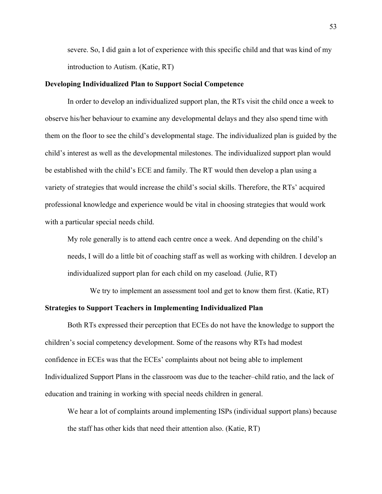severe. So, I did gain a lot of experience with this specific child and that was kind of my introduction to Autism. (Katie, RT)

## **Developing Individualized Plan to Support Social Competence**

In order to develop an individualized support plan, the RTs visit the child once a week to observe his/her behaviour to examine any developmental delays and they also spend time with them on the floor to see the child's developmental stage. The individualized plan is guided by the child's interest as well as the developmental milestones. The individualized support plan would be established with the child's ECE and family. The RT would then develop a plan using a variety of strategies that would increase the child's social skills. Therefore, the RTs' acquired professional knowledge and experience would be vital in choosing strategies that would work with a particular special needs child.

My role generally is to attend each centre once a week. And depending on the child's needs, I will do a little bit of coaching staff as well as working with children. I develop an individualized support plan for each child on my caseload*.* (Julie, RT)

We try to implement an assessment tool and get to know them first. (Katie, RT) **Strategies to Support Teachers in Implementing Individualized Plan**

Both RTs expressed their perception that ECEs do not have the knowledge to support the children's social competency development. Some of the reasons why RTs had modest confidence in ECEs was that the ECEs' complaints about not being able to implement Individualized Support Plans in the classroom was due to the teacher–child ratio, and the lack of education and training in working with special needs children in general.

We hear a lot of complaints around implementing ISPs (individual support plans) because the staff has other kids that need their attention also. (Katie, RT)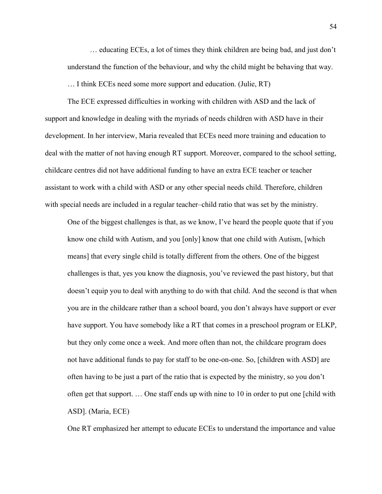… educating ECEs, a lot of times they think children are being bad, and just don't understand the function of the behaviour, and why the child might be behaving that way.

… I think ECEs need some more support and education. (Julie, RT)

The ECE expressed difficulties in working with children with ASD and the lack of support and knowledge in dealing with the myriads of needs children with ASD have in their development. In her interview, Maria revealed that ECEs need more training and education to deal with the matter of not having enough RT support. Moreover, compared to the school setting, childcare centres did not have additional funding to have an extra ECE teacher or teacher assistant to work with a child with ASD or any other special needs child. Therefore, children with special needs are included in a regular teacher–child ratio that was set by the ministry.

One of the biggest challenges is that, as we know, I've heard the people quote that if you know one child with Autism, and you [only] know that one child with Autism, [which means] that every single child is totally different from the others. One of the biggest challenges is that, yes you know the diagnosis, you've reviewed the past history, but that doesn't equip you to deal with anything to do with that child. And the second is that when you are in the childcare rather than a school board, you don't always have support or ever have support. You have somebody like a RT that comes in a preschool program or ELKP, but they only come once a week. And more often than not, the childcare program does not have additional funds to pay for staff to be one-on-one. So, [children with ASD] are often having to be just a part of the ratio that is expected by the ministry, so you don't often get that support. … One staff ends up with nine to 10 in order to put one [child with ASD]. (Maria, ECE)

One RT emphasized her attempt to educate ECEs to understand the importance and value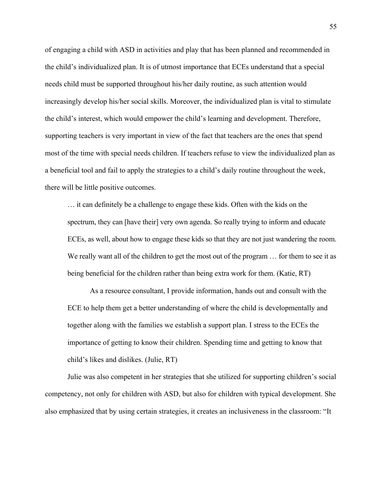of engaging a child with ASD in activities and play that has been planned and recommended in the child's individualized plan. It is of utmost importance that ECEs understand that a special needs child must be supported throughout his/her daily routine, as such attention would increasingly develop his/her social skills. Moreover, the individualized plan is vital to stimulate the child's interest, which would empower the child's learning and development. Therefore, supporting teachers is very important in view of the fact that teachers are the ones that spend most of the time with special needs children. If teachers refuse to view the individualized plan as a beneficial tool and fail to apply the strategies to a child's daily routine throughout the week, there will be little positive outcomes.

… it can definitely be a challenge to engage these kids. Often with the kids on the spectrum, they can [have their] very own agenda. So really trying to inform and educate ECEs, as well, about how to engage these kids so that they are not just wandering the room. We really want all of the children to get the most out of the program ... for them to see it as being beneficial for the children rather than being extra work for them. (Katie, RT)

As a resource consultant, I provide information, hands out and consult with the ECE to help them get a better understanding of where the child is developmentally and together along with the families we establish a support plan. I stress to the ECEs the importance of getting to know their children. Spending time and getting to know that child's likes and dislikes. (Julie, RT)

Julie was also competent in her strategies that she utilized for supporting children's social competency, not only for children with ASD, but also for children with typical development. She also emphasized that by using certain strategies, it creates an inclusiveness in the classroom: "It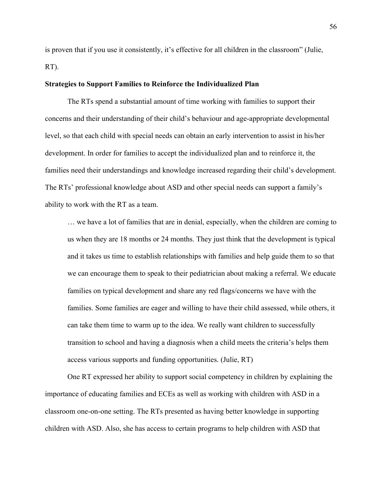is proven that if you use it consistently, it's effective for all children in the classroom" (Julie, RT).

## **Strategies to Support Families to Reinforce the Individualized Plan**

The RTs spend a substantial amount of time working with families to support their concerns and their understanding of their child's behaviour and age-appropriate developmental level, so that each child with special needs can obtain an early intervention to assist in his/her development. In order for families to accept the individualized plan and to reinforce it, the families need their understandings and knowledge increased regarding their child's development. The RTs' professional knowledge about ASD and other special needs can support a family's ability to work with the RT as a team.

… we have a lot of families that are in denial, especially, when the children are coming to us when they are 18 months or 24 months. They just think that the development is typical and it takes us time to establish relationships with families and help guide them to so that we can encourage them to speak to their pediatrician about making a referral. We educate families on typical development and share any red flags/concerns we have with the families. Some families are eager and willing to have their child assessed, while others, it can take them time to warm up to the idea. We really want children to successfully transition to school and having a diagnosis when a child meets the criteria's helps them access various supports and funding opportunities. (Julie, RT)

One RT expressed her ability to support social competency in children by explaining the importance of educating families and ECEs as well as working with children with ASD in a classroom one-on-one setting. The RTs presented as having better knowledge in supporting children with ASD. Also, she has access to certain programs to help children with ASD that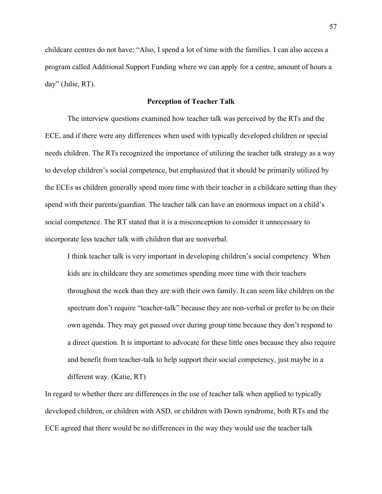childcare centres do not have: "Also, I spend a lot of time with the families. I can also access a program called Additional Support Funding where we can apply for a centre, amount of hours a day" (Julie, RT).

## **Perception of Teacher Talk**

The interview questions examined how teacher talk was perceived by the RTs and the ECE, and if there were any differences when used with typically developed children or special needs children. The RTs recognized the importance of utilizing the teacher talk strategy as a way to develop children's social competence, but emphasized that it should be primarily utilized by the ECEs as children generally spend more time with their teacher in a childcare setting than they spend with their parents/guardian. The teacher talk can have an enormous impact on a child's social competence. The RT stated that it is a misconception to consider it unnecessary to incorporate less teacher talk with children that are nonverbal.

I think teacher talk is very important in developing children's social competency. When kids are in childcare they are sometimes spending more time with their teachers throughout the week than they are with their own family. It can seem like children on the spectrum don't require "teacher-talk" because they are non-verbal or prefer to be on their own agenda. They may get passed over during group time because they don't respond to a direct question. It is important to advocate for these little ones because they also require and benefit from teacher-talk to help support their social competency, just maybe in a different way. (Katie, RT)

In regard to whether there are differences in the use of teacher talk when applied to typically developed children, or children with ASD, or children with Down syndrome, both RTs and the ECE agreed that there would be no differences in the way they would use the teacher talk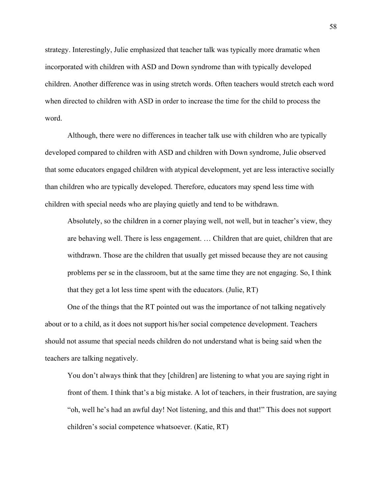strategy. Interestingly, Julie emphasized that teacher talk was typically more dramatic when incorporated with children with ASD and Down syndrome than with typically developed children. Another difference was in using stretch words. Often teachers would stretch each word when directed to children with ASD in order to increase the time for the child to process the word.

Although, there were no differences in teacher talk use with children who are typically developed compared to children with ASD and children with Down syndrome, Julie observed that some educators engaged children with atypical development, yet are less interactive socially than children who are typically developed. Therefore, educators may spend less time with children with special needs who are playing quietly and tend to be withdrawn.

Absolutely, so the children in a corner playing well, not well, but in teacher's view, they are behaving well. There is less engagement. … Children that are quiet, children that are withdrawn. Those are the children that usually get missed because they are not causing problems per se in the classroom, but at the same time they are not engaging. So, I think that they get a lot less time spent with the educators. (Julie, RT)

One of the things that the RT pointed out was the importance of not talking negatively about or to a child, as it does not support his/her social competence development. Teachers should not assume that special needs children do not understand what is being said when the teachers are talking negatively.

You don't always think that they [children] are listening to what you are saying right in front of them. I think that's a big mistake. A lot of teachers, in their frustration, are saying "oh, well he's had an awful day! Not listening, and this and that!" This does not support children's social competence whatsoever. (Katie, RT)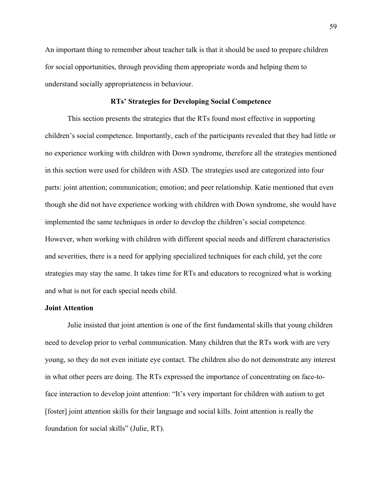An important thing to remember about teacher talk is that it should be used to prepare children for social opportunities, through providing them appropriate words and helping them to understand socially appropriateness in behaviour.

## **RTs' Strategies for Developing Social Competence**

This section presents the strategies that the RTs found most effective in supporting children's social competence. Importantly, each of the participants revealed that they had little or no experience working with children with Down syndrome, therefore all the strategies mentioned in this section were used for children with ASD. The strategies used are categorized into four parts: joint attention; communication; emotion; and peer relationship. Katie mentioned that even though she did not have experience working with children with Down syndrome, she would have implemented the same techniques in order to develop the children's social competence. However, when working with children with different special needs and different characteristics and severities, there is a need for applying specialized techniques for each child, yet the core strategies may stay the same. It takes time for RTs and educators to recognized what is working and what is not for each special needs child.

## **Joint Attention**

Julie insisted that joint attention is one of the first fundamental skills that young children need to develop prior to verbal communication. Many children that the RTs work with are very young, so they do not even initiate eye contact. The children also do not demonstrate any interest in what other peers are doing. The RTs expressed the importance of concentrating on face-toface interaction to develop joint attention: "It's very important for children with autism to get [foster] joint attention skills for their language and social kills. Joint attention is really the foundation for social skills" (Julie, RT).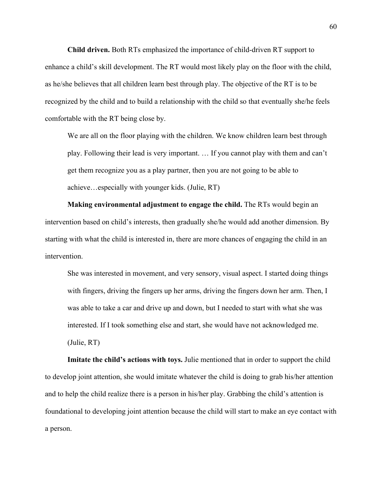**Child driven.** Both RTs emphasized the importance of child-driven RT support to enhance a child's skill development. The RT would most likely play on the floor with the child, as he/she believes that all children learn best through play. The objective of the RT is to be recognized by the child and to build a relationship with the child so that eventually she/he feels comfortable with the RT being close by.

We are all on the floor playing with the children. We know children learn best through play. Following their lead is very important. … If you cannot play with them and can't get them recognize you as a play partner, then you are not going to be able to achieve…especially with younger kids. (Julie, RT)

**Making environmental adjustment to engage the child.** The RTs would begin an intervention based on child's interests, then gradually she/he would add another dimension. By starting with what the child is interested in, there are more chances of engaging the child in an intervention.

She was interested in movement, and very sensory, visual aspect. I started doing things with fingers, driving the fingers up her arms, driving the fingers down her arm. Then, I was able to take a car and drive up and down, but I needed to start with what she was interested. If I took something else and start, she would have not acknowledged me. (Julie, RT)

**Imitate the child's actions with toys.** Julie mentioned that in order to support the child to develop joint attention, she would imitate whatever the child is doing to grab his/her attention and to help the child realize there is a person in his/her play. Grabbing the child's attention is foundational to developing joint attention because the child will start to make an eye contact with a person.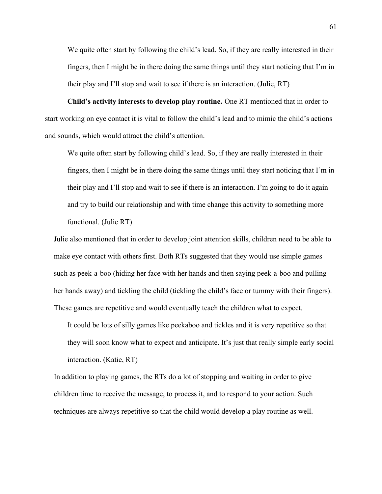We quite often start by following the child's lead. So, if they are really interested in their fingers, then I might be in there doing the same things until they start noticing that I'm in their play and I'll stop and wait to see if there is an interaction. (Julie, RT)

**Child's activity interests to develop play routine.** One RT mentioned that in order to start working on eye contact it is vital to follow the child's lead and to mimic the child's actions and sounds, which would attract the child's attention.

We quite often start by following child's lead. So, if they are really interested in their fingers, then I might be in there doing the same things until they start noticing that I'm in their play and I'll stop and wait to see if there is an interaction. I'm going to do it again and try to build our relationship and with time change this activity to something more functional. (Julie RT)

Julie also mentioned that in order to develop joint attention skills, children need to be able to make eye contact with others first. Both RTs suggested that they would use simple games such as peek-a-boo (hiding her face with her hands and then saying peek-a-boo and pulling her hands away) and tickling the child (tickling the child's face or tummy with their fingers). These games are repetitive and would eventually teach the children what to expect.

It could be lots of silly games like peekaboo and tickles and it is very repetitive so that they will soon know what to expect and anticipate. It's just that really simple early social interaction. (Katie, RT)

In addition to playing games, the RTs do a lot of stopping and waiting in order to give children time to receive the message, to process it, and to respond to your action. Such techniques are always repetitive so that the child would develop a play routine as well.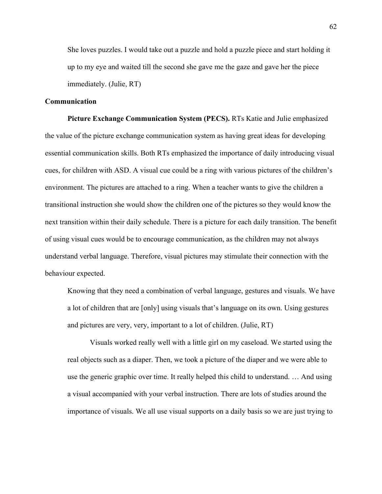She loves puzzles. I would take out a puzzle and hold a puzzle piece and start holding it up to my eye and waited till the second she gave me the gaze and gave her the piece immediately. (Julie, RT)

## **Communication**

**Picture Exchange Communication System (PECS).** RTs Katie and Julie emphasized the value of the picture exchange communication system as having great ideas for developing essential communication skills. Both RTs emphasized the importance of daily introducing visual cues, for children with ASD. A visual cue could be a ring with various pictures of the children's environment. The pictures are attached to a ring. When a teacher wants to give the children a transitional instruction she would show the children one of the pictures so they would know the next transition within their daily schedule. There is a picture for each daily transition. The benefit of using visual cues would be to encourage communication, as the children may not always understand verbal language. Therefore, visual pictures may stimulate their connection with the behaviour expected.

Knowing that they need a combination of verbal language, gestures and visuals. We have a lot of children that are [only] using visuals that's language on its own. Using gestures and pictures are very, very, important to a lot of children. (Julie, RT)

Visuals worked really well with a little girl on my caseload. We started using the real objects such as a diaper. Then, we took a picture of the diaper and we were able to use the generic graphic over time. It really helped this child to understand. … And using a visual accompanied with your verbal instruction. There are lots of studies around the importance of visuals. We all use visual supports on a daily basis so we are just trying to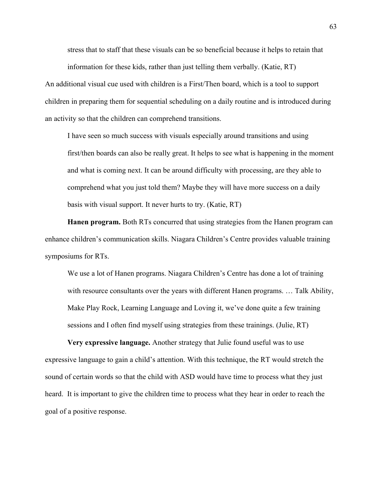stress that to staff that these visuals can be so beneficial because it helps to retain that information for these kids, rather than just telling them verbally. (Katie, RT)

An additional visual cue used with children is a First/Then board, which is a tool to support children in preparing them for sequential scheduling on a daily routine and is introduced during an activity so that the children can comprehend transitions.

I have seen so much success with visuals especially around transitions and using first/then boards can also be really great. It helps to see what is happening in the moment and what is coming next. It can be around difficulty with processing, are they able to comprehend what you just told them? Maybe they will have more success on a daily basis with visual support. It never hurts to try. (Katie, RT)

**Hanen program.** Both RTs concurred that using strategies from the Hanen program can enhance children's communication skills. Niagara Children's Centre provides valuable training symposiums for RTs.

We use a lot of Hanen programs. Niagara Children's Centre has done a lot of training with resource consultants over the years with different Hanen programs. … Talk Ability, Make Play Rock, Learning Language and Loving it, we've done quite a few training sessions and I often find myself using strategies from these trainings. (Julie, RT)

**Very expressive language.** Another strategy that Julie found useful was to use expressive language to gain a child's attention. With this technique, the RT would stretch the sound of certain words so that the child with ASD would have time to process what they just heard. It is important to give the children time to process what they hear in order to reach the goal of a positive response.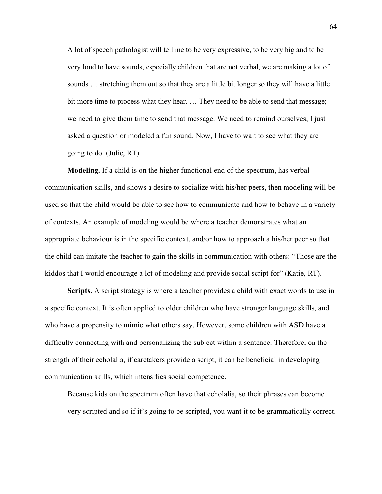A lot of speech pathologist will tell me to be very expressive, to be very big and to be very loud to have sounds, especially children that are not verbal, we are making a lot of sounds ... stretching them out so that they are a little bit longer so they will have a little bit more time to process what they hear. … They need to be able to send that message; we need to give them time to send that message. We need to remind ourselves, I just asked a question or modeled a fun sound. Now, I have to wait to see what they are going to do. (Julie, RT)

**Modeling.** If a child is on the higher functional end of the spectrum, has verbal communication skills, and shows a desire to socialize with his/her peers, then modeling will be used so that the child would be able to see how to communicate and how to behave in a variety of contexts. An example of modeling would be where a teacher demonstrates what an appropriate behaviour is in the specific context, and/or how to approach a his/her peer so that the child can imitate the teacher to gain the skills in communication with others: "Those are the kiddos that I would encourage a lot of modeling and provide social script for" (Katie, RT).

**Scripts.** A script strategy is where a teacher provides a child with exact words to use in a specific context. It is often applied to older children who have stronger language skills, and who have a propensity to mimic what others say. However, some children with ASD have a difficulty connecting with and personalizing the subject within a sentence. Therefore, on the strength of their echolalia, if caretakers provide a script, it can be beneficial in developing communication skills, which intensifies social competence.

Because kids on the spectrum often have that echolalia, so their phrases can become very scripted and so if it's going to be scripted, you want it to be grammatically correct.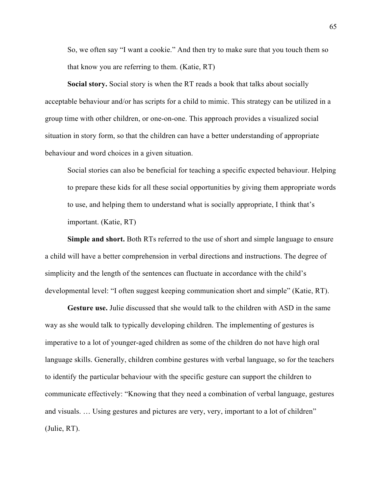So, we often say "I want a cookie." And then try to make sure that you touch them so that know you are referring to them. (Katie, RT)

**Social story.** Social story is when the RT reads a book that talks about socially acceptable behaviour and/or has scripts for a child to mimic. This strategy can be utilized in a group time with other children, or one-on-one. This approach provides a visualized social situation in story form, so that the children can have a better understanding of appropriate behaviour and word choices in a given situation.

Social stories can also be beneficial for teaching a specific expected behaviour. Helping to prepare these kids for all these social opportunities by giving them appropriate words to use, and helping them to understand what is socially appropriate, I think that's important. (Katie, RT)

**Simple and short.** Both RTs referred to the use of short and simple language to ensure a child will have a better comprehension in verbal directions and instructions. The degree of simplicity and the length of the sentences can fluctuate in accordance with the child's developmental level: "I often suggest keeping communication short and simple" (Katie, RT).

**Gesture use.** Julie discussed that she would talk to the children with ASD in the same way as she would talk to typically developing children. The implementing of gestures is imperative to a lot of younger-aged children as some of the children do not have high oral language skills. Generally, children combine gestures with verbal language, so for the teachers to identify the particular behaviour with the specific gesture can support the children to communicate effectively: "Knowing that they need a combination of verbal language, gestures and visuals. … Using gestures and pictures are very, very, important to a lot of children" (Julie, RT).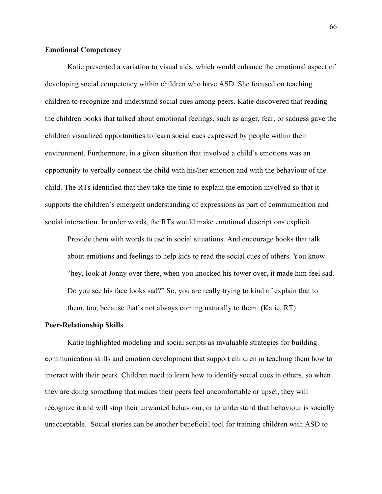## **Emotional Competency**

Katie presented a variation to visual aids, which would enhance the emotional aspect of developing social competency within children who have ASD. She focused on teaching children to recognize and understand social cues among peers. Katie discovered that reading the children books that talked about emotional feelings, such as anger, fear, or sadness gave the children visualized opportunities to learn social cues expressed by people within their environment. Furthermore, in a given situation that involved a child's emotions was an opportunity to verbally connect the child with his/her emotion and with the behaviour of the child. The RTs identified that they take the time to explain the emotion involved so that it supports the children's emergent understanding of expressions as part of communication and social interaction. In order words, the RTs would make emotional descriptions explicit.

Provide them with words to use in social situations. And encourage books that talk about emotions and feelings to help kids to read the social cues of others. You know "hey, look at Jonny over there, when you knocked his tower over, it made him feel sad. Do you see his face looks sad?" So, you are really trying to kind of explain that to them, too, because that's not always coming naturally to them. (Katie, RT)

#### **Peer-Relationship Skills**

Katie highlighted modeling and social scripts as invaluable strategies for building communication skills and emotion development that support children in teaching them how to interact with their peers. Children need to learn how to identify social cues in others, so when they are doing something that makes their peers feel uncomfortable or upset, they will recognize it and will stop their unwanted behaviour, or to understand that behaviour is socially unacceptable. Social stories can be another beneficial tool for training children with ASD to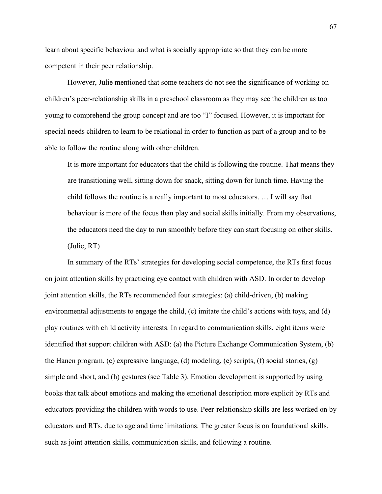learn about specific behaviour and what is socially appropriate so that they can be more competent in their peer relationship.

However, Julie mentioned that some teachers do not see the significance of working on children's peer-relationship skills in a preschool classroom as they may see the children as too young to comprehend the group concept and are too "I" focused. However, it is important for special needs children to learn to be relational in order to function as part of a group and to be able to follow the routine along with other children.

It is more important for educators that the child is following the routine. That means they are transitioning well, sitting down for snack, sitting down for lunch time. Having the child follows the routine is a really important to most educators. … I will say that behaviour is more of the focus than play and social skills initially. From my observations, the educators need the day to run smoothly before they can start focusing on other skills. (Julie, RT)

In summary of the RTs' strategies for developing social competence, the RTs first focus on joint attention skills by practicing eye contact with children with ASD. In order to develop joint attention skills, the RTs recommended four strategies: (a) child-driven, (b) making environmental adjustments to engage the child, (c) imitate the child's actions with toys, and (d) play routines with child activity interests. In regard to communication skills, eight items were identified that support children with ASD: (a) the Picture Exchange Communication System, (b) the Hanen program, (c) expressive language, (d) modeling, (e) scripts, (f) social stories, (g) simple and short, and (h) gestures (see Table 3). Emotion development is supported by using books that talk about emotions and making the emotional description more explicit by RTs and educators providing the children with words to use. Peer-relationship skills are less worked on by educators and RTs, due to age and time limitations. The greater focus is on foundational skills, such as joint attention skills, communication skills, and following a routine.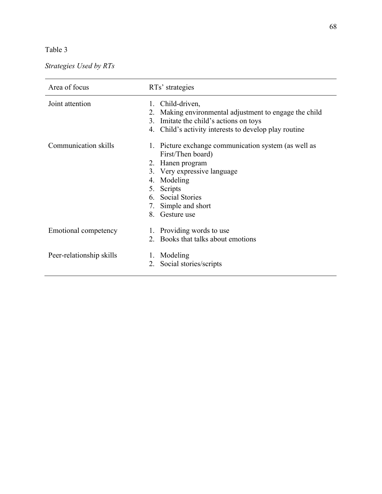# Table 3

# *Strategies Used by RTs*

| Area of focus            | RTs' strategies                                                           |  |
|--------------------------|---------------------------------------------------------------------------|--|
| Joint attention          | Child-driven,<br>1.                                                       |  |
|                          | Making environmental adjustment to engage the child<br>2.                 |  |
|                          | 3. Imitate the child's actions on toys                                    |  |
|                          | 4. Child's activity interests to develop play routine                     |  |
| Communication skills     | 1. Picture exchange communication system (as well as<br>First/Then board) |  |
|                          | 2. Hanen program                                                          |  |
|                          | 3. Very expressive language                                               |  |
|                          | 4. Modeling                                                               |  |
|                          | 5. Scripts                                                                |  |
|                          | 6. Social Stories                                                         |  |
|                          |                                                                           |  |
|                          | 7. Simple and short                                                       |  |
|                          | 8. Gesture use                                                            |  |
| Emotional competency     | 1. Providing words to use                                                 |  |
|                          | 2. Books that talks about emotions                                        |  |
| Peer-relationship skills | Modeling<br>$\mathbf{I}$ .                                                |  |
|                          | Social stories/scripts<br>2.                                              |  |
|                          |                                                                           |  |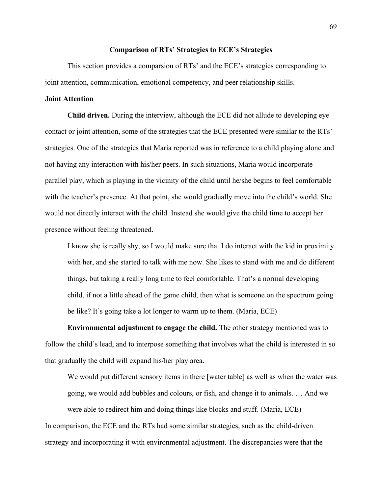#### **Comparison of RTs' Strategies to ECE's Strategies**

This section provides a comparsion of RTs' and the ECE's strategies corresponding to joint attention, communication, emotional competency, and peer relationship skills.

#### **Joint Attention**

**Child driven.** During the interview, although the ECE did not allude to developing eye contact or joint attention, some of the strategies that the ECE presented were similar to the RTs' strategies. One of the strategies that Maria reported was in reference to a child playing alone and not having any interaction with his/her peers. In such situations, Maria would incorporate parallel play, which is playing in the vicinity of the child until he/she begins to feel comfortable with the teacher's presence. At that point, she would gradually move into the child's world. She would not directly interact with the child. Instead she would give the child time to accept her presence without feeling threatened.

I know she is really shy, so I would make sure that I do interact with the kid in proximity with her, and she started to talk with me now. She likes to stand with me and do different things, but taking a really long time to feel comfortable. That's a normal developing child, if not a little ahead of the game child, then what is someone on the spectrum going be like? It's going take a lot longer to warm up to them. (Maria, ECE)

**Environmental adjustment to engage the child.** The other strategy mentioned was to follow the child's lead, and to interpose something that involves what the child is interested in so that gradually the child will expand his/her play area.

We would put different sensory items in there [water table] as well as when the water was going, we would add bubbles and colours, or fish, and change it to animals. … And we were able to redirect him and doing things like blocks and stuff. (Maria, ECE)

In comparison, the ECE and the RTs had some similar strategies, such as the child-driven strategy and incorporating it with environmental adjustment. The discrepancies were that the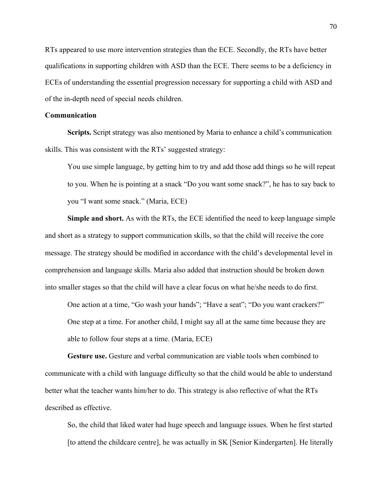RTs appeared to use more intervention strategies than the ECE. Secondly, the RTs have better qualifications in supporting children with ASD than the ECE. There seems to be a deficiency in ECEs of understanding the essential progression necessary for supporting a child with ASD and of the in-depth need of special needs children.

# **Communication**

**Scripts.** Script strategy was also mentioned by Maria to enhance a child's communication skills. This was consistent with the RTs' suggested strategy:

You use simple language, by getting him to try and add those add things so he will repeat to you. When he is pointing at a snack "Do you want some snack?", he has to say back to you "I want some snack." (Maria, ECE)

**Simple and short.** As with the RTs, the ECE identified the need to keep language simple and short as a strategy to support communication skills, so that the child will receive the core message. The strategy should be modified in accordance with the child's developmental level in comprehension and language skills. Maria also added that instruction should be broken down into smaller stages so that the child will have a clear focus on what he/she needs to do first.

One action at a time, "Go wash your hands"; "Have a seat"; "Do you want crackers?" One step at a time. For another child, I might say all at the same time because they are able to follow four steps at a time. (Maria, ECE)

**Gesture use.** Gesture and verbal communication are viable tools when combined to communicate with a child with language difficulty so that the child would be able to understand better what the teacher wants him/her to do. This strategy is also reflective of what the RTs described as effective.

So, the child that liked water had huge speech and language issues. When he first started [to attend the childcare centre], he was actually in SK [Senior Kindergarten]. He literally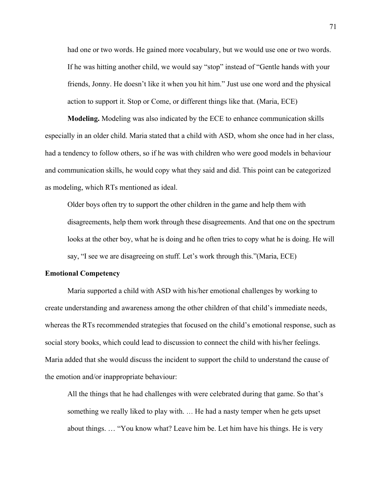had one or two words. He gained more vocabulary, but we would use one or two words. If he was hitting another child, we would say "stop" instead of "Gentle hands with your friends, Jonny. He doesn't like it when you hit him." Just use one word and the physical action to support it. Stop or Come, or different things like that. (Maria, ECE)

**Modeling.** Modeling was also indicated by the ECE to enhance communication skills especially in an older child. Maria stated that a child with ASD, whom she once had in her class, had a tendency to follow others, so if he was with children who were good models in behaviour and communication skills, he would copy what they said and did. This point can be categorized as modeling, which RTs mentioned as ideal.

Older boys often try to support the other children in the game and help them with disagreements, help them work through these disagreements. And that one on the spectrum looks at the other boy, what he is doing and he often tries to copy what he is doing. He will say, "I see we are disagreeing on stuff. Let's work through this."(Maria, ECE)

#### **Emotional Competency**

Maria supported a child with ASD with his/her emotional challenges by working to create understanding and awareness among the other children of that child's immediate needs, whereas the RTs recommended strategies that focused on the child's emotional response, such as social story books, which could lead to discussion to connect the child with his/her feelings. Maria added that she would discuss the incident to support the child to understand the cause of the emotion and/or inappropriate behaviour:

All the things that he had challenges with were celebrated during that game. So that's something we really liked to play with. … He had a nasty temper when he gets upset about things. … "You know what? Leave him be. Let him have his things. He is very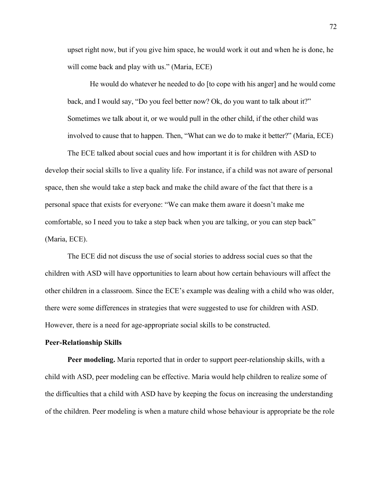upset right now, but if you give him space, he would work it out and when he is done, he will come back and play with us." (Maria, ECE)

He would do whatever he needed to do [to cope with his anger] and he would come back, and I would say, "Do you feel better now? Ok, do you want to talk about it?" Sometimes we talk about it, or we would pull in the other child, if the other child was involved to cause that to happen. Then, "What can we do to make it better?" (Maria, ECE)

The ECE talked about social cues and how important it is for children with ASD to develop their social skills to live a quality life. For instance, if a child was not aware of personal space, then she would take a step back and make the child aware of the fact that there is a personal space that exists for everyone: "We can make them aware it doesn't make me comfortable, so I need you to take a step back when you are talking, or you can step back" (Maria, ECE).

The ECE did not discuss the use of social stories to address social cues so that the children with ASD will have opportunities to learn about how certain behaviours will affect the other children in a classroom. Since the ECE's example was dealing with a child who was older, there were some differences in strategies that were suggested to use for children with ASD. However, there is a need for age-appropriate social skills to be constructed.

#### **Peer-Relationship Skills**

**Peer modeling.** Maria reported that in order to support peer-relationship skills, with a child with ASD, peer modeling can be effective. Maria would help children to realize some of the difficulties that a child with ASD have by keeping the focus on increasing the understanding of the children. Peer modeling is when a mature child whose behaviour is appropriate be the role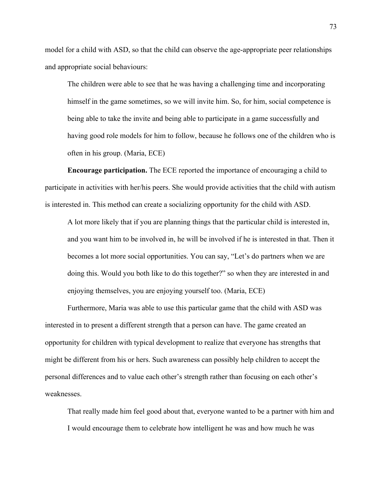model for a child with ASD, so that the child can observe the age-appropriate peer relationships and appropriate social behaviours:

The children were able to see that he was having a challenging time and incorporating himself in the game sometimes, so we will invite him. So, for him, social competence is being able to take the invite and being able to participate in a game successfully and having good role models for him to follow, because he follows one of the children who is often in his group. (Maria, ECE)

**Encourage participation.** The ECE reported the importance of encouraging a child to participate in activities with her/his peers. She would provide activities that the child with autism is interested in. This method can create a socializing opportunity for the child with ASD.

A lot more likely that if you are planning things that the particular child is interested in, and you want him to be involved in, he will be involved if he is interested in that. Then it becomes a lot more social opportunities. You can say, "Let's do partners when we are doing this. Would you both like to do this together?" so when they are interested in and enjoying themselves, you are enjoying yourself too. (Maria, ECE)

Furthermore, Maria was able to use this particular game that the child with ASD was interested in to present a different strength that a person can have. The game created an opportunity for children with typical development to realize that everyone has strengths that might be different from his or hers. Such awareness can possibly help children to accept the personal differences and to value each other's strength rather than focusing on each other's weaknesses.

That really made him feel good about that, everyone wanted to be a partner with him and I would encourage them to celebrate how intelligent he was and how much he was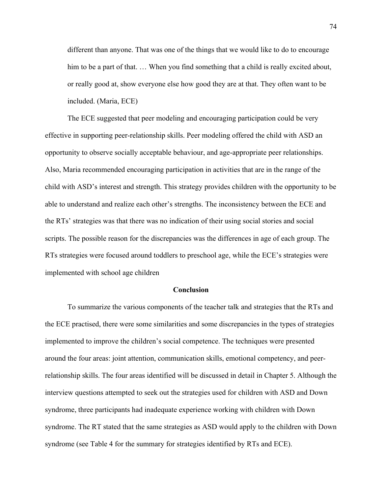different than anyone. That was one of the things that we would like to do to encourage him to be a part of that. ... When you find something that a child is really excited about, or really good at, show everyone else how good they are at that. They often want to be included. (Maria, ECE)

The ECE suggested that peer modeling and encouraging participation could be very effective in supporting peer-relationship skills. Peer modeling offered the child with ASD an opportunity to observe socially acceptable behaviour, and age-appropriate peer relationships. Also, Maria recommended encouraging participation in activities that are in the range of the child with ASD's interest and strength. This strategy provides children with the opportunity to be able to understand and realize each other's strengths. The inconsistency between the ECE and the RTs' strategies was that there was no indication of their using social stories and social scripts. The possible reason for the discrepancies was the differences in age of each group. The RTs strategies were focused around toddlers to preschool age, while the ECE's strategies were implemented with school age children

## **Conclusion**

To summarize the various components of the teacher talk and strategies that the RTs and the ECE practised, there were some similarities and some discrepancies in the types of strategies implemented to improve the children's social competence. The techniques were presented around the four areas: joint attention, communication skills, emotional competency, and peerrelationship skills. The four areas identified will be discussed in detail in Chapter 5. Although the interview questions attempted to seek out the strategies used for children with ASD and Down syndrome, three participants had inadequate experience working with children with Down syndrome. The RT stated that the same strategies as ASD would apply to the children with Down syndrome (see Table 4 for the summary for strategies identified by RTs and ECE).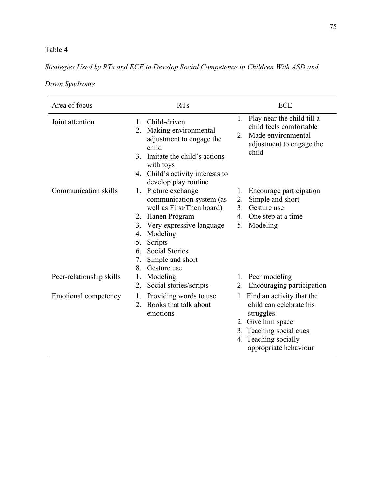# Table 4

# *Strategies Used by RTs and ECE to Develop Social Competence in Children With ASD and*

|  | Down Syndrome |
|--|---------------|
|--|---------------|

| Area of focus               | <b>RTs</b>                                                                                                                                                                                                                                       | ECE                                                                                                                                                                   |
|-----------------------------|--------------------------------------------------------------------------------------------------------------------------------------------------------------------------------------------------------------------------------------------------|-----------------------------------------------------------------------------------------------------------------------------------------------------------------------|
| Joint attention             | Child-driven<br>1<br>Making environmental<br>2.<br>adjustment to engage the<br>child<br>Imitate the child's actions<br>3 <sub>1</sub><br>with toys<br>4. Child's activity interests to<br>develop play routine                                   | 1. Play near the child till a<br>child feels comfortable<br>Made environmental<br>2.<br>adjustment to engage the<br>child                                             |
| Communication skills        | 1. Picture exchange<br>communication system (as<br>well as First/Then board)<br>2. Hanen Program<br>3. Very expressive language<br>Modeling<br>4.<br>Scripts<br>5.<br><b>Social Stories</b><br>6.<br>Simple and short<br>7.<br>Gesture use<br>8. | Encourage participation<br>1.<br>Simple and short<br>2.<br>3.<br>Gesture use<br>One step at a time<br>4.<br>5.<br>Modeling                                            |
| Peer-relationship skills    | Modeling<br>1.<br>Social stories/scripts<br>2.                                                                                                                                                                                                   | 1. Peer modeling<br>Encouraging participation<br>$2_{\cdot}$                                                                                                          |
| <b>Emotional competency</b> | Providing words to use<br>1.<br>Books that talk about<br>$2_{-}$<br>emotions                                                                                                                                                                     | 1. Find an activity that the<br>child can celebrate his<br>struggles<br>2. Give him space<br>3. Teaching social cues<br>4. Teaching socially<br>appropriate behaviour |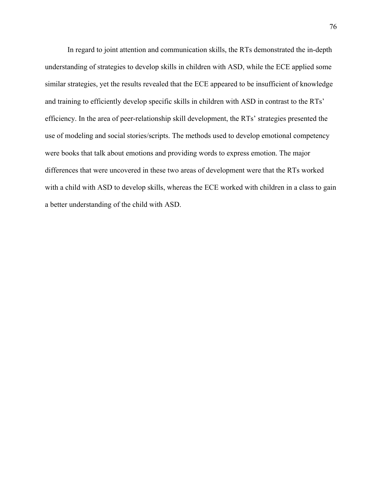In regard to joint attention and communication skills, the RTs demonstrated the in-depth understanding of strategies to develop skills in children with ASD, while the ECE applied some similar strategies, yet the results revealed that the ECE appeared to be insufficient of knowledge and training to efficiently develop specific skills in children with ASD in contrast to the RTs' efficiency. In the area of peer-relationship skill development, the RTs' strategies presented the use of modeling and social stories/scripts. The methods used to develop emotional competency were books that talk about emotions and providing words to express emotion. The major differences that were uncovered in these two areas of development were that the RTs worked with a child with ASD to develop skills, whereas the ECE worked with children in a class to gain a better understanding of the child with ASD.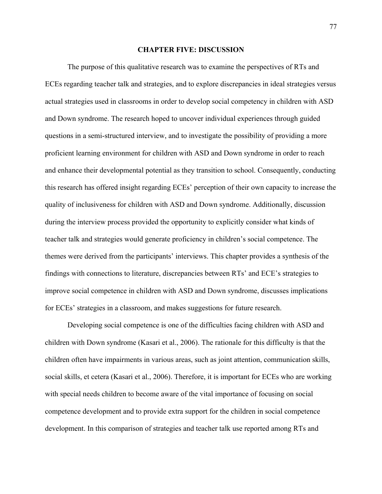#### **CHAPTER FIVE: DISCUSSION**

The purpose of this qualitative research was to examine the perspectives of RTs and ECEs regarding teacher talk and strategies, and to explore discrepancies in ideal strategies versus actual strategies used in classrooms in order to develop social competency in children with ASD and Down syndrome. The research hoped to uncover individual experiences through guided questions in a semi-structured interview, and to investigate the possibility of providing a more proficient learning environment for children with ASD and Down syndrome in order to reach and enhance their developmental potential as they transition to school. Consequently, conducting this research has offered insight regarding ECEs' perception of their own capacity to increase the quality of inclusiveness for children with ASD and Down syndrome. Additionally, discussion during the interview process provided the opportunity to explicitly consider what kinds of teacher talk and strategies would generate proficiency in children's social competence. The themes were derived from the participants' interviews. This chapter provides a synthesis of the findings with connections to literature, discrepancies between RTs' and ECE's strategies to improve social competence in children with ASD and Down syndrome, discusses implications for ECEs' strategies in a classroom, and makes suggestions for future research.

Developing social competence is one of the difficulties facing children with ASD and children with Down syndrome (Kasari et al., 2006). The rationale for this difficulty is that the children often have impairments in various areas, such as joint attention, communication skills, social skills, et cetera (Kasari et al., 2006). Therefore, it is important for ECEs who are working with special needs children to become aware of the vital importance of focusing on social competence development and to provide extra support for the children in social competence development. In this comparison of strategies and teacher talk use reported among RTs and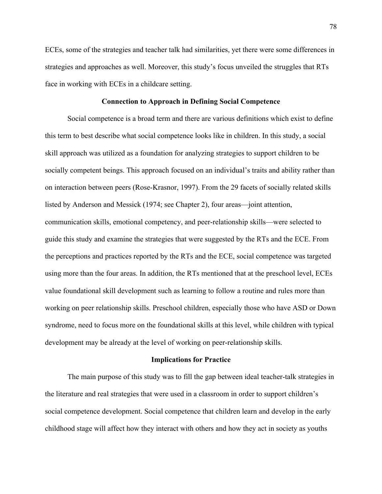ECEs, some of the strategies and teacher talk had similarities, yet there were some differences in strategies and approaches as well. Moreover, this study's focus unveiled the struggles that RTs face in working with ECEs in a childcare setting.

# **Connection to Approach in Defining Social Competence**

Social competence is a broad term and there are various definitions which exist to define this term to best describe what social competence looks like in children. In this study, a social skill approach was utilized as a foundation for analyzing strategies to support children to be socially competent beings. This approach focused on an individual's traits and ability rather than on interaction between peers (Rose-Krasnor, 1997). From the 29 facets of socially related skills listed by Anderson and Messick (1974; see Chapter 2), four areas—joint attention, communication skills, emotional competency, and peer-relationship skills—were selected to guide this study and examine the strategies that were suggested by the RTs and the ECE. From the perceptions and practices reported by the RTs and the ECE, social competence was targeted using more than the four areas. In addition, the RTs mentioned that at the preschool level, ECEs value foundational skill development such as learning to follow a routine and rules more than working on peer relationship skills. Preschool children, especially those who have ASD or Down syndrome, need to focus more on the foundational skills at this level, while children with typical development may be already at the level of working on peer-relationship skills.

## **Implications for Practice**

The main purpose of this study was to fill the gap between ideal teacher-talk strategies in the literature and real strategies that were used in a classroom in order to support children's social competence development. Social competence that children learn and develop in the early childhood stage will affect how they interact with others and how they act in society as youths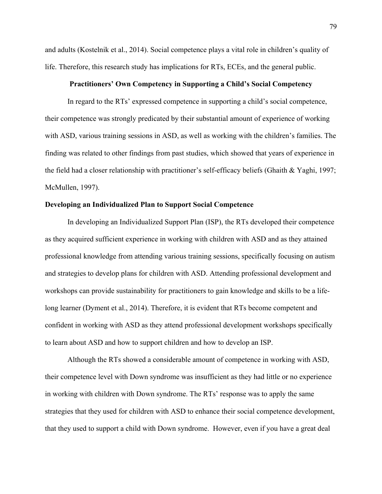and adults (Kostelnik et al., 2014). Social competence plays a vital role in children's quality of life. Therefore, this research study has implications for RTs, ECEs, and the general public.

## **Practitioners' Own Competency in Supporting a Child's Social Competency**

In regard to the RTs' expressed competence in supporting a child's social competence, their competence was strongly predicated by their substantial amount of experience of working with ASD, various training sessions in ASD, as well as working with the children's families. The finding was related to other findings from past studies, which showed that years of experience in the field had a closer relationship with practitioner's self-efficacy beliefs (Ghaith & Yaghi, 1997; McMullen, 1997).

# **Developing an Individualized Plan to Support Social Competence**

In developing an Individualized Support Plan (ISP), the RTs developed their competence as they acquired sufficient experience in working with children with ASD and as they attained professional knowledge from attending various training sessions, specifically focusing on autism and strategies to develop plans for children with ASD. Attending professional development and workshops can provide sustainability for practitioners to gain knowledge and skills to be a lifelong learner (Dyment et al., 2014). Therefore, it is evident that RTs become competent and confident in working with ASD as they attend professional development workshops specifically to learn about ASD and how to support children and how to develop an ISP.

Although the RTs showed a considerable amount of competence in working with ASD, their competence level with Down syndrome was insufficient as they had little or no experience in working with children with Down syndrome. The RTs' response was to apply the same strategies that they used for children with ASD to enhance their social competence development, that they used to support a child with Down syndrome. However, even if you have a great deal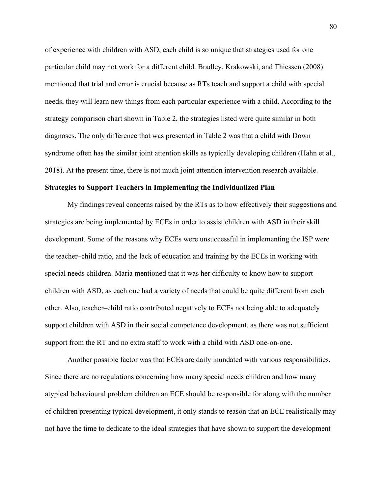of experience with children with ASD, each child is so unique that strategies used for one particular child may not work for a different child. Bradley, Krakowski, and Thiessen (2008) mentioned that trial and error is crucial because as RTs teach and support a child with special needs, they will learn new things from each particular experience with a child. According to the strategy comparison chart shown in Table 2, the strategies listed were quite similar in both diagnoses. The only difference that was presented in Table 2 was that a child with Down syndrome often has the similar joint attention skills as typically developing children (Hahn et al., 2018). At the present time, there is not much joint attention intervention research available.

### **Strategies to Support Teachers in Implementing the Individualized Plan**

My findings reveal concerns raised by the RTs as to how effectively their suggestions and strategies are being implemented by ECEs in order to assist children with ASD in their skill development. Some of the reasons why ECEs were unsuccessful in implementing the ISP were the teacher–child ratio, and the lack of education and training by the ECEs in working with special needs children. Maria mentioned that it was her difficulty to know how to support children with ASD, as each one had a variety of needs that could be quite different from each other. Also, teacher–child ratio contributed negatively to ECEs not being able to adequately support children with ASD in their social competence development, as there was not sufficient support from the RT and no extra staff to work with a child with ASD one-on-one.

Another possible factor was that ECEs are daily inundated with various responsibilities. Since there are no regulations concerning how many special needs children and how many atypical behavioural problem children an ECE should be responsible for along with the number of children presenting typical development, it only stands to reason that an ECE realistically may not have the time to dedicate to the ideal strategies that have shown to support the development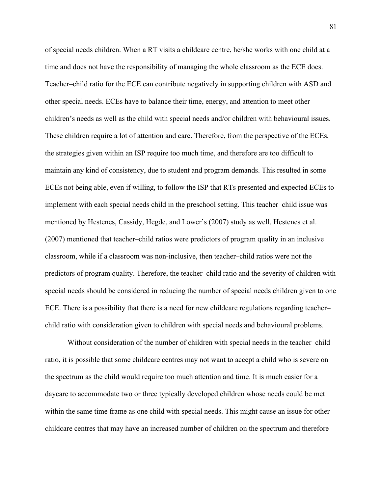of special needs children. When a RT visits a childcare centre, he/she works with one child at a time and does not have the responsibility of managing the whole classroom as the ECE does. Teacher–child ratio for the ECE can contribute negatively in supporting children with ASD and other special needs. ECEs have to balance their time, energy, and attention to meet other children's needs as well as the child with special needs and/or children with behavioural issues. These children require a lot of attention and care. Therefore, from the perspective of the ECEs, the strategies given within an ISP require too much time, and therefore are too difficult to maintain any kind of consistency, due to student and program demands. This resulted in some ECEs not being able, even if willing, to follow the ISP that RTs presented and expected ECEs to implement with each special needs child in the preschool setting. This teacher–child issue was mentioned by Hestenes, Cassidy, Hegde, and Lower's (2007) study as well. Hestenes et al. (2007) mentioned that teacher–child ratios were predictors of program quality in an inclusive classroom, while if a classroom was non-inclusive, then teacher–child ratios were not the predictors of program quality. Therefore, the teacher–child ratio and the severity of children with special needs should be considered in reducing the number of special needs children given to one ECE. There is a possibility that there is a need for new childcare regulations regarding teacher– child ratio with consideration given to children with special needs and behavioural problems.

Without consideration of the number of children with special needs in the teacher–child ratio, it is possible that some childcare centres may not want to accept a child who is severe on the spectrum as the child would require too much attention and time. It is much easier for a daycare to accommodate two or three typically developed children whose needs could be met within the same time frame as one child with special needs. This might cause an issue for other childcare centres that may have an increased number of children on the spectrum and therefore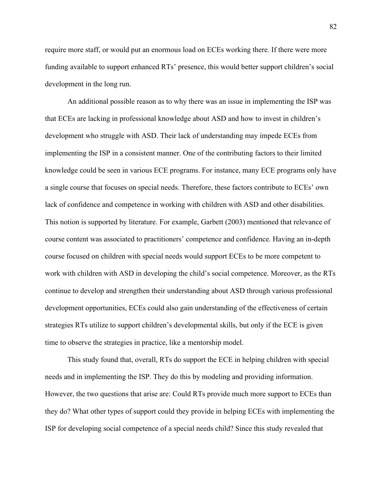require more staff, or would put an enormous load on ECEs working there. If there were more funding available to support enhanced RTs' presence, this would better support children's social development in the long run.

An additional possible reason as to why there was an issue in implementing the ISP was that ECEs are lacking in professional knowledge about ASD and how to invest in children's development who struggle with ASD. Their lack of understanding may impede ECEs from implementing the ISP in a consistent manner. One of the contributing factors to their limited knowledge could be seen in various ECE programs. For instance, many ECE programs only have a single course that focuses on special needs. Therefore, these factors contribute to ECEs' own lack of confidence and competence in working with children with ASD and other disabilities. This notion is supported by literature. For example, Garbett (2003) mentioned that relevance of course content was associated to practitioners' competence and confidence. Having an in-depth course focused on children with special needs would support ECEs to be more competent to work with children with ASD in developing the child's social competence. Moreover, as the RTs continue to develop and strengthen their understanding about ASD through various professional development opportunities, ECEs could also gain understanding of the effectiveness of certain strategies RTs utilize to support children's developmental skills, but only if the ECE is given time to observe the strategies in practice, like a mentorship model.

This study found that, overall, RTs do support the ECE in helping children with special needs and in implementing the ISP. They do this by modeling and providing information. However, the two questions that arise are: Could RTs provide much more support to ECEs than they do? What other types of support could they provide in helping ECEs with implementing the ISP for developing social competence of a special needs child? Since this study revealed that

82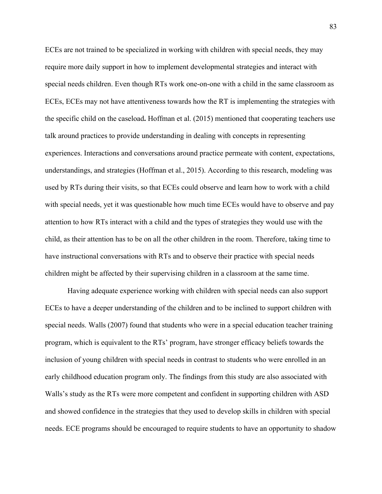ECEs are not trained to be specialized in working with children with special needs, they may require more daily support in how to implement developmental strategies and interact with special needs children. Even though RTs work one-on-one with a child in the same classroom as ECEs, ECEs may not have attentiveness towards how the RT is implementing the strategies with the specific child on the caseload**.** Hoffman et al. (2015) mentioned that cooperating teachers use talk around practices to provide understanding in dealing with concepts in representing experiences. Interactions and conversations around practice permeate with content, expectations, understandings, and strategies (Hoffman et al., 2015). According to this research, modeling was used by RTs during their visits, so that ECEs could observe and learn how to work with a child with special needs, yet it was questionable how much time ECEs would have to observe and pay attention to how RTs interact with a child and the types of strategies they would use with the child, as their attention has to be on all the other children in the room. Therefore, taking time to have instructional conversations with RTs and to observe their practice with special needs children might be affected by their supervising children in a classroom at the same time.

Having adequate experience working with children with special needs can also support ECEs to have a deeper understanding of the children and to be inclined to support children with special needs. Walls (2007) found that students who were in a special education teacher training program, which is equivalent to the RTs' program, have stronger efficacy beliefs towards the inclusion of young children with special needs in contrast to students who were enrolled in an early childhood education program only. The findings from this study are also associated with Walls's study as the RTs were more competent and confident in supporting children with ASD and showed confidence in the strategies that they used to develop skills in children with special needs. ECE programs should be encouraged to require students to have an opportunity to shadow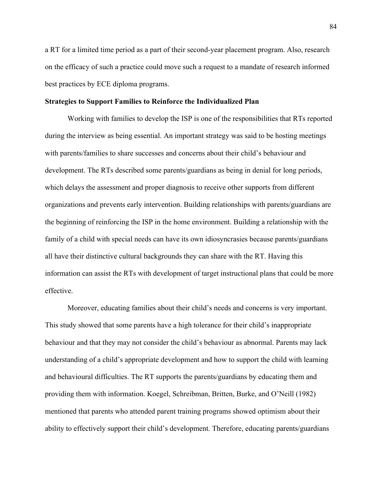a RT for a limited time period as a part of their second-year placement program. Also, research on the efficacy of such a practice could move such a request to a mandate of research informed best practices by ECE diploma programs.

## **Strategies to Support Families to Reinforce the Individualized Plan**

Working with families to develop the ISP is one of the responsibilities that RTs reported during the interview as being essential. An important strategy was said to be hosting meetings with parents/families to share successes and concerns about their child's behaviour and development. The RTs described some parents/guardians as being in denial for long periods, which delays the assessment and proper diagnosis to receive other supports from different organizations and prevents early intervention. Building relationships with parents/guardians are the beginning of reinforcing the ISP in the home environment. Building a relationship with the family of a child with special needs can have its own idiosyncrasies because parents/guardians all have their distinctive cultural backgrounds they can share with the RT. Having this information can assist the RTs with development of target instructional plans that could be more effective.

Moreover, educating families about their child's needs and concerns is very important. This study showed that some parents have a high tolerance for their child's inappropriate behaviour and that they may not consider the child's behaviour as abnormal. Parents may lack understanding of a child's appropriate development and how to support the child with learning and behavioural difficulties. The RT supports the parents/guardians by educating them and providing them with information. Koegel, Schreibman, Britten, Burke, and O'Neill (1982) mentioned that parents who attended parent training programs showed optimism about their ability to effectively support their child's development. Therefore, educating parents/guardians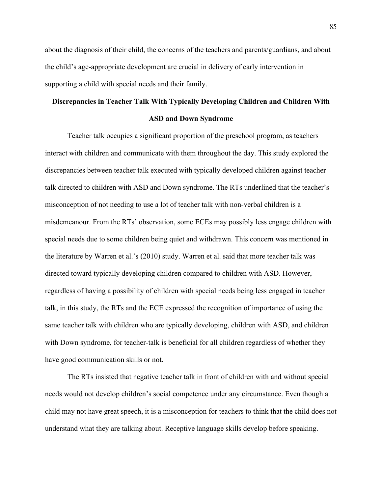about the diagnosis of their child, the concerns of the teachers and parents/guardians, and about the child's age-appropriate development are crucial in delivery of early intervention in supporting a child with special needs and their family.

# **Discrepancies in Teacher Talk With Typically Developing Children and Children With ASD and Down Syndrome**

Teacher talk occupies a significant proportion of the preschool program, as teachers interact with children and communicate with them throughout the day. This study explored the discrepancies between teacher talk executed with typically developed children against teacher talk directed to children with ASD and Down syndrome. The RTs underlined that the teacher's misconception of not needing to use a lot of teacher talk with non-verbal children is a misdemeanour. From the RTs' observation, some ECEs may possibly less engage children with special needs due to some children being quiet and withdrawn. This concern was mentioned in the literature by Warren et al.'s (2010) study. Warren et al. said that more teacher talk was directed toward typically developing children compared to children with ASD. However, regardless of having a possibility of children with special needs being less engaged in teacher talk, in this study, the RTs and the ECE expressed the recognition of importance of using the same teacher talk with children who are typically developing, children with ASD, and children with Down syndrome, for teacher-talk is beneficial for all children regardless of whether they have good communication skills or not.

The RTs insisted that negative teacher talk in front of children with and without special needs would not develop children's social competence under any circumstance. Even though a child may not have great speech, it is a misconception for teachers to think that the child does not understand what they are talking about. Receptive language skills develop before speaking.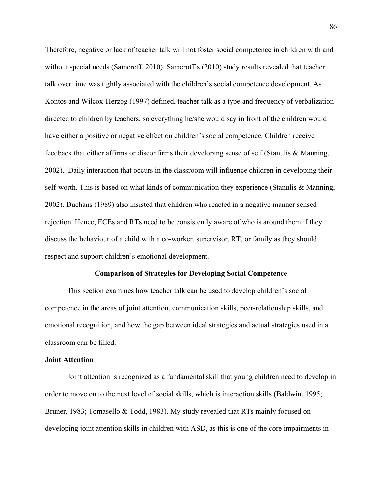Therefore, negative or lack of teacher talk will not foster social competence in children with and without special needs (Sameroff, 2010). Sameroff's (2010) study results revealed that teacher talk over time was tightly associated with the children's social competence development. As Kontos and Wilcox-Herzog (1997) defined, teacher talk as a type and frequency of verbalization directed to children by teachers, so everything he/she would say in front of the children would have either a positive or negative effect on children's social competence. Children receive feedback that either affirms or disconfirms their developing sense of self (Stanulis & Manning, 2002). Daily interaction that occurs in the classroom will influence children in developing their self-worth. This is based on what kinds of communication they experience (Stanulis  $\&$  Manning, 2002). Duchans (1989) also insisted that children who reacted in a negative manner sensed rejection. Hence, ECEs and RTs need to be consistently aware of who is around them if they discuss the behaviour of a child with a co-worker, supervisor, RT, or family as they should respect and support children's emotional development.

# **Comparison of Strategies for Developing Social Competence**

This section examines how teacher talk can be used to develop children's social competence in the areas of joint attention, communication skills, peer-relationship skills, and emotional recognition, and how the gap between ideal strategies and actual strategies used in a classroom can be filled.

# **Joint Attention**

Joint attention is recognized as a fundamental skill that young children need to develop in order to move on to the next level of social skills, which is interaction skills (Baldwin, 1995; Bruner, 1983; Tomasello & Todd, 1983). My study revealed that RTs mainly focused on developing joint attention skills in children with ASD, as this is one of the core impairments in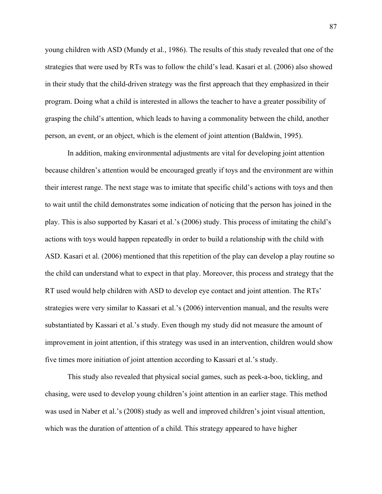young children with ASD (Mundy et al., 1986). The results of this study revealed that one of the strategies that were used by RTs was to follow the child's lead. Kasari et al. (2006) also showed in their study that the child-driven strategy was the first approach that they emphasized in their program. Doing what a child is interested in allows the teacher to have a greater possibility of grasping the child's attention, which leads to having a commonality between the child, another person, an event, or an object, which is the element of joint attention (Baldwin, 1995).

In addition, making environmental adjustments are vital for developing joint attention because children's attention would be encouraged greatly if toys and the environment are within their interest range. The next stage was to imitate that specific child's actions with toys and then to wait until the child demonstrates some indication of noticing that the person has joined in the play. This is also supported by Kasari et al.'s (2006) study. This process of imitating the child's actions with toys would happen repeatedly in order to build a relationship with the child with ASD. Kasari et al. (2006) mentioned that this repetition of the play can develop a play routine so the child can understand what to expect in that play. Moreover, this process and strategy that the RT used would help children with ASD to develop eye contact and joint attention. The RTs' strategies were very similar to Kassari et al.'s (2006) intervention manual, and the results were substantiated by Kassari et al.'s study. Even though my study did not measure the amount of improvement in joint attention, if this strategy was used in an intervention, children would show five times more initiation of joint attention according to Kassari et al.'s study.

This study also revealed that physical social games, such as peek-a-boo, tickling, and chasing, were used to develop young children's joint attention in an earlier stage. This method was used in Naber et al.'s (2008) study as well and improved children's joint visual attention, which was the duration of attention of a child. This strategy appeared to have higher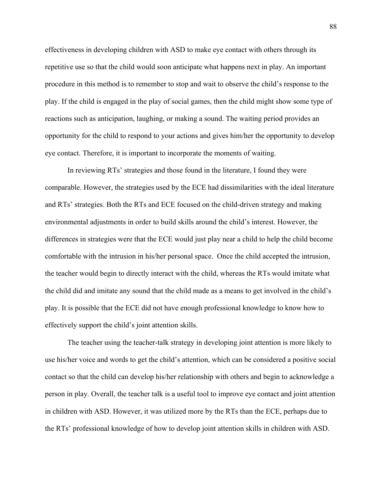effectiveness in developing children with ASD to make eye contact with others through its repetitive use so that the child would soon anticipate what happens next in play. An important procedure in this method is to remember to stop and wait to observe the child's response to the play. If the child is engaged in the play of social games, then the child might show some type of reactions such as anticipation, laughing, or making a sound. The waiting period provides an opportunity for the child to respond to your actions and gives him/her the opportunity to develop eye contact. Therefore, it is important to incorporate the moments of waiting.

In reviewing RTs' strategies and those found in the literature, I found they were comparable. However, the strategies used by the ECE had dissimilarities with the ideal literature and RTs' strategies. Both the RTs and ECE focused on the child-driven strategy and making environmental adjustments in order to build skills around the child's interest. However, the differences in strategies were that the ECE would just play near a child to help the child become comfortable with the intrusion in his/her personal space. Once the child accepted the intrusion, the teacher would begin to directly interact with the child, whereas the RTs would imitate what the child did and imitate any sound that the child made as a means to get involved in the child's play. It is possible that the ECE did not have enough professional knowledge to know how to effectively support the child's joint attention skills.

The teacher using the teacher-talk strategy in developing joint attention is more likely to use his/her voice and words to get the child's attention, which can be considered a positive social contact so that the child can develop his/her relationship with others and begin to acknowledge a person in play. Overall, the teacher talk is a useful tool to improve eye contact and joint attention in children with ASD. However, it was utilized more by the RTs than the ECE, perhaps due to the RTs' professional knowledge of how to develop joint attention skills in children with ASD.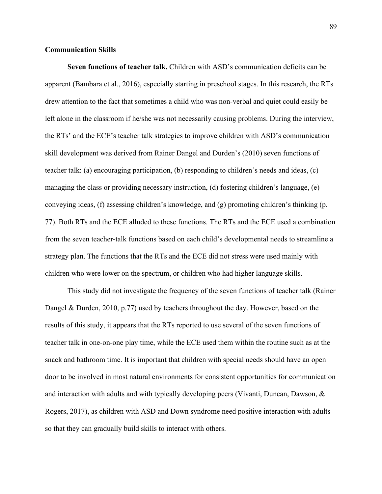## **Communication Skills**

**Seven functions of teacher talk.** Children with ASD's communication deficits can be apparent (Bambara et al., 2016), especially starting in preschool stages. In this research, the RTs drew attention to the fact that sometimes a child who was non-verbal and quiet could easily be left alone in the classroom if he/she was not necessarily causing problems. During the interview, the RTs' and the ECE's teacher talk strategies to improve children with ASD's communication skill development was derived from Rainer Dangel and Durden's (2010) seven functions of teacher talk: (a) encouraging participation, (b) responding to children's needs and ideas, (c) managing the class or providing necessary instruction, (d) fostering children's language, (e) conveying ideas, (f) assessing children's knowledge, and (g) promoting children's thinking (p. 77). Both RTs and the ECE alluded to these functions. The RTs and the ECE used a combination from the seven teacher-talk functions based on each child's developmental needs to streamline a strategy plan. The functions that the RTs and the ECE did not stress were used mainly with children who were lower on the spectrum, or children who had higher language skills.

This study did not investigate the frequency of the seven functions of teacher talk (Rainer Dangel & Durden, 2010, p.77) used by teachers throughout the day. However, based on the results of this study, it appears that the RTs reported to use several of the seven functions of teacher talk in one-on-one play time, while the ECE used them within the routine such as at the snack and bathroom time. It is important that children with special needs should have an open door to be involved in most natural environments for consistent opportunities for communication and interaction with adults and with typically developing peers (Vivanti, Duncan, Dawson, & Rogers, 2017), as children with ASD and Down syndrome need positive interaction with adults so that they can gradually build skills to interact with others.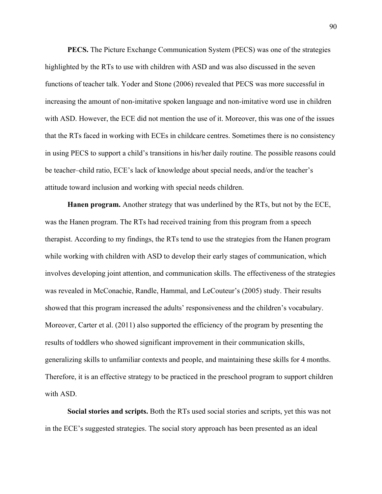**PECS.** The Picture Exchange Communication System (PECS) was one of the strategies highlighted by the RTs to use with children with ASD and was also discussed in the seven functions of teacher talk. Yoder and Stone (2006) revealed that PECS was more successful in increasing the amount of non-imitative spoken language and non-imitative word use in children with ASD. However, the ECE did not mention the use of it. Moreover, this was one of the issues that the RTs faced in working with ECEs in childcare centres. Sometimes there is no consistency in using PECS to support a child's transitions in his/her daily routine. The possible reasons could be teacher–child ratio, ECE's lack of knowledge about special needs, and/or the teacher's attitude toward inclusion and working with special needs children.

**Hanen program.** Another strategy that was underlined by the RTs, but not by the ECE, was the Hanen program. The RTs had received training from this program from a speech therapist. According to my findings, the RTs tend to use the strategies from the Hanen program while working with children with ASD to develop their early stages of communication, which involves developing joint attention, and communication skills. The effectiveness of the strategies was revealed in McConachie, Randle, Hammal, and LeCouteur's (2005) study. Their results showed that this program increased the adults' responsiveness and the children's vocabulary. Moreover, Carter et al. (2011) also supported the efficiency of the program by presenting the results of toddlers who showed significant improvement in their communication skills, generalizing skills to unfamiliar contexts and people, and maintaining these skills for 4 months. Therefore, it is an effective strategy to be practiced in the preschool program to support children with ASD.

**Social stories and scripts.** Both the RTs used social stories and scripts, yet this was not in the ECE's suggested strategies. The social story approach has been presented as an ideal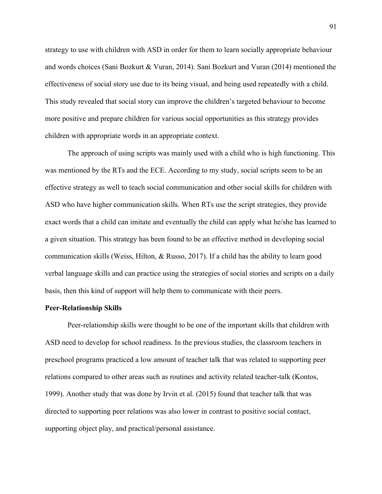strategy to use with children with ASD in order for them to learn socially appropriate behaviour and words choices (Sani Bozkurt & Vuran, 2014). Sani Bozkurt and Vuran (2014) mentioned the effectiveness of social story use due to its being visual, and being used repeatedly with a child. This study revealed that social story can improve the children's targeted behaviour to become more positive and prepare children for various social opportunities as this strategy provides children with appropriate words in an appropriate context.

The approach of using scripts was mainly used with a child who is high functioning. This was mentioned by the RTs and the ECE. According to my study, social scripts seem to be an effective strategy as well to teach social communication and other social skills for children with ASD who have higher communication skills. When RTs use the script strategies, they provide exact words that a child can imitate and eventually the child can apply what he/she has learned to a given situation. This strategy has been found to be an effective method in developing social communication skills (Weiss, Hilton, & Russo, 2017). If a child has the ability to learn good verbal language skills and can practice using the strategies of social stories and scripts on a daily basis, then this kind of support will help them to communicate with their peers.

#### **Peer-Relationship Skills**

Peer-relationship skills were thought to be one of the important skills that children with ASD need to develop for school readiness. In the previous studies, the classroom teachers in preschool programs practiced a low amount of teacher talk that was related to supporting peer relations compared to other areas such as routines and activity related teacher-talk (Kontos, 1999). Another study that was done by Irvin et al. (2015) found that teacher talk that was directed to supporting peer relations was also lower in contrast to positive social contact, supporting object play, and practical/personal assistance.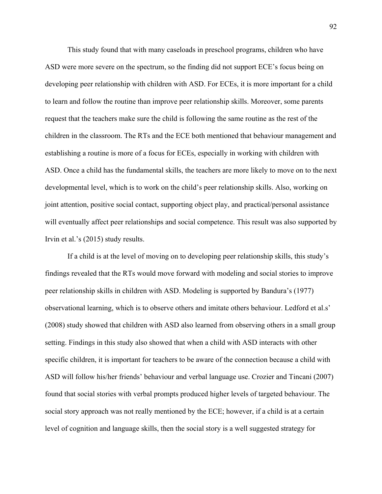This study found that with many caseloads in preschool programs, children who have ASD were more severe on the spectrum, so the finding did not support ECE's focus being on developing peer relationship with children with ASD. For ECEs, it is more important for a child to learn and follow the routine than improve peer relationship skills. Moreover, some parents request that the teachers make sure the child is following the same routine as the rest of the children in the classroom. The RTs and the ECE both mentioned that behaviour management and establishing a routine is more of a focus for ECEs, especially in working with children with ASD. Once a child has the fundamental skills, the teachers are more likely to move on to the next developmental level, which is to work on the child's peer relationship skills. Also, working on joint attention, positive social contact, supporting object play, and practical/personal assistance will eventually affect peer relationships and social competence. This result was also supported by Irvin et al.'s (2015) study results.

If a child is at the level of moving on to developing peer relationship skills, this study's findings revealed that the RTs would move forward with modeling and social stories to improve peer relationship skills in children with ASD. Modeling is supported by Bandura's (1977) observational learning, which is to observe others and imitate others behaviour. Ledford et al.s' (2008) study showed that children with ASD also learned from observing others in a small group setting. Findings in this study also showed that when a child with ASD interacts with other specific children, it is important for teachers to be aware of the connection because a child with ASD will follow his/her friends' behaviour and verbal language use. Crozier and Tincani (2007) found that social stories with verbal prompts produced higher levels of targeted behaviour. The social story approach was not really mentioned by the ECE; however, if a child is at a certain level of cognition and language skills, then the social story is a well suggested strategy for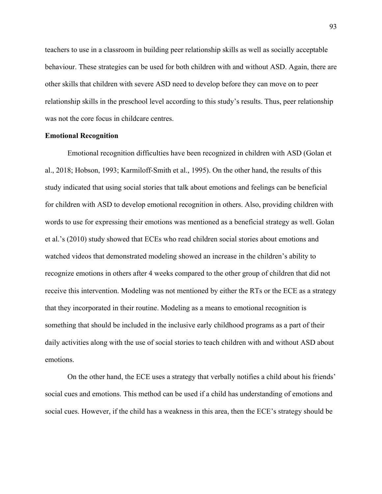teachers to use in a classroom in building peer relationship skills as well as socially acceptable behaviour. These strategies can be used for both children with and without ASD. Again, there are other skills that children with severe ASD need to develop before they can move on to peer relationship skills in the preschool level according to this study's results. Thus, peer relationship was not the core focus in childcare centres.

## **Emotional Recognition**

Emotional recognition difficulties have been recognized in children with ASD (Golan et al., 2018; Hobson, 1993; Karmiloff-Smith et al., 1995). On the other hand, the results of this study indicated that using social stories that talk about emotions and feelings can be beneficial for children with ASD to develop emotional recognition in others. Also, providing children with words to use for expressing their emotions was mentioned as a beneficial strategy as well. Golan et al.'s (2010) study showed that ECEs who read children social stories about emotions and watched videos that demonstrated modeling showed an increase in the children's ability to recognize emotions in others after 4 weeks compared to the other group of children that did not receive this intervention. Modeling was not mentioned by either the RTs or the ECE as a strategy that they incorporated in their routine. Modeling as a means to emotional recognition is something that should be included in the inclusive early childhood programs as a part of their daily activities along with the use of social stories to teach children with and without ASD about emotions.

On the other hand, the ECE uses a strategy that verbally notifies a child about his friends' social cues and emotions. This method can be used if a child has understanding of emotions and social cues. However, if the child has a weakness in this area, then the ECE's strategy should be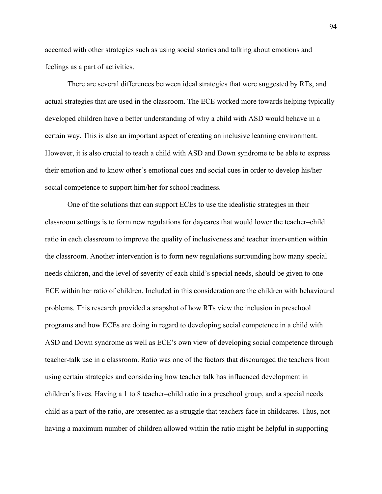accented with other strategies such as using social stories and talking about emotions and feelings as a part of activities.

There are several differences between ideal strategies that were suggested by RTs, and actual strategies that are used in the classroom. The ECE worked more towards helping typically developed children have a better understanding of why a child with ASD would behave in a certain way. This is also an important aspect of creating an inclusive learning environment. However, it is also crucial to teach a child with ASD and Down syndrome to be able to express their emotion and to know other's emotional cues and social cues in order to develop his/her social competence to support him/her for school readiness.

One of the solutions that can support ECEs to use the idealistic strategies in their classroom settings is to form new regulations for daycares that would lower the teacher–child ratio in each classroom to improve the quality of inclusiveness and teacher intervention within the classroom. Another intervention is to form new regulations surrounding how many special needs children, and the level of severity of each child's special needs, should be given to one ECE within her ratio of children. Included in this consideration are the children with behavioural problems. This research provided a snapshot of how RTs view the inclusion in preschool programs and how ECEs are doing in regard to developing social competence in a child with ASD and Down syndrome as well as ECE's own view of developing social competence through teacher-talk use in a classroom. Ratio was one of the factors that discouraged the teachers from using certain strategies and considering how teacher talk has influenced development in children's lives. Having a 1 to 8 teacher–child ratio in a preschool group, and a special needs child as a part of the ratio, are presented as a struggle that teachers face in childcares. Thus, not having a maximum number of children allowed within the ratio might be helpful in supporting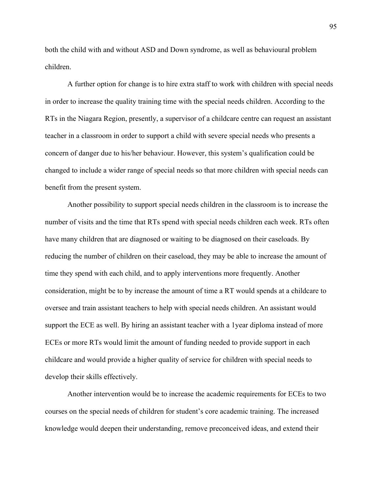both the child with and without ASD and Down syndrome, as well as behavioural problem children.

A further option for change is to hire extra staff to work with children with special needs in order to increase the quality training time with the special needs children. According to the RTs in the Niagara Region, presently, a supervisor of a childcare centre can request an assistant teacher in a classroom in order to support a child with severe special needs who presents a concern of danger due to his/her behaviour. However, this system's qualification could be changed to include a wider range of special needs so that more children with special needs can benefit from the present system.

Another possibility to support special needs children in the classroom is to increase the number of visits and the time that RTs spend with special needs children each week. RTs often have many children that are diagnosed or waiting to be diagnosed on their caseloads. By reducing the number of children on their caseload, they may be able to increase the amount of time they spend with each child, and to apply interventions more frequently. Another consideration, might be to by increase the amount of time a RT would spends at a childcare to oversee and train assistant teachers to help with special needs children. An assistant would support the ECE as well. By hiring an assistant teacher with a 1year diploma instead of more ECEs or more RTs would limit the amount of funding needed to provide support in each childcare and would provide a higher quality of service for children with special needs to develop their skills effectively.

Another intervention would be to increase the academic requirements for ECEs to two courses on the special needs of children for student's core academic training. The increased knowledge would deepen their understanding, remove preconceived ideas, and extend their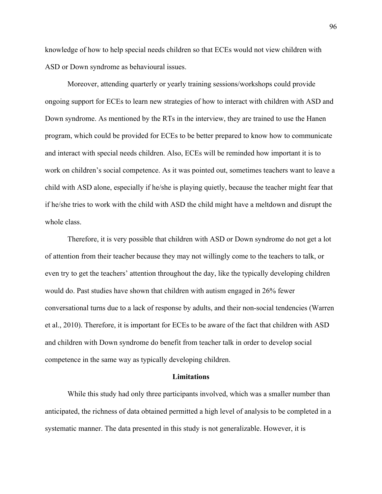knowledge of how to help special needs children so that ECEs would not view children with ASD or Down syndrome as behavioural issues.

Moreover, attending quarterly or yearly training sessions/workshops could provide ongoing support for ECEs to learn new strategies of how to interact with children with ASD and Down syndrome. As mentioned by the RTs in the interview, they are trained to use the Hanen program, which could be provided for ECEs to be better prepared to know how to communicate and interact with special needs children. Also, ECEs will be reminded how important it is to work on children's social competence. As it was pointed out, sometimes teachers want to leave a child with ASD alone, especially if he/she is playing quietly, because the teacher might fear that if he/she tries to work with the child with ASD the child might have a meltdown and disrupt the whole class.

Therefore, it is very possible that children with ASD or Down syndrome do not get a lot of attention from their teacher because they may not willingly come to the teachers to talk, or even try to get the teachers' attention throughout the day, like the typically developing children would do. Past studies have shown that children with autism engaged in 26% fewer conversational turns due to a lack of response by adults, and their non-social tendencies (Warren et al., 2010). Therefore, it is important for ECEs to be aware of the fact that children with ASD and children with Down syndrome do benefit from teacher talk in order to develop social competence in the same way as typically developing children.

#### **Limitations**

While this study had only three participants involved, which was a smaller number than anticipated, the richness of data obtained permitted a high level of analysis to be completed in a systematic manner. The data presented in this study is not generalizable. However, it is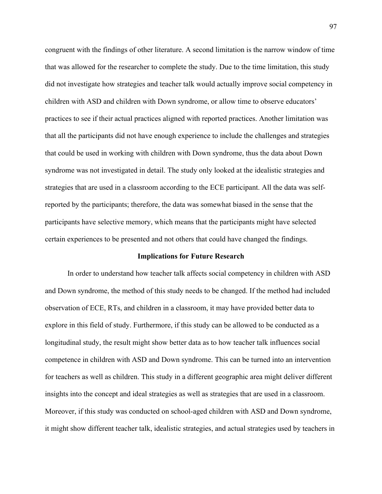congruent with the findings of other literature. A second limitation is the narrow window of time that was allowed for the researcher to complete the study. Due to the time limitation, this study did not investigate how strategies and teacher talk would actually improve social competency in children with ASD and children with Down syndrome, or allow time to observe educators' practices to see if their actual practices aligned with reported practices. Another limitation was that all the participants did not have enough experience to include the challenges and strategies that could be used in working with children with Down syndrome, thus the data about Down syndrome was not investigated in detail. The study only looked at the idealistic strategies and strategies that are used in a classroom according to the ECE participant. All the data was selfreported by the participants; therefore, the data was somewhat biased in the sense that the participants have selective memory, which means that the participants might have selected certain experiences to be presented and not others that could have changed the findings.

#### **Implications for Future Research**

In order to understand how teacher talk affects social competency in children with ASD and Down syndrome, the method of this study needs to be changed. If the method had included observation of ECE, RTs, and children in a classroom, it may have provided better data to explore in this field of study. Furthermore, if this study can be allowed to be conducted as a longitudinal study, the result might show better data as to how teacher talk influences social competence in children with ASD and Down syndrome. This can be turned into an intervention for teachers as well as children. This study in a different geographic area might deliver different insights into the concept and ideal strategies as well as strategies that are used in a classroom. Moreover, if this study was conducted on school-aged children with ASD and Down syndrome, it might show different teacher talk, idealistic strategies, and actual strategies used by teachers in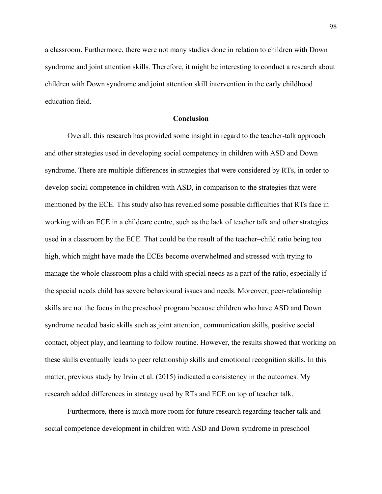a classroom. Furthermore, there were not many studies done in relation to children with Down syndrome and joint attention skills. Therefore, it might be interesting to conduct a research about children with Down syndrome and joint attention skill intervention in the early childhood education field.

#### **Conclusion**

Overall, this research has provided some insight in regard to the teacher-talk approach and other strategies used in developing social competency in children with ASD and Down syndrome. There are multiple differences in strategies that were considered by RTs, in order to develop social competence in children with ASD, in comparison to the strategies that were mentioned by the ECE. This study also has revealed some possible difficulties that RTs face in working with an ECE in a childcare centre, such as the lack of teacher talk and other strategies used in a classroom by the ECE. That could be the result of the teacher–child ratio being too high, which might have made the ECEs become overwhelmed and stressed with trying to manage the whole classroom plus a child with special needs as a part of the ratio, especially if the special needs child has severe behavioural issues and needs. Moreover, peer-relationship skills are not the focus in the preschool program because children who have ASD and Down syndrome needed basic skills such as joint attention, communication skills, positive social contact, object play, and learning to follow routine. However, the results showed that working on these skills eventually leads to peer relationship skills and emotional recognition skills. In this matter, previous study by Irvin et al. (2015) indicated a consistency in the outcomes. My research added differences in strategy used by RTs and ECE on top of teacher talk.

Furthermore, there is much more room for future research regarding teacher talk and social competence development in children with ASD and Down syndrome in preschool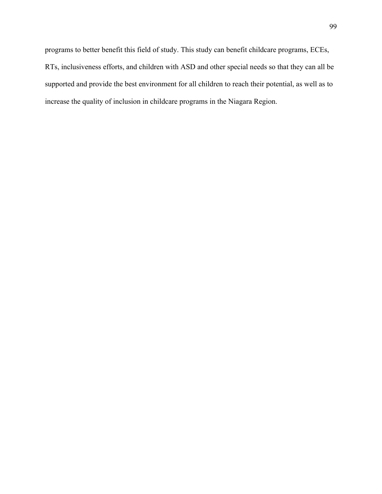programs to better benefit this field of study. This study can benefit childcare programs, ECEs, RTs, inclusiveness efforts, and children with ASD and other special needs so that they can all be supported and provide the best environment for all children to reach their potential, as well as to increase the quality of inclusion in childcare programs in the Niagara Region.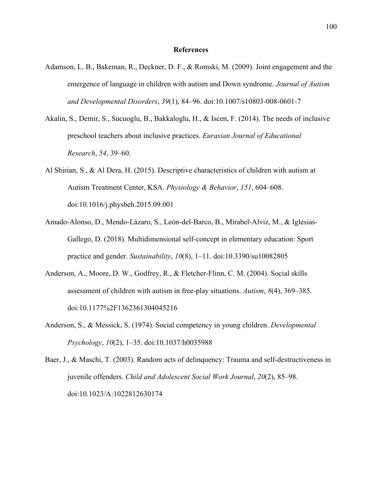#### **References**

- Adamson, L. B., Bakeman, R., Deckner, D. F., & Romski, M. (2009). Joint engagement and the emergence of language in children with autism and Down syndrome. *Journal of Autism and Developmental Disorders*, *39*(1), 84–96. doi:10.1007/s10803-008-0601-7
- Akalin, S., Demir, S., Sucuoglu, B., Bakkaloglu, H., & Iscen, F. (2014). The needs of inclusive preschool teachers about inclusive practices. *Eurasian Journal of Educational Research*, *54*, 39–60.
- Al Shirian, S., & Al Dera, H. (2015). Descriptive characteristics of children with autism at Autism Treatment Center, KSA. *Physiology & Behavior*, *151*, 604–608. doi:10.1016/j.physbeh.2015.09.001
- Amado-Alonso, D., Mendo-Lázaro, S., León-del-Barco, B., Mirabel-Alviz, M., & Iglesias-Gallego, D. (2018). Multidimensional self-concept in elementary education: Sport practice and gender. *Sustainability*, *10*(8), 1–11. doi:10.3390/su10082805
- Anderson, A., Moore, D. W., Godfrey, R., & Fletcher-Flinn, C. M. (2004). Social skills assessment of children with autism in free-play situations. *Autism*, *8*(4), 369–385. doi:10.1177%2F1362361304045216
- Anderson, S., & Messick, S. (1974). Social competency in young children. *Developmental Psychology*, *10*(2), 1–35. doi:10.1037/h0035988
- Baer, J., & Maschi, T. (2003). Random acts of delinquency: Trauma and self-destructiveness in juvenile offenders. *Child and Adolescent Social Work Journal*, *20*(2), 85–98. doi:10.1023/A:1022812630174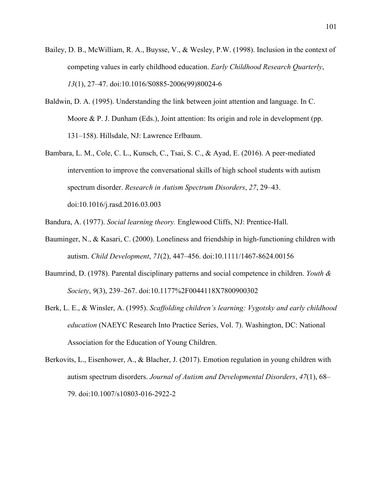- Bailey, D. B., McWilliam, R. A., Buysse, V., & Wesley, P.W. (1998). Inclusion in the context of competing values in early childhood education. *Early Childhood Research Quarterly*, *13*(1), 27–47. doi:10.1016/S0885-2006(99)80024-6
- Baldwin, D. A. (1995). Understanding the link between joint attention and language. In C. Moore & P. J. Dunham (Eds.), Joint attention: Its origin and role in development (pp. 131–158). Hillsdale, NJ: Lawrence Erlbaum.
- Bambara, L. M., Cole, C. L., Kunsch, C., Tsai, S. C., & Ayad, E. (2016). A peer-mediated intervention to improve the conversational skills of high school students with autism spectrum disorder. *Research in Autism Spectrum Disorders*, *27*, 29–43. doi:10.1016/j.rasd.2016.03.003
- Bandura, A. (1977). *Social learning theory.* Englewood Cliffs, NJ: Prentice-Hall.
- Bauminger, N., & Kasari, C. (2000). Loneliness and friendship in high-functioning children with autism. *Child Development*, *71*(2), 447–456. doi:10.1111/1467-8624.00156
- Baumrind, D. (1978). Parental disciplinary patterns and social competence in children. *Youth & Society*, *9*(3), 239–267. doi:10.1177%2F0044118X7800900302
- Berk, L. E., & Winsler, A. (1995). *Scaffolding children's learning: Vygotsky and early childhood education* (NAEYC Research Into Practice Series, Vol. 7). Washington, DC: National Association for the Education of Young Children.
- Berkovits, L., Eisenhower, A., & Blacher, J. (2017). Emotion regulation in young children with autism spectrum disorders. *Journal of Autism and Developmental Disorders*, *47*(1), 68– 79. doi:10.1007/s10803-016-2922-2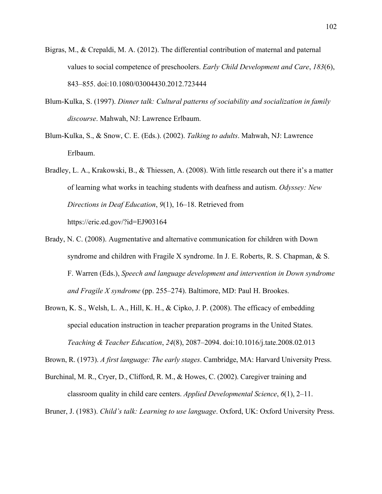- Bigras, M., & Crepaldi, M. A. (2012). The differential contribution of maternal and paternal values to social competence of preschoolers. *Early Child Development and Care*, *183*(6), 843–855. doi:10.1080/03004430.2012.723444
- Blum-Kulka, S. (1997). *Dinner talk: Cultural patterns of sociability and socialization in family discourse*. Mahwah, NJ: Lawrence Erlbaum.
- Blum-Kulka, S., & Snow, C. E. (Eds.). (2002). *Talking to adults*. Mahwah, NJ: Lawrence Erlbaum.
- Bradley, L. A., Krakowski, B., & Thiessen, A. (2008). With little research out there it's a matter of learning what works in teaching students with deafness and autism. *Odyssey: New Directions in Deaf Education*, *9*(1), 16–18. Retrieved from https://eric.ed.gov/?id=EJ903164
- Brady, N. C. (2008). Augmentative and alternative communication for children with Down syndrome and children with Fragile X syndrome. In J. E. Roberts, R. S. Chapman, & S. F. Warren (Eds.), *Speech and language development and intervention in Down syndrome and Fragile X syndrome* (pp. 255–274). Baltimore, MD: Paul H. Brookes.
- Brown, K. S., Welsh, L. A., Hill, K. H., & Cipko, J. P. (2008). The efficacy of embedding special education instruction in teacher preparation programs in the United States. *Teaching & Teacher Education*, *24*(8), 2087–2094. doi:10.1016/j.tate.2008.02.013

Brown, R. (1973). *A first language: The early stages*. Cambridge, MA: Harvard University Press.

Burchinal, M. R., Cryer, D., Clifford, R. M., & Howes, C. (2002). Caregiver training and classroom quality in child care centers. *Applied Developmental Science*, *6*(1), 2–11.

Bruner, J. (1983). *Child's talk: Learning to use language*. Oxford, UK: Oxford University Press.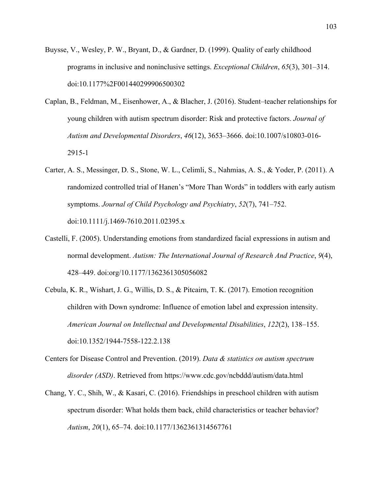- Buysse, V., Wesley, P. W., Bryant, D., & Gardner, D. (1999). Quality of early childhood programs in inclusive and noninclusive settings. *Exceptional Children*, *65*(3), 301–314. doi:10.1177%2F001440299906500302
- Caplan, B., Feldman, M., Eisenhower, A., & Blacher, J. (2016). Student–teacher relationships for young children with autism spectrum disorder: Risk and protective factors. *Journal of Autism and Developmental Disorders*, *46*(12), 3653–3666. doi:10.1007/s10803-016- 2915-1
- Carter, A. S., Messinger, D. S., Stone, W. L., Celimli, S., Nahmias, A. S., & Yoder, P. (2011). A randomized controlled trial of Hanen's "More Than Words" in toddlers with early autism symptoms. *Journal of Child Psychology and Psychiatry*, *52*(7), 741–752. doi:10.1111/j.1469-7610.2011.02395.x
- Castelli, F. (2005). Understanding emotions from standardized facial expressions in autism and normal development. *Autism: The International Journal of Research And Practice*, *9*(4), 428–449. doi:org/10.1177/1362361305056082
- Cebula, K. R., Wishart, J. G., Willis, D. S., & Pitcairn, T. K. (2017). Emotion recognition children with Down syndrome: Influence of emotion label and expression intensity. *American Journal on Intellectual and Developmental Disabilities*, *122*(2), 138–155. doi:10.1352/1944-7558-122.2.138
- Centers for Disease Control and Prevention. (2019). *Data & statistics on autism spectrum disorder (ASD)*. Retrieved from https://www.cdc.gov/ncbddd/autism/data.html
- Chang, Y. C., Shih, W., & Kasari, C. (2016). Friendships in preschool children with autism spectrum disorder: What holds them back, child characteristics or teacher behavior? *Autism*, *20*(1), 65–74. doi:10.1177/1362361314567761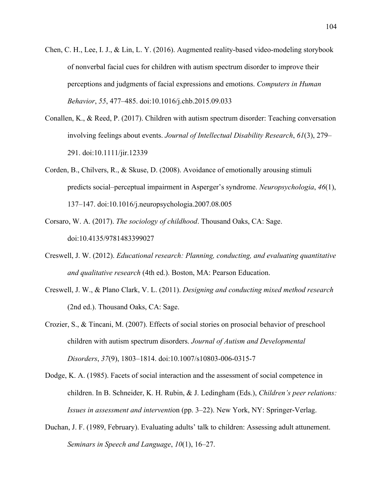- Chen, C. H., Lee, I. J., & Lin, L. Y. (2016). Augmented reality-based video-modeling storybook of nonverbal facial cues for children with autism spectrum disorder to improve their perceptions and judgments of facial expressions and emotions. *Computers in Human Behavior*, *55*, 477–485. doi:10.1016/j.chb.2015.09.033
- Conallen, K., & Reed, P. (2017). Children with autism spectrum disorder: Teaching conversation involving feelings about events. *Journal of Intellectual Disability Research*, *61*(3), 279– 291. doi:10.1111/jir.12339
- Corden, B., Chilvers, R., & Skuse, D. (2008). Avoidance of emotionally arousing stimuli predicts social–perceptual impairment in Asperger's syndrome. *Neuropsychologia*, *46*(1), 137–147. doi:10.1016/j.neuropsychologia.2007.08.005
- Corsaro, W. A. (2017). *The sociology of childhood*. Thousand Oaks, CA: Sage. doi:10.4135/9781483399027
- Creswell, J. W. (2012). *Educational research: Planning, conducting, and evaluating quantitative and qualitative research* (4th ed.). Boston, MA: Pearson Education.
- Creswell, J. W., & Plano Clark, V. L. (2011). *Designing and conducting mixed method research* (2nd ed.). Thousand Oaks, CA: Sage.
- Crozier, S., & Tincani, M. (2007). Effects of social stories on prosocial behavior of preschool children with autism spectrum disorders. *Journal of Autism and Developmental Disorders*, *37*(9), 1803–1814. doi:10.1007/s10803-006-0315-7
- Dodge, K. A. (1985). Facets of social interaction and the assessment of social competence in children. In B. Schneider, K. H. Rubin, & J. Ledingham (Eds.), *Children's peer relations: Issues in assessment and interventi*on (pp. 3–22). New York, NY: Springer-Verlag.
- Duchan, J. F. (1989, February). Evaluating adults' talk to children: Assessing adult attunement. *Seminars in Speech and Language*, *10*(1), 16–27.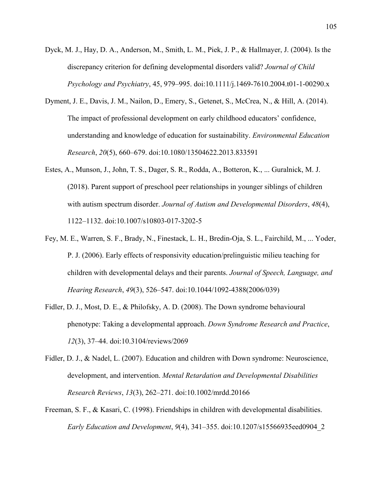- Dyck, M. J., Hay, D. A., Anderson, M., Smith, L. M., Piek, J. P., & Hallmayer, J. (2004). Is the discrepancy criterion for defining developmental disorders valid? *Journal of Child Psychology and Psychiatry*, 45, 979–995. doi:10.1111/j.1469-7610.2004.t01-1-00290.x
- Dyment, J. E., Davis, J. M., Nailon, D., Emery, S., Getenet, S., McCrea, N., & Hill, A. (2014). The impact of professional development on early childhood educators' confidence, understanding and knowledge of education for sustainability. *Environmental Education Research*, *20*(5), 660–679. doi:10.1080/13504622.2013.833591
- Estes, A., Munson, J., John, T. S., Dager, S. R., Rodda, A., Botteron, K., ... Guralnick, M. J. (2018). Parent support of preschool peer relationships in younger siblings of children with autism spectrum disorder. *Journal of Autism and Developmental Disorders*, *48*(4), 1122–1132. doi:10.1007/s10803-017-3202-5
- Fey, M. E., Warren, S. F., Brady, N., Finestack, L. H., Bredin-Oja, S. L., Fairchild, M., ... Yoder, P. J. (2006). Early effects of responsivity education/prelinguistic milieu teaching for children with developmental delays and their parents. *Journal of Speech, Language, and Hearing Research*, *49*(3), 526–547. doi:10.1044/1092-4388(2006/039)
- Fidler, D. J., Most, D. E., & Philofsky, A. D. (2008). The Down syndrome behavioural phenotype: Taking a developmental approach. *Down Syndrome Research and Practice*, *12*(3), 37–44. doi:10.3104/reviews/2069
- Fidler, D. J., & Nadel, L. (2007). Education and children with Down syndrome: Neuroscience, development, and intervention. *Mental Retardation and Developmental Disabilities Research Reviews*, *13*(3), 262–271. doi:10.1002/mrdd.20166
- Freeman, S. F., & Kasari, C. (1998). Friendships in children with developmental disabilities. *Early Education and Development*, *9*(4), 341–355. doi:10.1207/s15566935eed0904\_2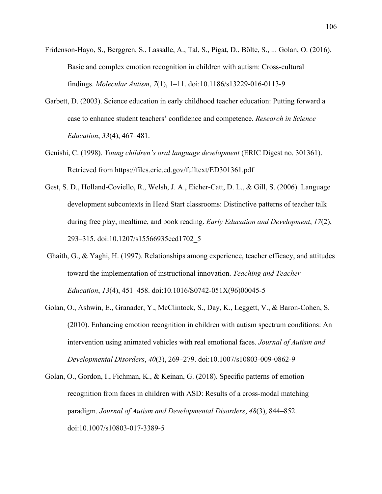- Fridenson-Hayo, S., Berggren, S., Lassalle, A., Tal, S., Pigat, D., Bölte, S., ... Golan, O. (2016). Basic and complex emotion recognition in children with autism: Cross-cultural findings. *Molecular Autism*, *7*(1), 1–11. doi:10.1186/s13229-016-0113-9
- Garbett, D. (2003). Science education in early childhood teacher education: Putting forward a case to enhance student teachers' confidence and competence. *Research in Science Education*, *33*(4), 467–481.
- Genishi, C. (1998). *Young children's oral language development* (ERIC Digest no. 301361). Retrieved from https://files.eric.ed.gov/fulltext/ED301361.pdf
- Gest, S. D., Holland-Coviello, R., Welsh, J. A., Eicher-Catt, D. L., & Gill, S. (2006). Language development subcontexts in Head Start classrooms: Distinctive patterns of teacher talk during free play, mealtime, and book reading. *Early Education and Development*, *17*(2), 293–315. doi:10.1207/s15566935eed1702\_5
- Ghaith, G., & Yaghi, H. (1997). Relationships among experience, teacher efficacy, and attitudes toward the implementation of instructional innovation. *Teaching and Teacher Education*, *13*(4), 451–458. doi:10.1016/S0742-051X(96)00045-5
- Golan, O., Ashwin, E., Granader, Y., McClintock, S., Day, K., Leggett, V., & Baron-Cohen, S. (2010). Enhancing emotion recognition in children with autism spectrum conditions: An intervention using animated vehicles with real emotional faces. *Journal of Autism and Developmental Disorders*, *40*(3), 269–279. doi:10.1007/s10803-009-0862-9
- Golan, O., Gordon, I., Fichman, K., & Keinan, G. (2018). Specific patterns of emotion recognition from faces in children with ASD: Results of a cross-modal matching paradigm. *Journal of Autism and Developmental Disorders*, *48*(3), 844–852. doi:10.1007/s10803-017-3389-5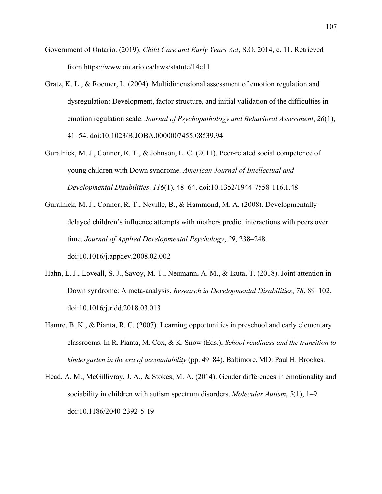- Government of Ontario. (2019). *Child Care and Early Years Act*, S.O. 2014, c. 11. Retrieved from https://www.ontario.ca/laws/statute/14c11
- Gratz, K. L., & Roemer, L. (2004). Multidimensional assessment of emotion regulation and dysregulation: Development, factor structure, and initial validation of the difficulties in emotion regulation scale. *Journal of Psychopathology and Behavioral Assessment*, *26*(1), 41–54. doi:10.1023/B:JOBA.0000007455.08539.94
- Guralnick, M. J., Connor, R. T., & Johnson, L. C. (2011). Peer-related social competence of young children with Down syndrome. *American Journal of Intellectual and Developmental Disabilities*, *116*(1), 48–64. doi:10.1352/1944-7558-116.1.48
- Guralnick, M. J., Connor, R. T., Neville, B., & Hammond, M. A. (2008). Developmentally delayed children's influence attempts with mothers predict interactions with peers over time. *Journal of Applied Developmental Psychology*, *29*, 238–248. doi:10.1016/j.appdev.2008.02.002
- Hahn, L. J., Loveall, S. J., Savoy, M. T., Neumann, A. M., & Ikuta, T. (2018). Joint attention in Down syndrome: A meta-analysis. *Research in Developmental Disabilities*, *78*, 89–102. doi:10.1016/j.ridd.2018.03.013
- Hamre, B. K., & Pianta, R. C. (2007). Learning opportunities in preschool and early elementary classrooms. In R. Pianta, M. Cox, & K. Snow (Eds.), *School readiness and the transition to kindergarten in the era of accountability* (pp. 49–84). Baltimore, MD: Paul H. Brookes.
- Head, A. M., McGillivray, J. A., & Stokes, M. A. (2014). Gender differences in emotionality and sociability in children with autism spectrum disorders. *Molecular Autism*, *5*(1), 1–9. doi:10.1186/2040-2392-5-19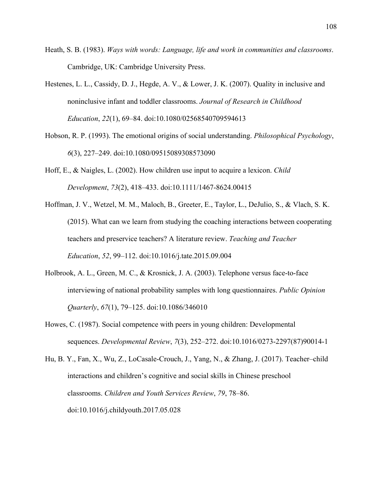- Heath, S. B. (1983). *Ways with words: Language, life and work in communities and classrooms*. Cambridge, UK: Cambridge University Press.
- Hestenes, L. L., Cassidy, D. J., Hegde, A. V., & Lower, J. K. (2007). Quality in inclusive and noninclusive infant and toddler classrooms. *Journal of Research in Childhood Education*, *22*(1), 69–84. doi:10.1080/02568540709594613
- Hobson, R. P. (1993). The emotional origins of social understanding. *Philosophical Psychology*, *6*(3), 227–249. doi:10.1080/09515089308573090
- Hoff, E., & Naigles, L. (2002). How children use input to acquire a lexicon. *Child Development*, *73*(2), 418–433. doi:10.1111/1467-8624.00415
- Hoffman, J. V., Wetzel, M. M., Maloch, B., Greeter, E., Taylor, L., DeJulio, S., & Vlach, S. K. (2015). What can we learn from studying the coaching interactions between cooperating teachers and preservice teachers? A literature review. *Teaching and Teacher Education*, *52*, 99–112. doi:10.1016/j.tate.2015.09.004
- Holbrook, A. L., Green, M. C., & Krosnick, J. A. (2003). Telephone versus face-to-face interviewing of national probability samples with long questionnaires. *Public Opinion Quarterly*, *67*(1), 79–125. doi:10.1086/346010
- Howes, C. (1987). Social competence with peers in young children: Developmental sequences. *Developmental Review*, *7*(3), 252–272. doi:10.1016/0273-2297(87)90014-1

Hu, B. Y., Fan, X., Wu, Z., LoCasale-Crouch, J., Yang, N., & Zhang, J. (2017). Teacher–child interactions and children's cognitive and social skills in Chinese preschool classrooms. *Children and Youth Services Review*, *79*, 78–86. doi:10.1016/j.childyouth.2017.05.028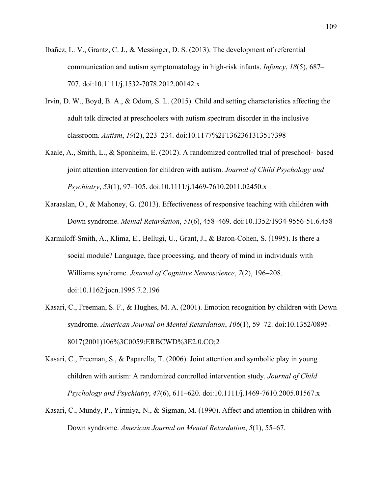- Ibañez, L. V., Grantz, C. J., & Messinger, D. S. (2013). The development of referential communication and autism symptomatology in high-risk infants. *Infancy*, *18*(5), 687– 707. doi:10.1111/j.1532-7078.2012.00142.x
- Irvin, D. W., Boyd, B. A., & Odom, S. L. (2015). Child and setting characteristics affecting the adult talk directed at preschoolers with autism spectrum disorder in the inclusive classroom. *Autism*, *19*(2), 223–234. doi:10.1177%2F1362361313517398
- Kaale, A., Smith, L., & Sponheim, E. (2012). A randomized controlled trial of preschool- based joint attention intervention for children with autism. *Journal of Child Psychology and Psychiatry*, *53*(1), 97–105. doi:10.1111/j.1469-7610.2011.02450.x
- Karaaslan, O., & Mahoney, G. (2013). Effectiveness of responsive teaching with children with Down syndrome. *Mental Retardation*, *51*(6), 458–469. doi:10.1352/1934-9556-51.6.458
- Karmiloff-Smith, A., Klima, E., Bellugi, U., Grant, J., & Baron-Cohen, S. (1995). Is there a social module? Language, face processing, and theory of mind in individuals with Williams syndrome. *Journal of Cognitive Neuroscience*, *7*(2), 196–208. doi:10.1162/jocn.1995.7.2.196
- Kasari, C., Freeman, S. F., & Hughes, M. A. (2001). Emotion recognition by children with Down syndrome. *American Journal on Mental Retardation*, *106*(1), 59–72. doi:10.1352/0895- 8017(2001)106%3C0059:ERBCWD%3E2.0.CO;2
- Kasari, C., Freeman, S., & Paparella, T. (2006). Joint attention and symbolic play in young children with autism: A randomized controlled intervention study. *Journal of Child Psychology and Psychiatry*, *47*(6), 611–620. doi:10.1111/j.1469-7610.2005.01567.x
- Kasari, C., Mundy, P., Yirmiya, N., & Sigman, M. (1990). Affect and attention in children with Down syndrome. *American Journal on Mental Retardation*, *5*(1), 55–67.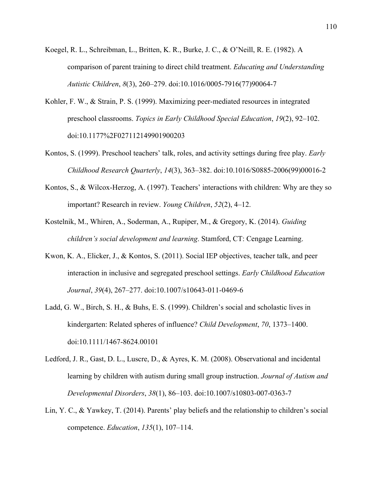- Koegel, R. L., Schreibman, L., Britten, K. R., Burke, J. C., & O'Neill, R. E. (1982). A comparison of parent training to direct child treatment. *Educating and Understanding Autistic Children*, *8*(3), 260–279. doi:10.1016/0005-7916(77)90064-7
- Kohler, F. W., & Strain, P. S. (1999). Maximizing peer-mediated resources in integrated preschool classrooms. *Topics in Early Childhood Special Education*, *19*(2), 92–102. doi:10.1177%2F027112149901900203
- Kontos, S. (1999). Preschool teachers' talk, roles, and activity settings during free play. *Early Childhood Research Quarterly*, *14*(3), 363–382. doi:10.1016/S0885-2006(99)00016-2
- Kontos, S., & Wilcox-Herzog, A. (1997). Teachers' interactions with children: Why are they so important? Research in review. *Young Children*, *52*(2), 4–12.
- Kostelnik, M., Whiren, A., Soderman, A., Rupiper, M., & Gregory, K. (2014). *Guiding children's social development and learning*. Stamford, CT: Cengage Learning.
- Kwon, K. A., Elicker, J., & Kontos, S. (2011). Social IEP objectives, teacher talk, and peer interaction in inclusive and segregated preschool settings. *Early Childhood Education Journal*, *39*(4), 267–277. doi:10.1007/s10643-011-0469-6
- Ladd, G. W., Birch, S. H., & Buhs, E. S. (1999). Children's social and scholastic lives in kindergarten: Related spheres of influence? *Child Development*, *70*, 1373–1400. doi:10.1111/1467-8624.00101
- Ledford, J. R., Gast, D. L., Luscre, D., & Ayres, K. M. (2008). Observational and incidental learning by children with autism during small group instruction. *Journal of Autism and Developmental Disorders*, *38*(1), 86–103. doi:10.1007/s10803-007-0363-7
- Lin, Y. C., & Yawkey, T. (2014). Parents' play beliefs and the relationship to children's social competence. *Education*, *135*(1), 107–114.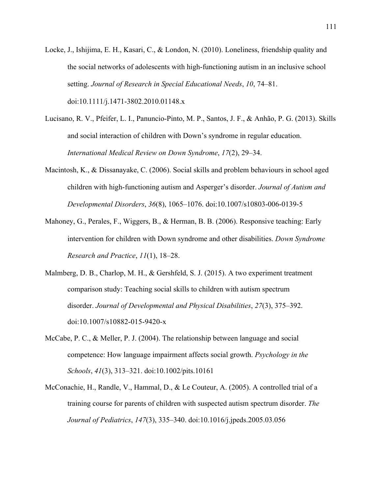- Locke, J., Ishijima, E. H., Kasari, C., & London, N. (2010). Loneliness, friendship quality and the social networks of adolescents with high-functioning autism in an inclusive school setting. *Journal of Research in Special Educational Needs*, *10*, 74–81. doi:10.1111/j.1471-3802.2010.01148.x
- Lucisano, R. V., Pfeifer, L. I., Panuncio-Pinto, M. P., Santos, J. F., & Anhão, P. G. (2013). Skills and social interaction of children with Down's syndrome in regular education. *International Medical Review on Down Syndrome*, *17*(2), 29–34.
- Macintosh, K., & Dissanayake, C. (2006). Social skills and problem behaviours in school aged children with high-functioning autism and Asperger's disorder. *Journal of Autism and Developmental Disorders*, *36*(8), 1065–1076. doi:10.1007/s10803-006-0139-5
- Mahoney, G., Perales, F., Wiggers, B., & Herman, B. B. (2006). Responsive teaching: Early intervention for children with Down syndrome and other disabilities. *Down Syndrome Research and Practice*, *11*(1), 18–28.
- Malmberg, D. B., Charlop, M. H., & Gershfeld, S. J. (2015). A two experiment treatment comparison study: Teaching social skills to children with autism spectrum disorder. *Journal of Developmental and Physical Disabilities*, *27*(3), 375–392. doi:10.1007/s10882-015-9420-x
- McCabe, P. C., & Meller, P. J. (2004). The relationship between language and social competence: How language impairment affects social growth. *Psychology in the Schools*, *41*(3), 313–321. doi:10.1002/pits.10161
- McConachie, H., Randle, V., Hammal, D., & Le Couteur, A. (2005). A controlled trial of a training course for parents of children with suspected autism spectrum disorder. *The Journal of Pediatrics*, *147*(3), 335–340. doi:10.1016/j.jpeds.2005.03.056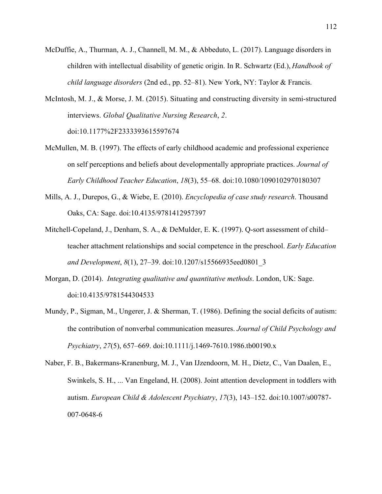- McDuffie, A., Thurman, A. J., Channell, M. M., & Abbeduto, L. (2017). Language disorders in children with intellectual disability of genetic origin. In R. Schwartz (Ed.), *Handbook of child language disorders* (2nd ed., pp. 52–81). New York, NY: Taylor & Francis.
- McIntosh, M. J., & Morse, J. M. (2015). Situating and constructing diversity in semi-structured interviews. *Global Qualitative Nursing Research*, *2*. doi:10.1177%2F2333393615597674
- McMullen, M. B. (1997). The effects of early childhood academic and professional experience on self perceptions and beliefs about developmentally appropriate practices. *Journal of Early Childhood Teacher Education*, *18*(3), 55–68. doi:10.1080/1090102970180307
- Mills, A. J., Durepos, G., & Wiebe, E. (2010). *Encyclopedia of case study research*. Thousand Oaks, CA: Sage. doi:10.4135/9781412957397
- Mitchell-Copeland, J., Denham, S. A., & DeMulder, E. K. (1997). Q-sort assessment of child– teacher attachment relationships and social competence in the preschool. *Early Education and Development*, *8*(1), 27–39. doi:10.1207/s15566935eed0801\_3
- Morgan, D. (2014). *Integrating qualitative and quantitative methods*. London, UK: Sage. doi:10.4135/9781544304533
- Mundy, P., Sigman, M., Ungerer, J. & Sherman, T. (1986). Defining the social deficits of autism: the contribution of nonverbal communication measures. *Journal of Child Psychology and Psychiatry*, *27*(5), 657–669. doi:10.1111/j.1469-7610.1986.tb00190.x
- Naber, F. B., Bakermans-Kranenburg, M. J., Van IJzendoorn, M. H., Dietz, C., Van Daalen, E., Swinkels, S. H., ... Van Engeland, H. (2008). Joint attention development in toddlers with autism. *European Child & Adolescent Psychiatry*, *17*(3), 143–152. doi:10.1007/s00787- 007-0648-6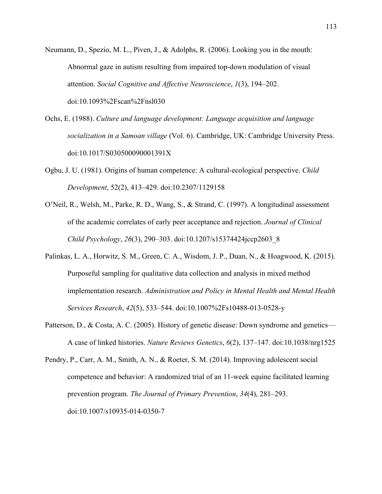- Neumann, D., Spezio, M. L., Piven, J., & Adolphs, R. (2006). Looking you in the mouth: Abnormal gaze in autism resulting from impaired top-down modulation of visual attention. *Social Cognitive and Affective Neuroscience*, *1*(3), 194–202. doi:10.1093%2Fscan%2Fnsl030
- Ochs, E. (1988). *Culture and language development: Language acquisition and language socialization in a Samoan village* (Vol. 6). Cambridge, UK: Cambridge University Press. doi:10.1017/S030500090001391X
- Ogbu, J. U. (1981). Origins of human competence: A cultural-ecological perspective. *Child Development*, 52(2), 413–429. doi:10.2307/1129158
- O'Neil, R., Welsh, M., Parke, R. D., Wang, S., & Strand, C. (1997). A longitudinal assessment of the academic correlates of early peer acceptance and rejection. *Journal of Clinical Child Psychology*, *26*(3), 290–303. doi:10.1207/s15374424jccp2603\_8
- Palinkas, L. A., Horwitz, S. M., Green, C. A., Wisdom, J. P., Duan, N., & Hoagwood, K. (2015). Purposeful sampling for qualitative data collection and analysis in mixed method implementation research. *Administration and Policy in Mental Health and Mental Health Services Research*, *42*(5), 533–544. doi:10.1007%2Fs10488-013-0528-y
- Patterson, D., & Costa, A. C. (2005). History of genetic disease: Down syndrome and genetics— A case of linked histories. *Nature Reviews Genetics*, *6*(2), 137–147. doi:10.1038/nrg1525
- Pendry, P., Carr, A. M., Smith, A. N., & Roeter, S. M. (2014). Improving adolescent social competence and behavior: A randomized trial of an 11-week equine facilitated learning prevention program. *The Journal of Primary Prevention*, *34*(4), 281–293. doi:10.1007/s10935-014-0350-7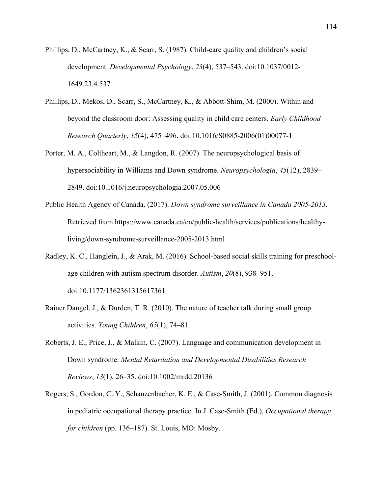- Phillips, D., McCartney, K., & Scarr, S. (1987). Child-care quality and children's social development. *Developmental Psychology*, *23*(4), 537–543. doi:10.1037/0012- 1649.23.4.537
- Phillips, D., Mekos, D., Scarr, S., McCartney, K., & Abbott-Shim, M. (2000). Within and beyond the classroom door: Assessing quality in child care centers. *Early Childhood Research Quarterly*, *15*(4), 475–496. doi:10.1016/S0885-2006(01)00077-1
- Porter, M. A., Coltheart, M., & Langdon, R. (2007). The neuropsychological basis of hypersociability in Williams and Down syndrome. *Neuropsychologia*, *45*(12), 2839– 2849. doi:10.1016/j.neuropsychologia.2007.05.006
- Public Health Agency of Canada. (2017). *Down syndrome surveillance in Canada 2005-2013*. Retrieved from https://www.canada.ca/en/public-health/services/publications/healthyliving/down-syndrome-surveillance-2005-2013.html
- Radley, K. C., Hanglein, J., & Arak, M. (2016). School-based social skills training for preschoolage children with autism spectrum disorder. *Autism*, *20*(8), 938–951. doi:10.1177/1362361315617361
- Rainer Dangel, J., & Durden, T. R. (2010). The nature of teacher talk during small group activities. *Young Children*, *65*(1), 74–81.
- Roberts, J. E., Price, J., & Malkin, C. (2007). Language and communication development in Down syndrome. *Mental Retardation and Developmental Disabilities Research Reviews*, *13*(1), 26–35. doi:10.1002/mrdd.20136
- Rogers, S., Gordon, C. Y., Schanzenbacher, K. E., & Case-Smith, J. (2001). Common diagnosis in pediatric occupational therapy practice. In J. Case-Smith (Ed.), *Occupational therapy for children* (pp. 136–187). St. Louis, MO: Mosby.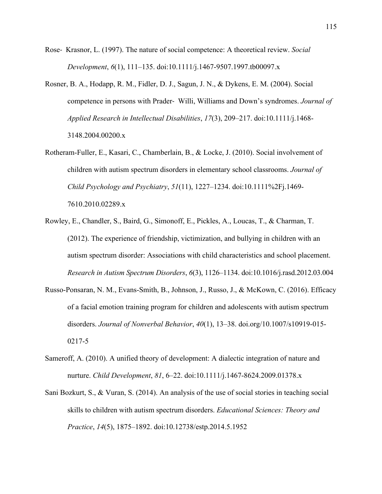- Rose- Krasnor, L. (1997). The nature of social competence: A theoretical review. *Social Development*, *6*(1), 111–135. doi:10.1111/j.1467-9507.1997.tb00097.x
- Rosner, B. A., Hodapp, R. M., Fidler, D. J., Sagun, J. N., & Dykens, E. M. (2004). Social competence in persons with Prader- Willi, Williams and Down's syndromes. *Journal of Applied Research in Intellectual Disabilities*, *17*(3), 209–217. doi:10.1111/j.1468- 3148.2004.00200.x
- Rotheram-Fuller, E., Kasari, C., Chamberlain, B., & Locke, J. (2010). Social involvement of children with autism spectrum disorders in elementary school classrooms. *Journal of Child Psychology and Psychiatry*, *51*(11), 1227–1234. doi:10.1111%2Fj.1469- 7610.2010.02289.x
- Rowley, E., Chandler, S., Baird, G., Simonoff, E., Pickles, A., Loucas, T., & Charman, T. (2012). The experience of friendship, victimization, and bullying in children with an autism spectrum disorder: Associations with child characteristics and school placement. *Research in Autism Spectrum Disorders*, *6*(3), 1126–1134. doi:10.1016/j.rasd.2012.03.004
- Russo-Ponsaran, N. M., Evans-Smith, B., Johnson, J., Russo, J., & McKown, C. (2016). Efficacy of a facial emotion training program for children and adolescents with autism spectrum disorders. *Journal of Nonverbal Behavior*, *40*(1), 13–38. doi.org/10.1007/s10919-015- 0217-5
- Sameroff, A. (2010). A unified theory of development: A dialectic integration of nature and nurture. *Child Development*, *81*, 6–22. doi:10.1111/j.1467-8624.2009.01378.x
- Sani Bozkurt, S., & Vuran, S. (2014). An analysis of the use of social stories in teaching social skills to children with autism spectrum disorders. *Educational Sciences: Theory and Practice*, *14*(5), 1875–1892. doi:10.12738/estp.2014.5.1952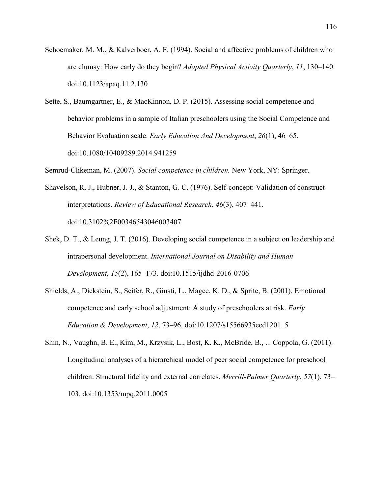- Schoemaker, M. M., & Kalverboer, A. F. (1994). Social and affective problems of children who are clumsy: How early do they begin? *Adapted Physical Activity Quarterly*, *11*, 130–140. doi:10.1123/apaq.11.2.130
- Sette, S., Baumgartner, E., & MacKinnon, D. P. (2015). Assessing social competence and behavior problems in a sample of Italian preschoolers using the Social Competence and Behavior Evaluation scale. *Early Education And Development*, *26*(1), 46–65. doi:10.1080/10409289.2014.941259
- Semrud-Clikeman, M. (2007). *Social competence in children.* New York, NY: Springer.
- Shavelson, R. J., Hubner, J. J., & Stanton, G. C. (1976). Self-concept: Validation of construct interpretations. *Review of Educational Research*, *46*(3), 407–441. doi:10.3102%2F00346543046003407
- Shek, D. T., & Leung, J. T. (2016). Developing social competence in a subject on leadership and intrapersonal development. *International Journal on Disability and Human Development*, *15*(2), 165–173. doi:10.1515/ijdhd-2016-0706
- Shields, A., Dickstein, S., Seifer, R., Giusti, L., Magee, K. D., & Sprite, B. (2001). Emotional competence and early school adjustment: A study of preschoolers at risk. *Early Education & Development*, *12*, 73–96. doi:10.1207/s15566935eed1201\_5
- Shin, N., Vaughn, B. E., Kim, M., Krzysik, L., Bost, K. K., McBride, B., ... Coppola, G. (2011). Longitudinal analyses of a hierarchical model of peer social competence for preschool children: Structural fidelity and external correlates. *Merrill-Palmer Quarterly*, *57*(1), 73– 103. doi:10.1353/mpq.2011.0005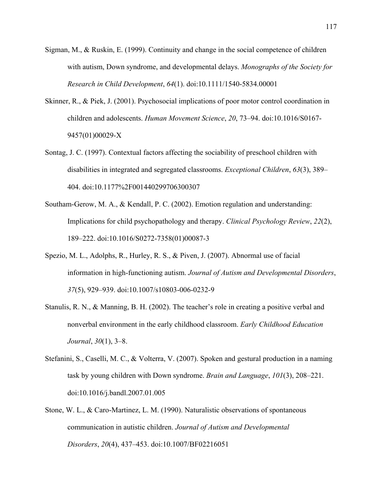- Sigman, M., & Ruskin, E. (1999). Continuity and change in the social competence of children with autism, Down syndrome, and developmental delays. *Monographs of the Society for Research in Child Development*, *64*(1). doi:10.1111/1540-5834.00001
- Skinner, R., & Piek, J. (2001). Psychosocial implications of poor motor control coordination in children and adolescents. *Human Movement Science*, *20*, 73–94. doi:10.1016/S0167- 9457(01)00029-X
- Sontag, J. C. (1997). Contextual factors affecting the sociability of preschool children with disabilities in integrated and segregated classrooms. *Exceptional Children*, *63*(3), 389– 404. doi:10.1177%2F001440299706300307
- Southam-Gerow, M. A., & Kendall, P. C. (2002). Emotion regulation and understanding: Implications for child psychopathology and therapy. *Clinical Psychology Review*, *22*(2), 189–222. doi:10.1016/S0272-7358(01)00087-3
- Spezio, M. L., Adolphs, R., Hurley, R. S., & Piven, J. (2007). Abnormal use of facial information in high-functioning autism. *Journal of Autism and Developmental Disorders*, *37*(5), 929–939. doi:10.1007/s10803-006-0232-9
- Stanulis, R. N., & Manning, B. H. (2002). The teacher's role in creating a positive verbal and nonverbal environment in the early childhood classroom. *Early Childhood Education Journal*, *30*(1), 3–8.
- Stefanini, S., Caselli, M. C., & Volterra, V. (2007). Spoken and gestural production in a naming task by young children with Down syndrome. *Brain and Language*, *101*(3), 208–221. doi:10.1016/j.bandl.2007.01.005
- Stone, W. L., & Caro-Martinez, L. M. (1990). Naturalistic observations of spontaneous communication in autistic children. *Journal of Autism and Developmental Disorders*, *20*(4), 437–453. doi:10.1007/BF02216051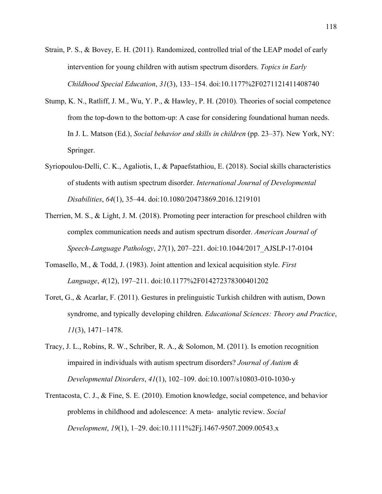- Strain, P. S., & Bovey, E. H. (2011). Randomized, controlled trial of the LEAP model of early intervention for young children with autism spectrum disorders. *Topics in Early Childhood Special Education*, *31*(3), 133–154. doi:10.1177%2F0271121411408740
- Stump, K. N., Ratliff, J. M., Wu, Y. P., & Hawley, P. H. (2010). Theories of social competence from the top-down to the bottom-up: A case for considering foundational human needs. In J. L. Matson (Ed.), *Social behavior and skills in children* (pp. 23–37). New York, NY: Springer.
- Syriopoulou-Delli, C. K., Agaliotis, I., & Papaefstathiou, E. (2018). Social skills characteristics of students with autism spectrum disorder. *International Journal of Developmental Disabilities*, *64*(1), 35–44. doi:10.1080/20473869.2016.1219101
- Therrien, M. S., & Light, J. M. (2018). Promoting peer interaction for preschool children with complex communication needs and autism spectrum disorder. *American Journal of Speech-Language Pathology*, *27*(1), 207–221. doi:10.1044/2017\_AJSLP-17-0104
- Tomasello, M., & Todd, J. (1983). Joint attention and lexical acquisition style. *First Language*, *4*(12), 197–211. doi:10.1177%2F014272378300401202
- Toret, G., & Acarlar, F. (2011). Gestures in prelinguistic Turkish children with autism, Down syndrome, and typically developing children. *Educational Sciences: Theory and Practice*, *11*(3), 1471–1478.
- Tracy, J. L., Robins, R. W., Schriber, R. A., & Solomon, M. (2011). Is emotion recognition impaired in individuals with autism spectrum disorders? *Journal of Autism & Developmental Disorders*, *41*(1), 102–109. doi:10.1007/s10803-010-1030-y
- Trentacosta, C. J., & Fine, S. E. (2010). Emotion knowledge, social competence, and behavior problems in childhood and adolescence: A meta- analytic review. *Social Development*, *19*(1), 1–29. doi:10.1111%2Fj.1467-9507.2009.00543.x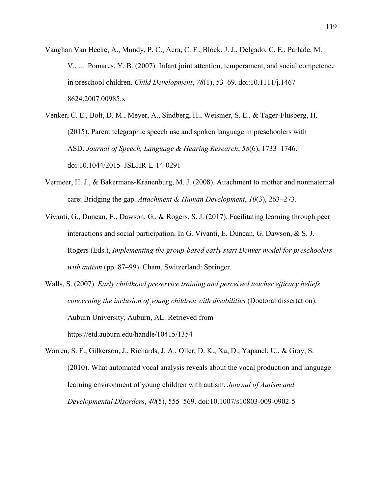- Vaughan Van Hecke, A., Mundy, P. C., Acra, C. F., Block, J. J., Delgado, C. E., Parlade, M. V., ... Pomares, Y. B. (2007). Infant joint attention, temperament, and social competence in preschool children. *Child Development*, *78*(1), 53–69. doi:10.1111/j.1467- 8624.2007.00985.x
- Venker, C. E., Bolt, D. M., Meyer, A., Sindberg, H., Weismer, S. E., & Tager-Flusberg, H. (2015). Parent telegraphic speech use and spoken language in preschoolers with ASD. *Journal of Speech, Language & Hearing Research*, *58*(6), 1733–1746. doi:10.1044/2015\_JSLHR-L-14-0291
- Vermeer, H. J., & Bakermans-Kranenburg, M. J. (2008). Attachment to mother and nonmaternal care: Bridging the gap. *Attachment & Human Development*, *10*(3), 263–273.
- Vivanti, G., Duncan, E., Dawson, G., & Rogers, S. J. (2017). Facilitating learning through peer interactions and social participation. In G. Vivanti, E. Duncan, G. Dawson, & S. J. Rogers (Eds.), *Implementing the group-based early start Denver model for preschoolers with autism* (pp. 87–99). Cham, Switzerland: Springer.
- Walls, S. (2007). *Early childhood preservice training and perceived teacher efficacy beliefs concerning the inclusion of young children with disabilities* (Doctoral dissertation). Auburn University, Auburn, AL. Retrieved from https://etd.auburn.edu/handle/10415/1354
- Warren, S. F., Gilkerson, J., Richards, J. A., Oller, D. K., Xu, D., Yapanel, U., & Gray, S. (2010). What automated vocal analysis reveals about the vocal production and language learning environment of young children with autism. *Journal of Autism and Developmental Disorders*, *40*(5), 555–569. doi:10.1007/s10803-009-0902-5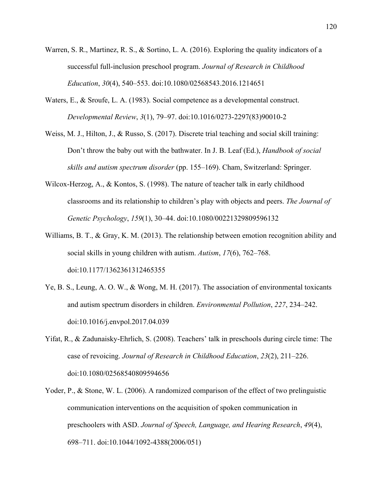- Warren, S. R., Martinez, R. S., & Sortino, L. A. (2016). Exploring the quality indicators of a successful full-inclusion preschool program. *Journal of Research in Childhood Education*, *30*(4), 540–553. doi:10.1080/02568543.2016.1214651
- Waters, E., & Sroufe, L. A. (1983). Social competence as a developmental construct. *Developmental Review*, *3*(1), 79–97. doi:10.1016/0273-2297(83)90010-2
- Weiss, M. J., Hilton, J., & Russo, S. (2017). Discrete trial teaching and social skill training: Don't throw the baby out with the bathwater. In J. B. Leaf (Ed.), *Handbook of social skills and autism spectrum disorder* (pp. 155–169). Cham, Switzerland: Springer.
- Wilcox-Herzog, A., & Kontos, S. (1998). The nature of teacher talk in early childhood classrooms and its relationship to children's play with objects and peers. *The Journal of Genetic Psychology*, *159*(1), 30–44. doi:10.1080/00221329809596132
- Williams, B. T., & Gray, K. M. (2013). The relationship between emotion recognition ability and social skills in young children with autism. *Autism*, *17*(6), 762–768. doi:10.1177/1362361312465355
- Ye, B. S., Leung, A. O. W., & Wong, M. H. (2017). The association of environmental toxicants and autism spectrum disorders in children. *Environmental Pollution*, *227*, 234–242. doi:10.1016/j.envpol.2017.04.039
- Yifat, R., & Zadunaisky-Ehrlich, S. (2008). Teachers' talk in preschools during circle time: The case of revoicing. *Journal of Research in Childhood Education*, *23*(2), 211–226. doi:10.1080/02568540809594656
- Yoder, P., & Stone, W. L. (2006). A randomized comparison of the effect of two prelinguistic communication interventions on the acquisition of spoken communication in preschoolers with ASD. *Journal of Speech, Language, and Hearing Research*, *49*(4), 698–711. doi:10.1044/1092-4388(2006/051)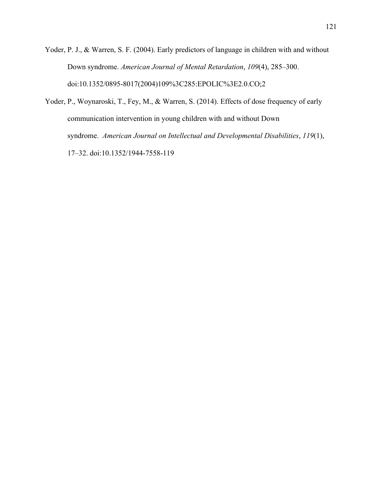- Yoder, P. J., & Warren, S. F. (2004). Early predictors of language in children with and without Down syndrome. *American Journal of Mental Retardation*, *109*(4), 285–300. doi:10.1352/0895-8017(2004)109%3C285:EPOLIC%3E2.0.CO;2
- Yoder, P., Woynaroski, T., Fey, M., & Warren, S. (2014). Effects of dose frequency of early communication intervention in young children with and without Down syndrome. *American Journal on Intellectual and Developmental Disabilities*, *119*(1), 17–32. doi:10.1352/1944-7558-119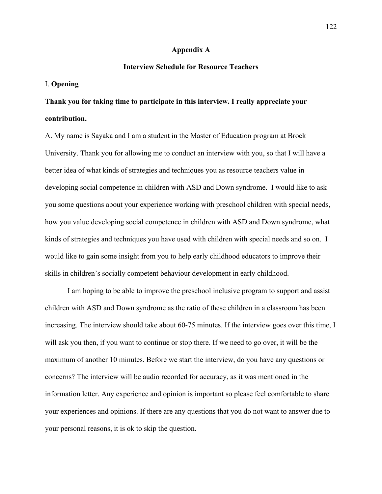#### **Appendix A**

# **Interview Schedule for Resource Teachers**

# I. **Opening**

# **Thank you for taking time to participate in this interview. I really appreciate your contribution.**

A. My name is Sayaka and I am a student in the Master of Education program at Brock University. Thank you for allowing me to conduct an interview with you, so that I will have a better idea of what kinds of strategies and techniques you as resource teachers value in developing social competence in children with ASD and Down syndrome. I would like to ask you some questions about your experience working with preschool children with special needs, how you value developing social competence in children with ASD and Down syndrome, what kinds of strategies and techniques you have used with children with special needs and so on. I would like to gain some insight from you to help early childhood educators to improve their skills in children's socially competent behaviour development in early childhood.

I am hoping to be able to improve the preschool inclusive program to support and assist children with ASD and Down syndrome as the ratio of these children in a classroom has been increasing. The interview should take about 60-75 minutes. If the interview goes over this time, I will ask you then, if you want to continue or stop there. If we need to go over, it will be the maximum of another 10 minutes. Before we start the interview, do you have any questions or concerns? The interview will be audio recorded for accuracy, as it was mentioned in the information letter. Any experience and opinion is important so please feel comfortable to share your experiences and opinions. If there are any questions that you do not want to answer due to your personal reasons, it is ok to skip the question.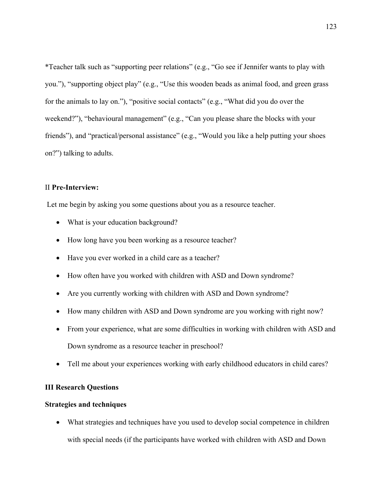\*Teacher talk such as "supporting peer relations" (e.g., "Go see if Jennifer wants to play with you."), "supporting object play" (e.g., "Use this wooden beads as animal food, and green grass for the animals to lay on."), "positive social contacts" (e.g., "What did you do over the weekend?"), "behavioural management" (e.g., "Can you please share the blocks with your friends"), and "practical/personal assistance" (e.g., "Would you like a help putting your shoes on?") talking to adults.

# II **Pre-Interview:**

Let me begin by asking you some questions about you as a resource teacher.

- What is your education background?
- How long have you been working as a resource teacher?
- Have you ever worked in a child care as a teacher?
- How often have you worked with children with ASD and Down syndrome?
- Are you currently working with children with ASD and Down syndrome?
- How many children with ASD and Down syndrome are you working with right now?
- From your experience, what are some difficulties in working with children with ASD and Down syndrome as a resource teacher in preschool?
- Tell me about your experiences working with early childhood educators in child cares?

# **III Research Questions**

# **Strategies and techniques**

• What strategies and techniques have you used to develop social competence in children with special needs (if the participants have worked with children with ASD and Down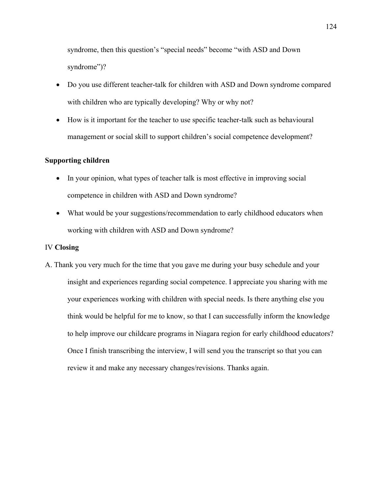syndrome, then this question's "special needs" become "with ASD and Down syndrome")?

- Do you use different teacher-talk for children with ASD and Down syndrome compared with children who are typically developing? Why or why not?
- How is it important for the teacher to use specific teacher-talk such as behavioural management or social skill to support children's social competence development?

# **Supporting children**

- In your opinion, what types of teacher talk is most effective in improving social competence in children with ASD and Down syndrome?
- What would be your suggestions/recommendation to early childhood educators when working with children with ASD and Down syndrome?

#### IV **Closing**

A. Thank you very much for the time that you gave me during your busy schedule and your insight and experiences regarding social competence. I appreciate you sharing with me your experiences working with children with special needs. Is there anything else you think would be helpful for me to know, so that I can successfully inform the knowledge to help improve our childcare programs in Niagara region for early childhood educators? Once I finish transcribing the interview, I will send you the transcript so that you can review it and make any necessary changes/revisions. Thanks again.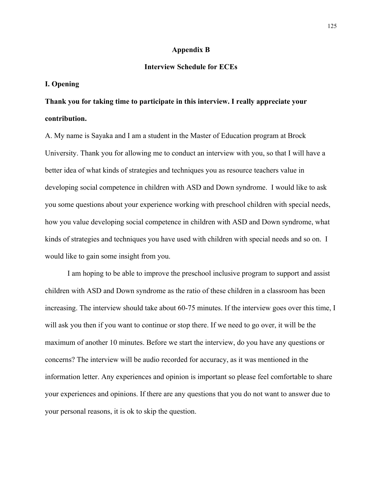#### **Appendix B**

# **Interview Schedule for ECEs**

# **I. Opening**

**Thank you for taking time to participate in this interview. I really appreciate your contribution.**

A. My name is Sayaka and I am a student in the Master of Education program at Brock University. Thank you for allowing me to conduct an interview with you, so that I will have a better idea of what kinds of strategies and techniques you as resource teachers value in developing social competence in children with ASD and Down syndrome. I would like to ask you some questions about your experience working with preschool children with special needs, how you value developing social competence in children with ASD and Down syndrome, what kinds of strategies and techniques you have used with children with special needs and so on. I would like to gain some insight from you.

I am hoping to be able to improve the preschool inclusive program to support and assist children with ASD and Down syndrome as the ratio of these children in a classroom has been increasing. The interview should take about 60-75 minutes. If the interview goes over this time, I will ask you then if you want to continue or stop there. If we need to go over, it will be the maximum of another 10 minutes. Before we start the interview, do you have any questions or concerns? The interview will be audio recorded for accuracy, as it was mentioned in the information letter. Any experiences and opinion is important so please feel comfortable to share your experiences and opinions. If there are any questions that you do not want to answer due to your personal reasons, it is ok to skip the question.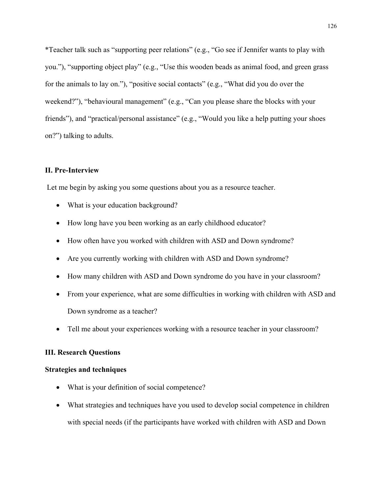\*Teacher talk such as "supporting peer relations" (e.g., "Go see if Jennifer wants to play with you."), "supporting object play" (e.g., "Use this wooden beads as animal food, and green grass for the animals to lay on."), "positive social contacts" (e.g., "What did you do over the weekend?"), "behavioural management" (e.g., "Can you please share the blocks with your friends"), and "practical/personal assistance" (e.g., "Would you like a help putting your shoes on?") talking to adults.

# **II. Pre-Interview**

Let me begin by asking you some questions about you as a resource teacher.

- What is your education background?
- How long have you been working as an early childhood educator?
- How often have you worked with children with ASD and Down syndrome?
- Are you currently working with children with ASD and Down syndrome?
- How many children with ASD and Down syndrome do you have in your classroom?
- From your experience, what are some difficulties in working with children with ASD and Down syndrome as a teacher?
- Tell me about your experiences working with a resource teacher in your classroom?

## **III. Research Questions**

## **Strategies and techniques**

- What is your definition of social competence?
- What strategies and techniques have you used to develop social competence in children with special needs (if the participants have worked with children with ASD and Down